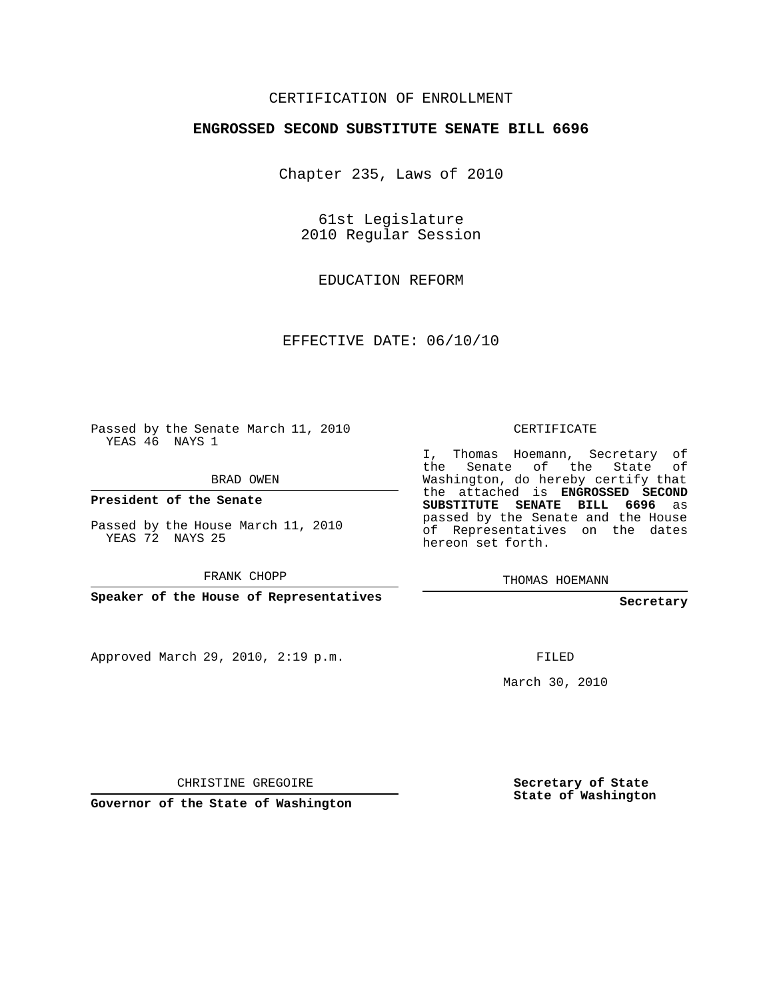## CERTIFICATION OF ENROLLMENT

#### **ENGROSSED SECOND SUBSTITUTE SENATE BILL 6696**

Chapter 235, Laws of 2010

61st Legislature 2010 Regular Session

EDUCATION REFORM

EFFECTIVE DATE: 06/10/10

Passed by the Senate March 11, 2010 YEAS 46 NAYS 1

BRAD OWEN

**President of the Senate**

YEAS 72 NAYS 25

Approved March 29, 2010, 2:19 p.m.

CERTIFICATE

I, Thomas Hoemann, Secretary of the Senate of the State of Washington, do hereby certify that the attached is **ENGROSSED SECOND SUBSTITUTE SENATE BILL 6696** as passed by the Senate and the House of Representatives on the dates hereon set forth.

THOMAS HOEMANN

**Secretary**

FILED

March 30, 2010

**Governor of the State of Washington**

CHRISTINE GREGOIRE

**Secretary of State State of Washington**

Passed by the House March 11, 2010

FRANK CHOPP

**Speaker of the House of Representatives**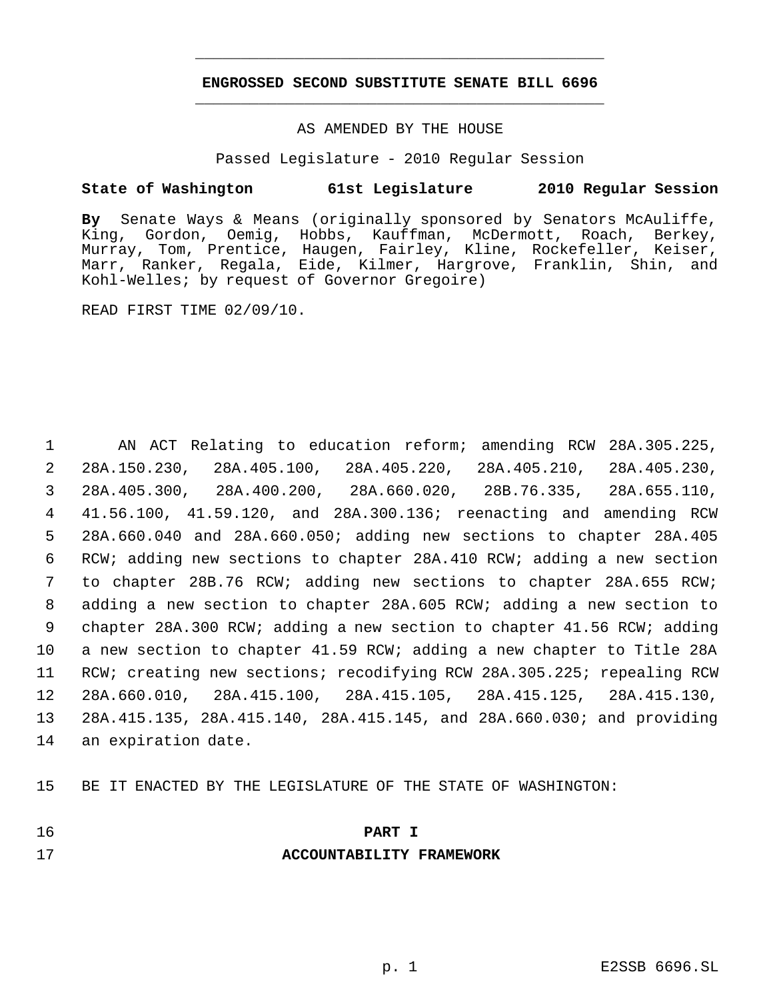## **ENGROSSED SECOND SUBSTITUTE SENATE BILL 6696** \_\_\_\_\_\_\_\_\_\_\_\_\_\_\_\_\_\_\_\_\_\_\_\_\_\_\_\_\_\_\_\_\_\_\_\_\_\_\_\_\_\_\_\_\_

\_\_\_\_\_\_\_\_\_\_\_\_\_\_\_\_\_\_\_\_\_\_\_\_\_\_\_\_\_\_\_\_\_\_\_\_\_\_\_\_\_\_\_\_\_

#### AS AMENDED BY THE HOUSE

Passed Legislature - 2010 Regular Session

## **State of Washington 61st Legislature 2010 Regular Session**

**By** Senate Ways & Means (originally sponsored by Senators McAuliffe, King, Gordon, Oemig, Hobbs, Kauffman, McDermott, Roach, Berkey, Murray, Tom, Prentice, Haugen, Fairley, Kline, Rockefeller, Keiser, Marr, Ranker, Regala, Eide, Kilmer, Hargrove, Franklin, Shin, and Kohl-Welles; by request of Governor Gregoire)

READ FIRST TIME 02/09/10.

 AN ACT Relating to education reform; amending RCW 28A.305.225, 28A.150.230, 28A.405.100, 28A.405.220, 28A.405.210, 28A.405.230, 28A.405.300, 28A.400.200, 28A.660.020, 28B.76.335, 28A.655.110, 41.56.100, 41.59.120, and 28A.300.136; reenacting and amending RCW 28A.660.040 and 28A.660.050; adding new sections to chapter 28A.405 RCW; adding new sections to chapter 28A.410 RCW; adding a new section to chapter 28B.76 RCW; adding new sections to chapter 28A.655 RCW; adding a new section to chapter 28A.605 RCW; adding a new section to chapter 28A.300 RCW; adding a new section to chapter 41.56 RCW; adding a new section to chapter 41.59 RCW; adding a new chapter to Title 28A RCW; creating new sections; recodifying RCW 28A.305.225; repealing RCW 28A.660.010, 28A.415.100, 28A.415.105, 28A.415.125, 28A.415.130, 28A.415.135, 28A.415.140, 28A.415.145, and 28A.660.030; and providing an expiration date.

15 BE IT ENACTED BY THE LEGISLATURE OF THE STATE OF WASHINGTON:

## 16 **PART I**

#### 17 **ACCOUNTABILITY FRAMEWORK**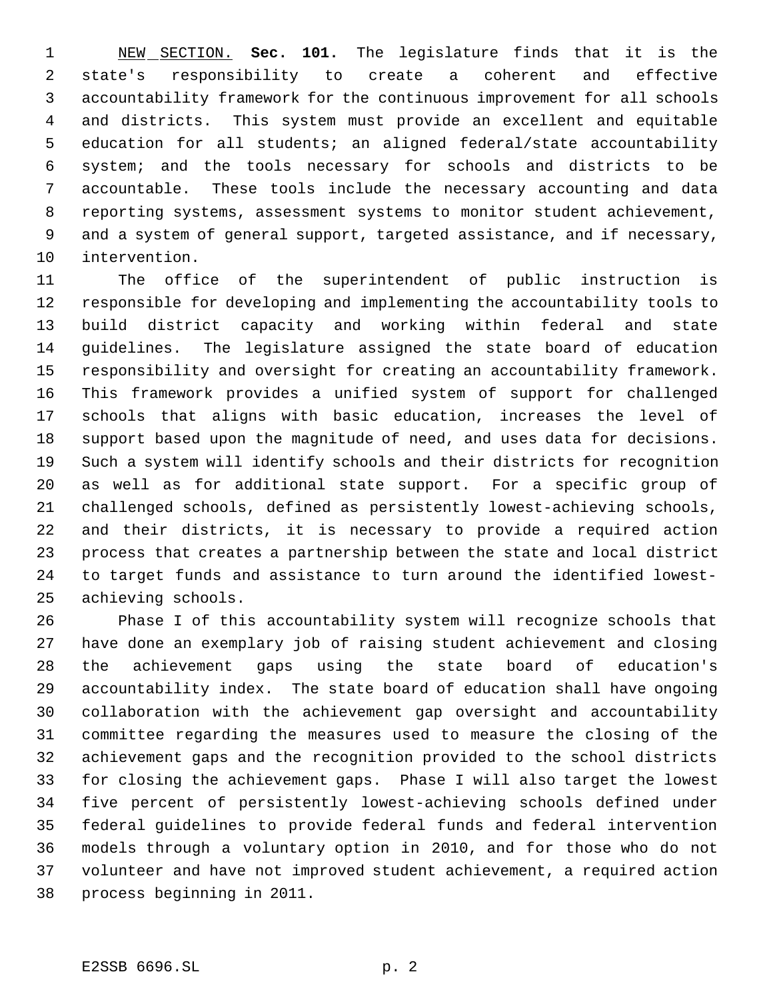NEW SECTION. **Sec. 101.** The legislature finds that it is the state's responsibility to create a coherent and effective accountability framework for the continuous improvement for all schools and districts. This system must provide an excellent and equitable education for all students; an aligned federal/state accountability system; and the tools necessary for schools and districts to be accountable. These tools include the necessary accounting and data reporting systems, assessment systems to monitor student achievement, and a system of general support, targeted assistance, and if necessary, intervention.

 The office of the superintendent of public instruction is responsible for developing and implementing the accountability tools to build district capacity and working within federal and state guidelines. The legislature assigned the state board of education responsibility and oversight for creating an accountability framework. This framework provides a unified system of support for challenged schools that aligns with basic education, increases the level of support based upon the magnitude of need, and uses data for decisions. Such a system will identify schools and their districts for recognition as well as for additional state support. For a specific group of challenged schools, defined as persistently lowest-achieving schools, and their districts, it is necessary to provide a required action process that creates a partnership between the state and local district to target funds and assistance to turn around the identified lowest-achieving schools.

 Phase I of this accountability system will recognize schools that have done an exemplary job of raising student achievement and closing the achievement gaps using the state board of education's accountability index. The state board of education shall have ongoing collaboration with the achievement gap oversight and accountability committee regarding the measures used to measure the closing of the achievement gaps and the recognition provided to the school districts for closing the achievement gaps. Phase I will also target the lowest five percent of persistently lowest-achieving schools defined under federal guidelines to provide federal funds and federal intervention models through a voluntary option in 2010, and for those who do not volunteer and have not improved student achievement, a required action process beginning in 2011.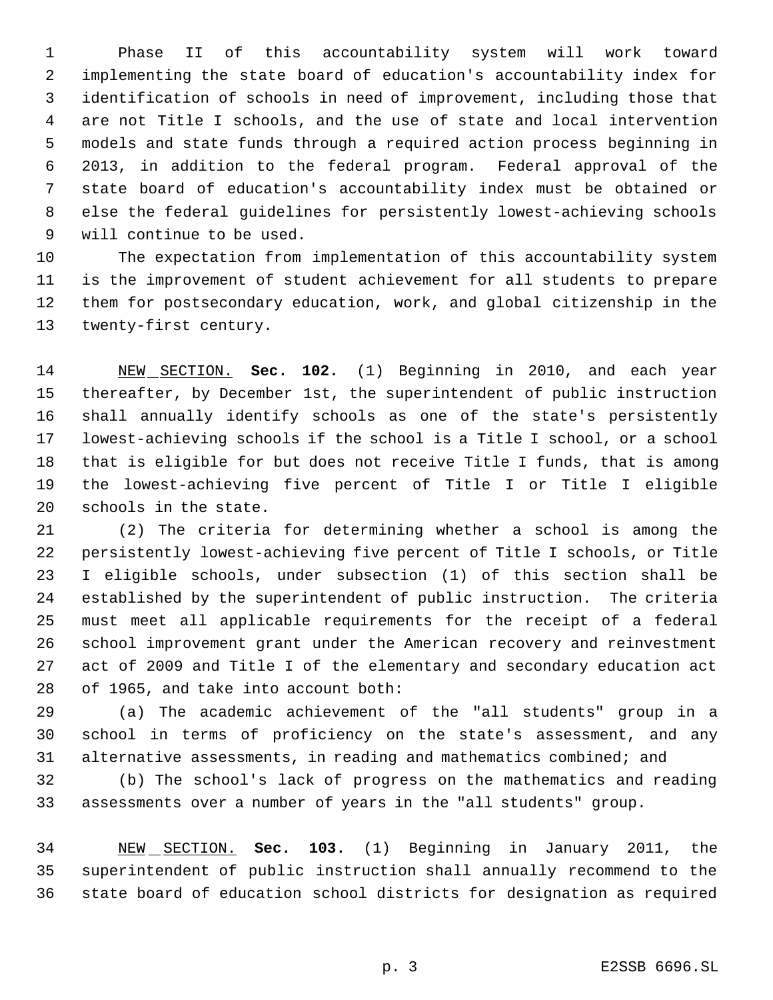Phase II of this accountability system will work toward implementing the state board of education's accountability index for identification of schools in need of improvement, including those that are not Title I schools, and the use of state and local intervention models and state funds through a required action process beginning in 2013, in addition to the federal program. Federal approval of the state board of education's accountability index must be obtained or else the federal guidelines for persistently lowest-achieving schools will continue to be used.

 The expectation from implementation of this accountability system is the improvement of student achievement for all students to prepare them for postsecondary education, work, and global citizenship in the twenty-first century.

 NEW SECTION. **Sec. 102.** (1) Beginning in 2010, and each year thereafter, by December 1st, the superintendent of public instruction shall annually identify schools as one of the state's persistently lowest-achieving schools if the school is a Title I school, or a school that is eligible for but does not receive Title I funds, that is among the lowest-achieving five percent of Title I or Title I eligible schools in the state.

 (2) The criteria for determining whether a school is among the persistently lowest-achieving five percent of Title I schools, or Title I eligible schools, under subsection (1) of this section shall be established by the superintendent of public instruction. The criteria must meet all applicable requirements for the receipt of a federal school improvement grant under the American recovery and reinvestment act of 2009 and Title I of the elementary and secondary education act of 1965, and take into account both:

 (a) The academic achievement of the "all students" group in a school in terms of proficiency on the state's assessment, and any alternative assessments, in reading and mathematics combined; and

 (b) The school's lack of progress on the mathematics and reading assessments over a number of years in the "all students" group.

 NEW SECTION. **Sec. 103.** (1) Beginning in January 2011, the superintendent of public instruction shall annually recommend to the state board of education school districts for designation as required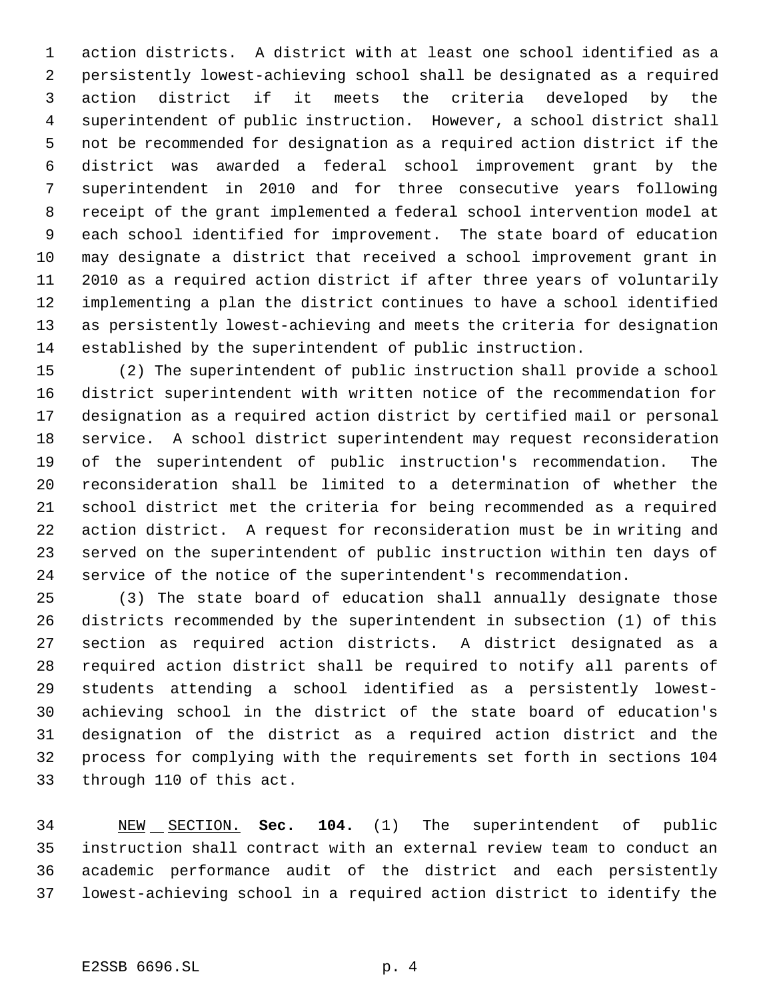action districts. A district with at least one school identified as a persistently lowest-achieving school shall be designated as a required action district if it meets the criteria developed by the superintendent of public instruction. However, a school district shall not be recommended for designation as a required action district if the district was awarded a federal school improvement grant by the superintendent in 2010 and for three consecutive years following receipt of the grant implemented a federal school intervention model at each school identified for improvement. The state board of education may designate a district that received a school improvement grant in 2010 as a required action district if after three years of voluntarily implementing a plan the district continues to have a school identified as persistently lowest-achieving and meets the criteria for designation established by the superintendent of public instruction.

 (2) The superintendent of public instruction shall provide a school district superintendent with written notice of the recommendation for designation as a required action district by certified mail or personal service. A school district superintendent may request reconsideration of the superintendent of public instruction's recommendation. The reconsideration shall be limited to a determination of whether the school district met the criteria for being recommended as a required action district. A request for reconsideration must be in writing and served on the superintendent of public instruction within ten days of service of the notice of the superintendent's recommendation.

 (3) The state board of education shall annually designate those districts recommended by the superintendent in subsection (1) of this section as required action districts. A district designated as a required action district shall be required to notify all parents of students attending a school identified as a persistently lowest- achieving school in the district of the state board of education's designation of the district as a required action district and the process for complying with the requirements set forth in sections 104 through 110 of this act.

 NEW SECTION. **Sec. 104.** (1) The superintendent of public instruction shall contract with an external review team to conduct an academic performance audit of the district and each persistently lowest-achieving school in a required action district to identify the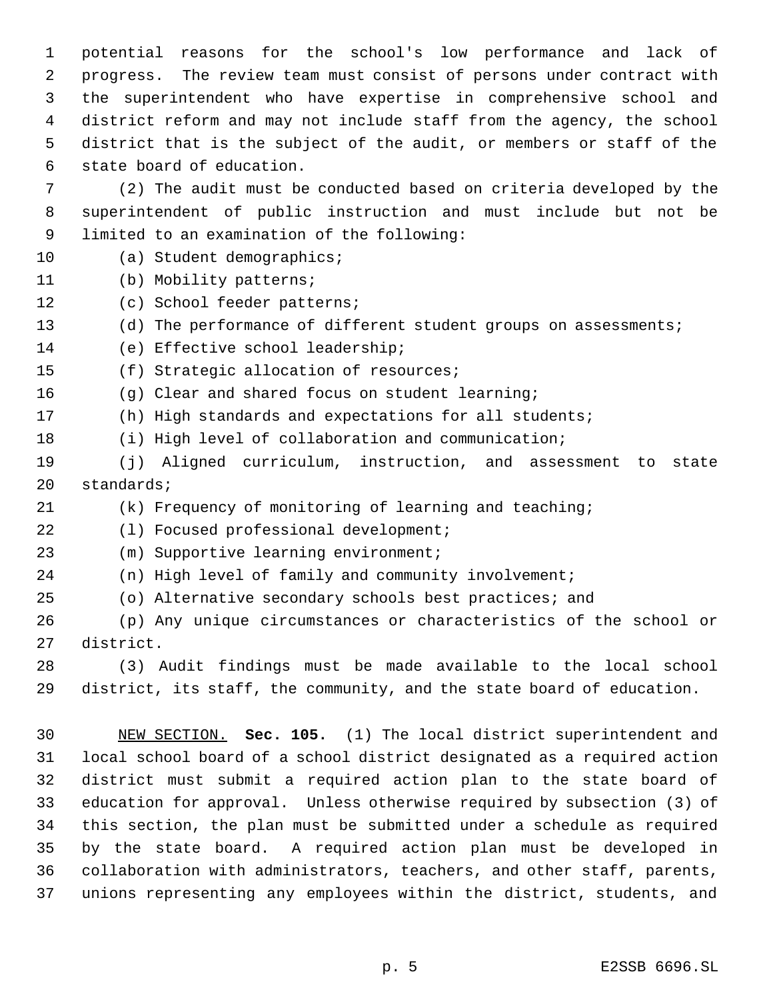potential reasons for the school's low performance and lack of progress. The review team must consist of persons under contract with the superintendent who have expertise in comprehensive school and district reform and may not include staff from the agency, the school district that is the subject of the audit, or members or staff of the state board of education.

 (2) The audit must be conducted based on criteria developed by the superintendent of public instruction and must include but not be limited to an examination of the following:

- (a) Student demographics;
- (b) Mobility patterns;
- (c) School feeder patterns;
- (d) The performance of different student groups on assessments;
- (e) Effective school leadership;
- (f) Strategic allocation of resources;

(g) Clear and shared focus on student learning;

- (h) High standards and expectations for all students;
- (i) High level of collaboration and communication;
- (j) Aligned curriculum, instruction, and assessment to state standards;
- (k) Frequency of monitoring of learning and teaching;
- 22 (1) Focused professional development;
- (m) Supportive learning environment;
- (n) High level of family and community involvement;
- (o) Alternative secondary schools best practices; and
- (p) Any unique circumstances or characteristics of the school or district.
- (3) Audit findings must be made available to the local school district, its staff, the community, and the state board of education.

 NEW SECTION. **Sec. 105.** (1) The local district superintendent and local school board of a school district designated as a required action district must submit a required action plan to the state board of education for approval. Unless otherwise required by subsection (3) of this section, the plan must be submitted under a schedule as required by the state board. A required action plan must be developed in collaboration with administrators, teachers, and other staff, parents, unions representing any employees within the district, students, and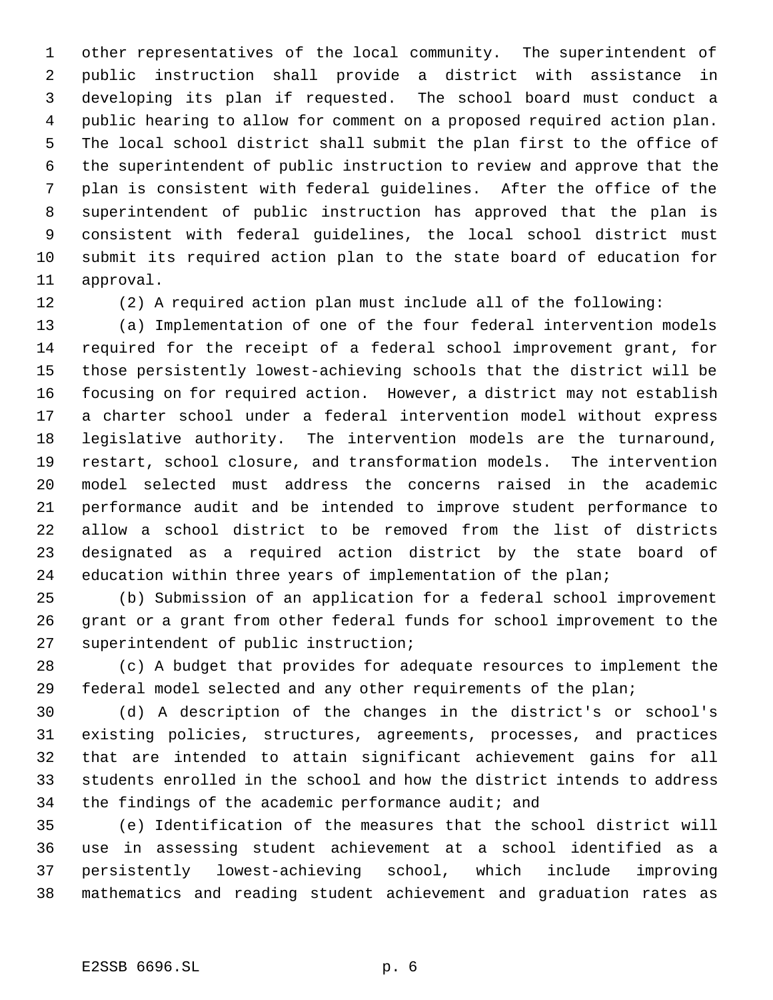other representatives of the local community. The superintendent of public instruction shall provide a district with assistance in developing its plan if requested. The school board must conduct a public hearing to allow for comment on a proposed required action plan. The local school district shall submit the plan first to the office of the superintendent of public instruction to review and approve that the plan is consistent with federal guidelines. After the office of the superintendent of public instruction has approved that the plan is consistent with federal guidelines, the local school district must submit its required action plan to the state board of education for approval.

(2) A required action plan must include all of the following:

 (a) Implementation of one of the four federal intervention models required for the receipt of a federal school improvement grant, for those persistently lowest-achieving schools that the district will be focusing on for required action. However, a district may not establish a charter school under a federal intervention model without express legislative authority. The intervention models are the turnaround, restart, school closure, and transformation models. The intervention model selected must address the concerns raised in the academic performance audit and be intended to improve student performance to allow a school district to be removed from the list of districts designated as a required action district by the state board of 24 education within three years of implementation of the plan;

 (b) Submission of an application for a federal school improvement grant or a grant from other federal funds for school improvement to the superintendent of public instruction;

 (c) A budget that provides for adequate resources to implement the federal model selected and any other requirements of the plan;

 (d) A description of the changes in the district's or school's existing policies, structures, agreements, processes, and practices that are intended to attain significant achievement gains for all students enrolled in the school and how the district intends to address the findings of the academic performance audit; and

 (e) Identification of the measures that the school district will use in assessing student achievement at a school identified as a persistently lowest-achieving school, which include improving mathematics and reading student achievement and graduation rates as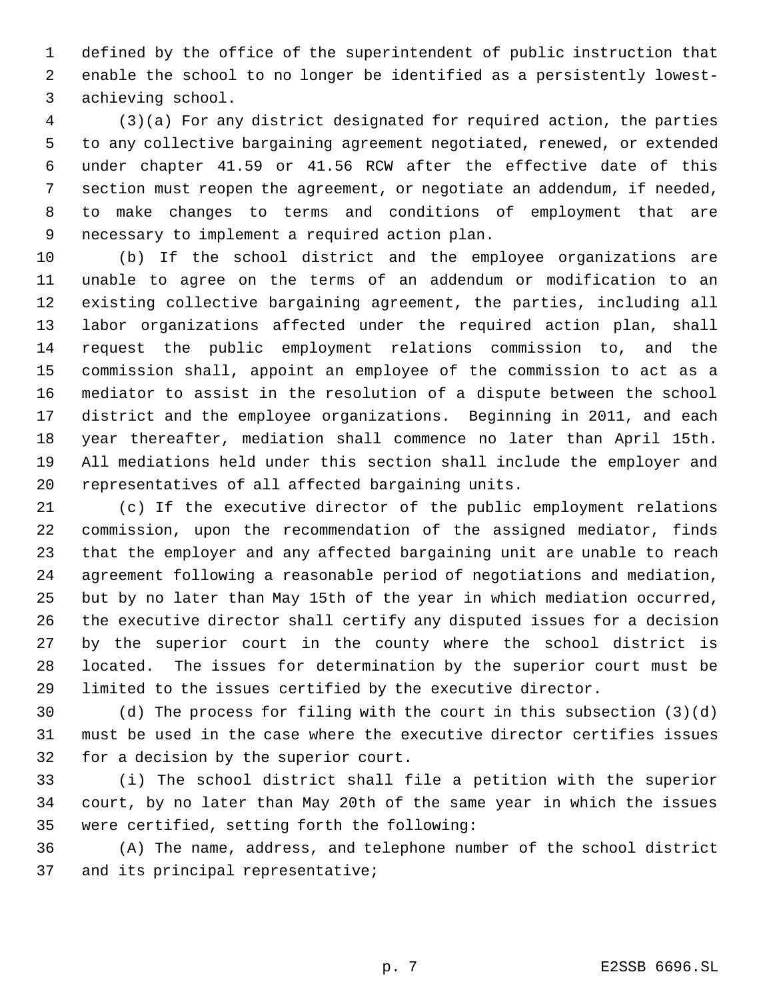defined by the office of the superintendent of public instruction that enable the school to no longer be identified as a persistently lowest- achieving school.

 (3)(a) For any district designated for required action, the parties to any collective bargaining agreement negotiated, renewed, or extended under chapter 41.59 or 41.56 RCW after the effective date of this section must reopen the agreement, or negotiate an addendum, if needed, to make changes to terms and conditions of employment that are necessary to implement a required action plan.

 (b) If the school district and the employee organizations are unable to agree on the terms of an addendum or modification to an existing collective bargaining agreement, the parties, including all labor organizations affected under the required action plan, shall request the public employment relations commission to, and the commission shall, appoint an employee of the commission to act as a mediator to assist in the resolution of a dispute between the school district and the employee organizations. Beginning in 2011, and each year thereafter, mediation shall commence no later than April 15th. All mediations held under this section shall include the employer and representatives of all affected bargaining units.

 (c) If the executive director of the public employment relations commission, upon the recommendation of the assigned mediator, finds that the employer and any affected bargaining unit are unable to reach agreement following a reasonable period of negotiations and mediation, but by no later than May 15th of the year in which mediation occurred, the executive director shall certify any disputed issues for a decision by the superior court in the county where the school district is located. The issues for determination by the superior court must be limited to the issues certified by the executive director.

 (d) The process for filing with the court in this subsection (3)(d) must be used in the case where the executive director certifies issues for a decision by the superior court.

 (i) The school district shall file a petition with the superior court, by no later than May 20th of the same year in which the issues were certified, setting forth the following:

 (A) The name, address, and telephone number of the school district and its principal representative;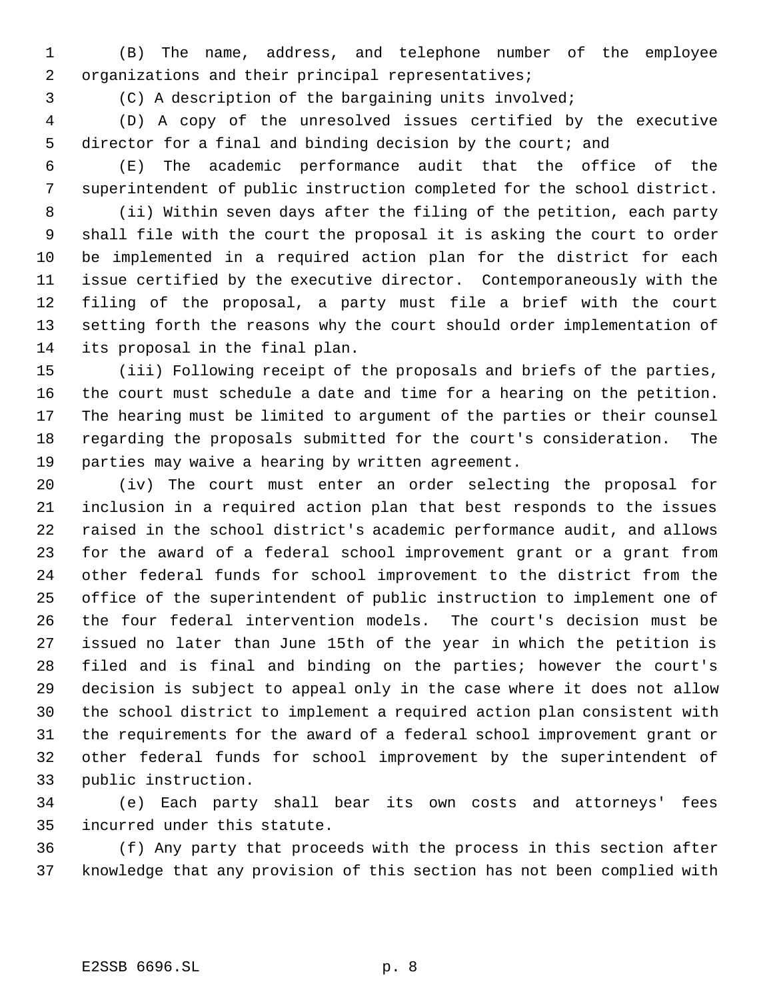(B) The name, address, and telephone number of the employee organizations and their principal representatives;

(C) A description of the bargaining units involved;

 (D) A copy of the unresolved issues certified by the executive 5 director for a final and binding decision by the court; and

- (E) The academic performance audit that the office of the
	-

 superintendent of public instruction completed for the school district. (ii) Within seven days after the filing of the petition, each party shall file with the court the proposal it is asking the court to order be implemented in a required action plan for the district for each issue certified by the executive director. Contemporaneously with the filing of the proposal, a party must file a brief with the court setting forth the reasons why the court should order implementation of

its proposal in the final plan.

 (iii) Following receipt of the proposals and briefs of the parties, the court must schedule a date and time for a hearing on the petition. The hearing must be limited to argument of the parties or their counsel regarding the proposals submitted for the court's consideration. The parties may waive a hearing by written agreement.

 (iv) The court must enter an order selecting the proposal for inclusion in a required action plan that best responds to the issues raised in the school district's academic performance audit, and allows for the award of a federal school improvement grant or a grant from other federal funds for school improvement to the district from the office of the superintendent of public instruction to implement one of the four federal intervention models. The court's decision must be issued no later than June 15th of the year in which the petition is filed and is final and binding on the parties; however the court's decision is subject to appeal only in the case where it does not allow the school district to implement a required action plan consistent with the requirements for the award of a federal school improvement grant or other federal funds for school improvement by the superintendent of public instruction.

 (e) Each party shall bear its own costs and attorneys' fees incurred under this statute.

 (f) Any party that proceeds with the process in this section after knowledge that any provision of this section has not been complied with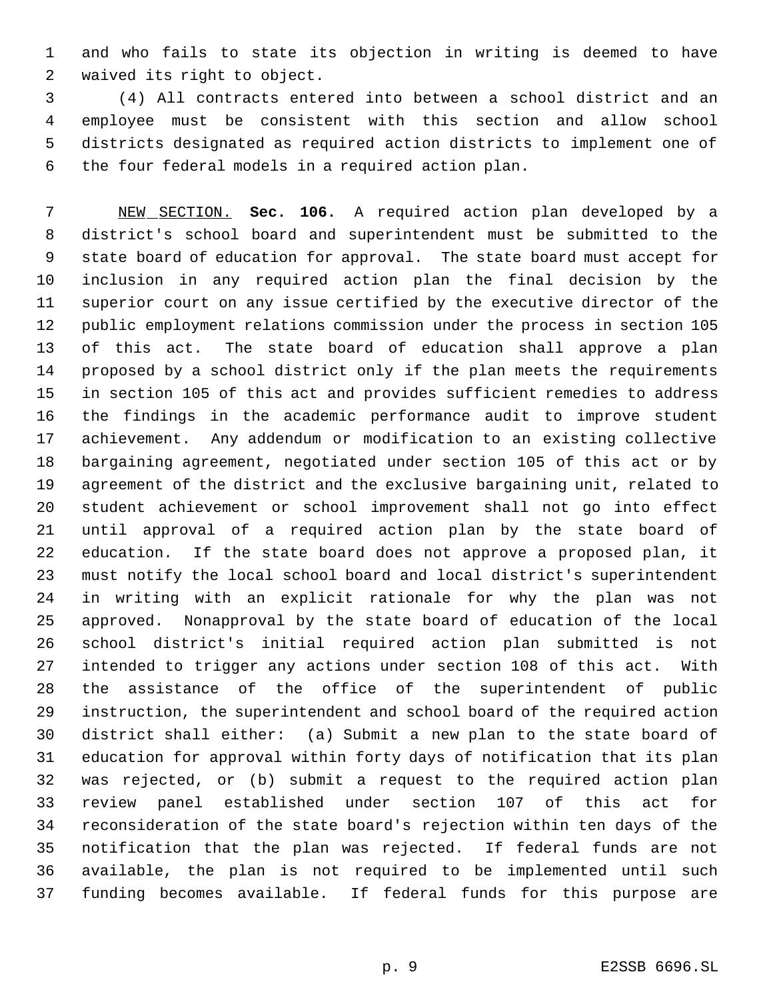and who fails to state its objection in writing is deemed to have waived its right to object.

 (4) All contracts entered into between a school district and an employee must be consistent with this section and allow school districts designated as required action districts to implement one of the four federal models in a required action plan.

 NEW SECTION. **Sec. 106.** A required action plan developed by a district's school board and superintendent must be submitted to the state board of education for approval. The state board must accept for inclusion in any required action plan the final decision by the superior court on any issue certified by the executive director of the public employment relations commission under the process in section 105 of this act. The state board of education shall approve a plan proposed by a school district only if the plan meets the requirements in section 105 of this act and provides sufficient remedies to address the findings in the academic performance audit to improve student achievement. Any addendum or modification to an existing collective bargaining agreement, negotiated under section 105 of this act or by agreement of the district and the exclusive bargaining unit, related to student achievement or school improvement shall not go into effect until approval of a required action plan by the state board of education. If the state board does not approve a proposed plan, it must notify the local school board and local district's superintendent in writing with an explicit rationale for why the plan was not approved. Nonapproval by the state board of education of the local school district's initial required action plan submitted is not intended to trigger any actions under section 108 of this act. With the assistance of the office of the superintendent of public instruction, the superintendent and school board of the required action district shall either: (a) Submit a new plan to the state board of education for approval within forty days of notification that its plan was rejected, or (b) submit a request to the required action plan review panel established under section 107 of this act for reconsideration of the state board's rejection within ten days of the notification that the plan was rejected. If federal funds are not available, the plan is not required to be implemented until such funding becomes available. If federal funds for this purpose are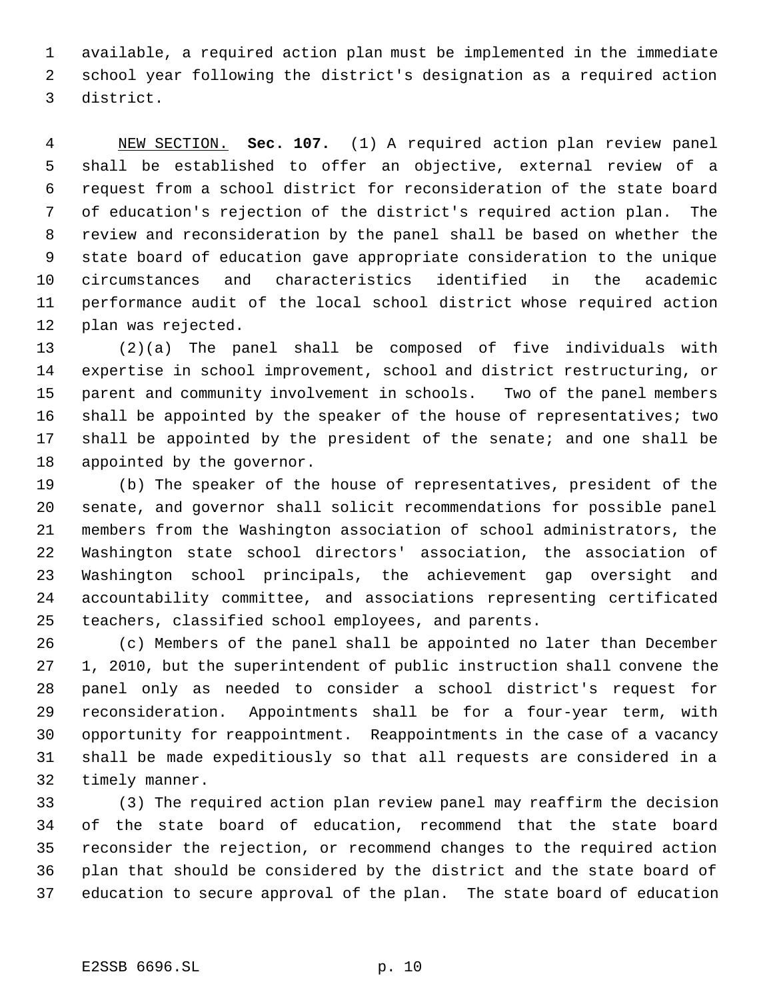available, a required action plan must be implemented in the immediate school year following the district's designation as a required action district.

 NEW SECTION. **Sec. 107.** (1) A required action plan review panel shall be established to offer an objective, external review of a request from a school district for reconsideration of the state board of education's rejection of the district's required action plan. The review and reconsideration by the panel shall be based on whether the state board of education gave appropriate consideration to the unique circumstances and characteristics identified in the academic performance audit of the local school district whose required action plan was rejected.

 (2)(a) The panel shall be composed of five individuals with expertise in school improvement, school and district restructuring, or parent and community involvement in schools. Two of the panel members 16 shall be appointed by the speaker of the house of representatives; two shall be appointed by the president of the senate; and one shall be appointed by the governor.

 (b) The speaker of the house of representatives, president of the senate, and governor shall solicit recommendations for possible panel members from the Washington association of school administrators, the Washington state school directors' association, the association of Washington school principals, the achievement gap oversight and accountability committee, and associations representing certificated teachers, classified school employees, and parents.

 (c) Members of the panel shall be appointed no later than December 1, 2010, but the superintendent of public instruction shall convene the panel only as needed to consider a school district's request for reconsideration. Appointments shall be for a four-year term, with opportunity for reappointment. Reappointments in the case of a vacancy shall be made expeditiously so that all requests are considered in a timely manner.

 (3) The required action plan review panel may reaffirm the decision of the state board of education, recommend that the state board reconsider the rejection, or recommend changes to the required action plan that should be considered by the district and the state board of education to secure approval of the plan. The state board of education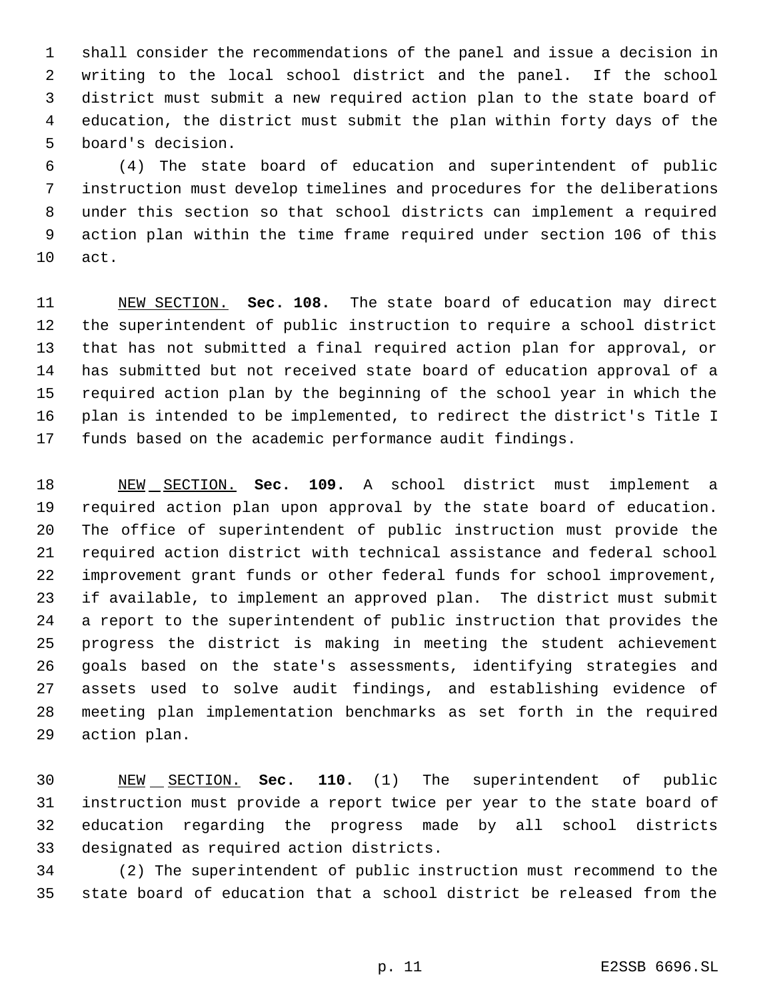shall consider the recommendations of the panel and issue a decision in writing to the local school district and the panel. If the school district must submit a new required action plan to the state board of education, the district must submit the plan within forty days of the board's decision.

 (4) The state board of education and superintendent of public instruction must develop timelines and procedures for the deliberations under this section so that school districts can implement a required action plan within the time frame required under section 106 of this act.

 NEW SECTION. **Sec. 108.** The state board of education may direct the superintendent of public instruction to require a school district that has not submitted a final required action plan for approval, or has submitted but not received state board of education approval of a required action plan by the beginning of the school year in which the plan is intended to be implemented, to redirect the district's Title I funds based on the academic performance audit findings.

 NEW SECTION. **Sec. 109.** A school district must implement a required action plan upon approval by the state board of education. The office of superintendent of public instruction must provide the required action district with technical assistance and federal school improvement grant funds or other federal funds for school improvement, if available, to implement an approved plan. The district must submit a report to the superintendent of public instruction that provides the progress the district is making in meeting the student achievement goals based on the state's assessments, identifying strategies and assets used to solve audit findings, and establishing evidence of meeting plan implementation benchmarks as set forth in the required action plan.

 NEW SECTION. **Sec. 110.** (1) The superintendent of public instruction must provide a report twice per year to the state board of education regarding the progress made by all school districts designated as required action districts.

 (2) The superintendent of public instruction must recommend to the state board of education that a school district be released from the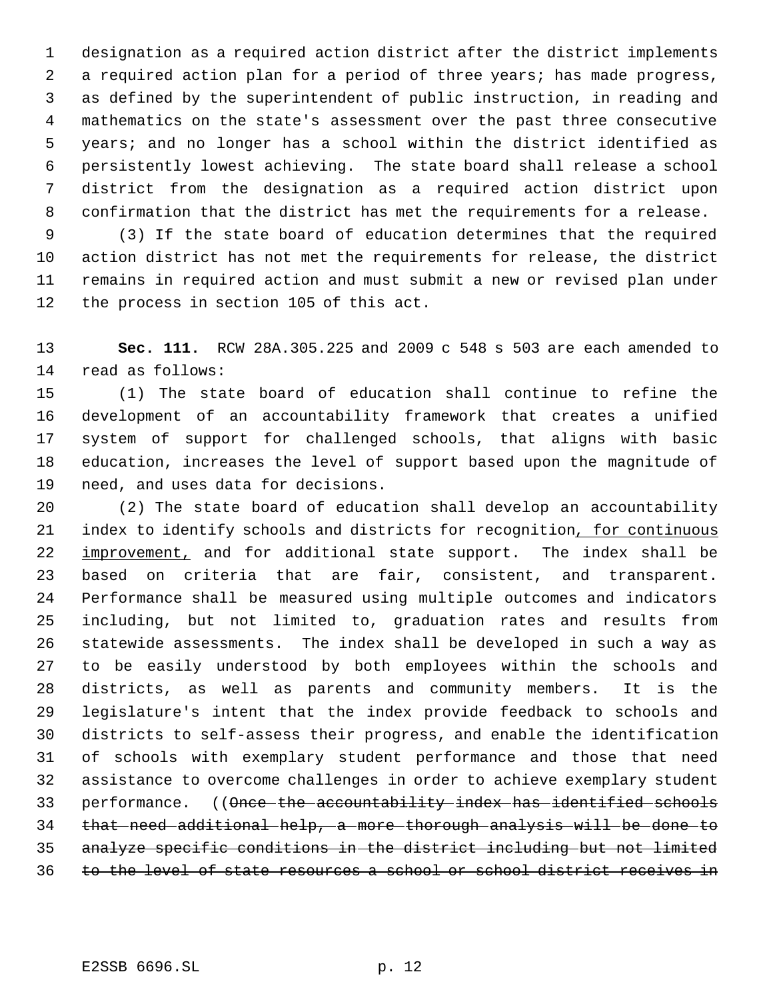designation as a required action district after the district implements a required action plan for a period of three years; has made progress, as defined by the superintendent of public instruction, in reading and mathematics on the state's assessment over the past three consecutive years; and no longer has a school within the district identified as persistently lowest achieving. The state board shall release a school district from the designation as a required action district upon confirmation that the district has met the requirements for a release.

 (3) If the state board of education determines that the required action district has not met the requirements for release, the district remains in required action and must submit a new or revised plan under the process in section 105 of this act.

 **Sec. 111.** RCW 28A.305.225 and 2009 c 548 s 503 are each amended to read as follows:

 (1) The state board of education shall continue to refine the development of an accountability framework that creates a unified system of support for challenged schools, that aligns with basic education, increases the level of support based upon the magnitude of need, and uses data for decisions.

 (2) The state board of education shall develop an accountability 21 index to identify schools and districts for recognition, for continuous 22 improvement, and for additional state support. The index shall be based on criteria that are fair, consistent, and transparent. Performance shall be measured using multiple outcomes and indicators including, but not limited to, graduation rates and results from statewide assessments. The index shall be developed in such a way as to be easily understood by both employees within the schools and districts, as well as parents and community members. It is the legislature's intent that the index provide feedback to schools and districts to self-assess their progress, and enable the identification of schools with exemplary student performance and those that need assistance to overcome challenges in order to achieve exemplary student 33 performance. ((Once the accountability index has identified schools that need additional help, a more thorough analysis will be done to analyze specific conditions in the district including but not limited to the level of state resources a school or school district receives in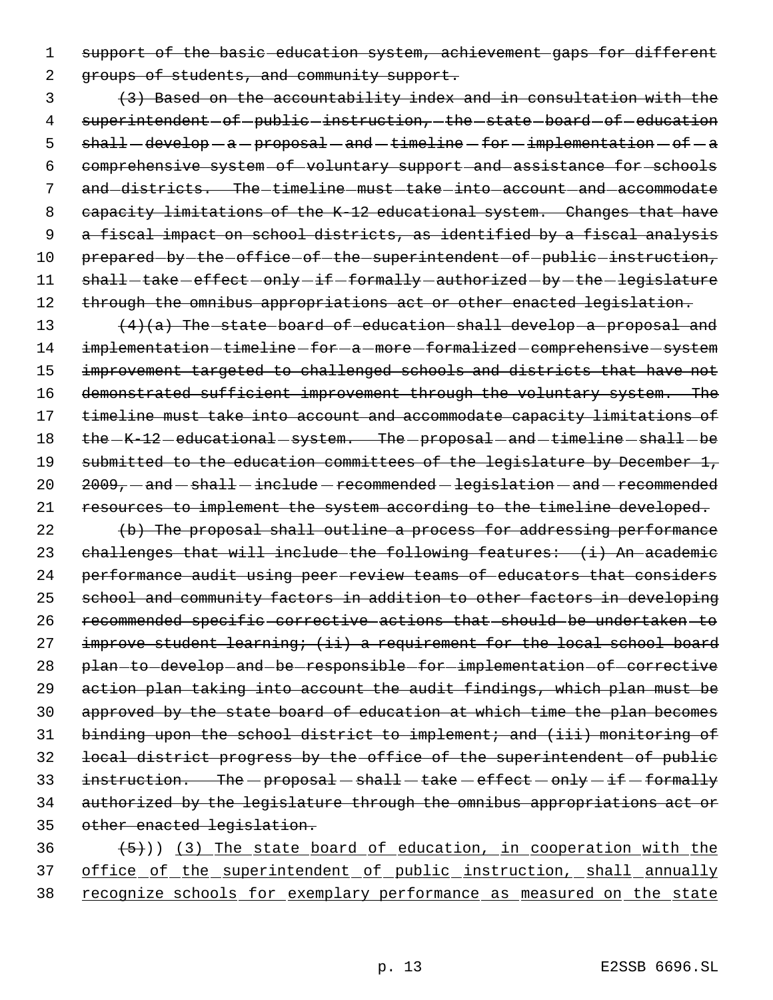1 support of the basic education system, achievement gaps for different

2 groups of students, and community support.

 3 (3) Based on the accountability index and in consultation with the 4 superintendent-of-public-instruction,-the-state-board-of-education 5  $shall-develop-a-proposal-and-time—for - implementation-of-a$  6 comprehensive system of voluntary support and assistance for schools 7 and districts. The timeline must take into account and accommodate 8 capacity limitations of the K-12 educational system. Changes that have 9 a fiscal impact on school districts, as identified by a fiscal analysis 10 prepared-by-the-office-of-the-superintendent-of-public-instruction, 11 shall-take-effect-only-if-formally-authorized-by-the-legislature 12 through the omnibus appropriations act or other enacted legislation.

13 (4)(a) The state board of education shall develop a proposal and 14 implementation-timeline-for-a-more-formalized-comprehensive-system 15 improvement targeted to challenged schools and districts that have not 16 demonstrated sufficient improvement through the voluntary system. The 17 timeline must take into account and accommodate capacity limitations of 18 the  $-K-12$  -educational system. The proposal and timeline shall be 19 submitted to the education committees of the legislature by December 1,  $20$   $2009 -$  and  $-$  shall  $-$  include  $-$  recommended  $-$  legislation  $-$  and  $-$  recommended 21 resources to implement the system according to the timeline developed.

22 (b) The proposal shall outline a process for addressing performance challenges that will include the following features: (i) An academic performance audit using peer review teams of educators that considers school and community factors in addition to other factors in developing recommended specific corrective actions that should be undertaken to 27 improve student learning; (ii) a requirement for the local school board plan to develop and be responsible for implementation of corrective action plan taking into account the audit findings, which plan must be approved by the state board of education at which time the plan becomes binding upon the school district to implement; and (iii) monitoring of local district progress by the office of the superintendent of public 33 instruction. The  $-p$ roposal  $-\text{ shall}-\text{take}-\text{effect}-\text{only}-\text{if}-\text{formally}$  authorized by the legislature through the omnibus appropriations act or other enacted legislation.

 $(36 + 5)$ ) (3) The state board of education, in cooperation with the 37 office of the superintendent of public instruction, shall annually 38 recognize schools for exemplary performance as measured on the state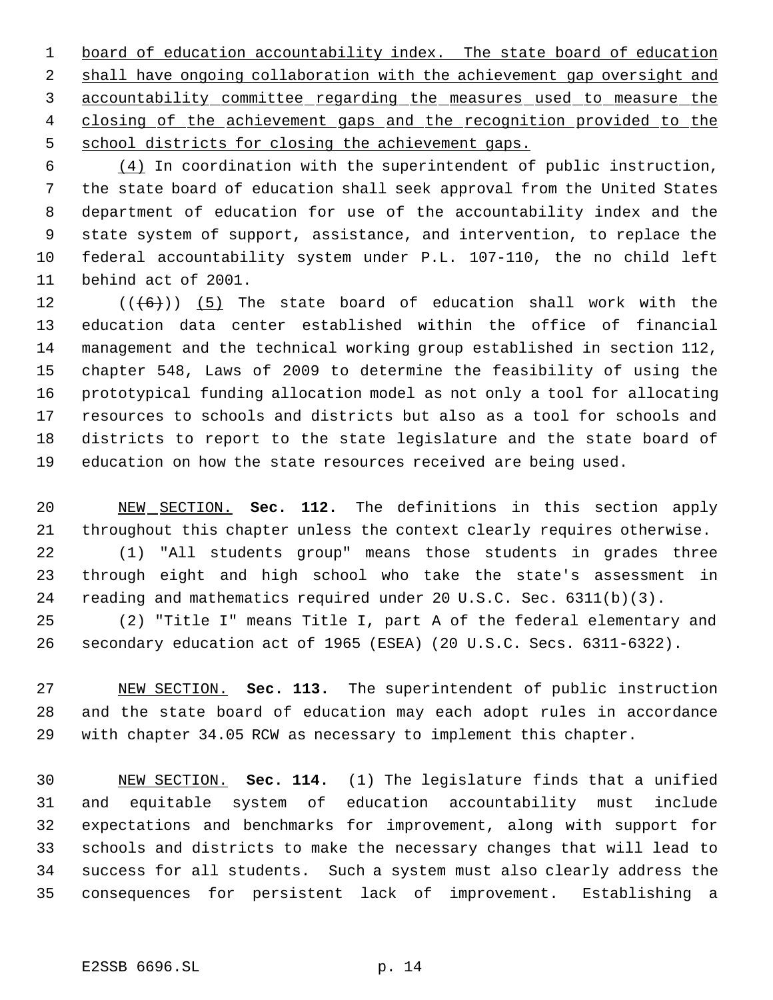1 board of education accountability index. The state board of education 2 shall have ongoing collaboration with the achievement gap oversight and accountability committee regarding the measures used to measure the 4 closing of the achievement gaps and the recognition provided to the 5 school districts for closing the achievement gaps.

 $\frac{(4)}{1}$  In coordination with the superintendent of public instruction, the state board of education shall seek approval from the United States department of education for use of the accountability index and the state system of support, assistance, and intervention, to replace the federal accountability system under P.L. 107-110, the no child left behind act of 2001.

 $((\langle 6 \rangle) )$  (5) The state board of education shall work with the education data center established within the office of financial management and the technical working group established in section 112, chapter 548, Laws of 2009 to determine the feasibility of using the prototypical funding allocation model as not only a tool for allocating resources to schools and districts but also as a tool for schools and districts to report to the state legislature and the state board of education on how the state resources received are being used.

 NEW SECTION. **Sec. 112.** The definitions in this section apply throughout this chapter unless the context clearly requires otherwise.

 (1) "All students group" means those students in grades three through eight and high school who take the state's assessment in reading and mathematics required under 20 U.S.C. Sec. 6311(b)(3).

 (2) "Title I" means Title I, part A of the federal elementary and secondary education act of 1965 (ESEA) (20 U.S.C. Secs. 6311-6322).

 NEW SECTION. **Sec. 113.** The superintendent of public instruction and the state board of education may each adopt rules in accordance with chapter 34.05 RCW as necessary to implement this chapter.

 NEW SECTION. **Sec. 114.** (1) The legislature finds that a unified and equitable system of education accountability must include expectations and benchmarks for improvement, along with support for schools and districts to make the necessary changes that will lead to success for all students. Such a system must also clearly address the consequences for persistent lack of improvement. Establishing a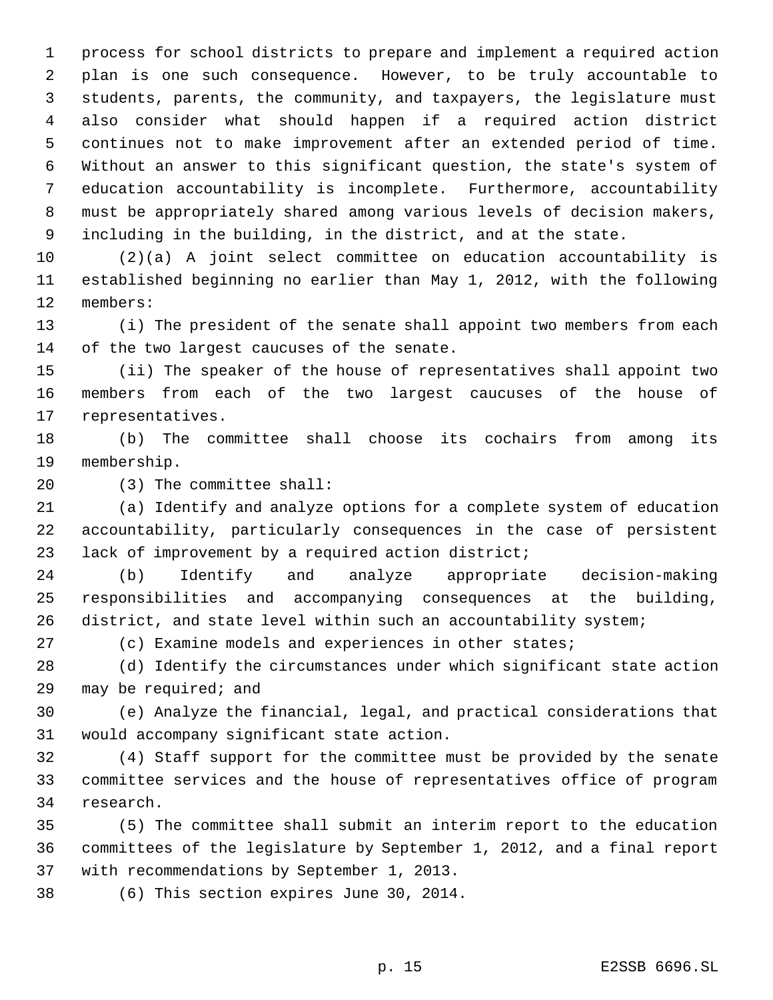process for school districts to prepare and implement a required action plan is one such consequence. However, to be truly accountable to students, parents, the community, and taxpayers, the legislature must also consider what should happen if a required action district continues not to make improvement after an extended period of time. Without an answer to this significant question, the state's system of education accountability is incomplete. Furthermore, accountability must be appropriately shared among various levels of decision makers, including in the building, in the district, and at the state.

 (2)(a) A joint select committee on education accountability is established beginning no earlier than May 1, 2012, with the following members:

 (i) The president of the senate shall appoint two members from each of the two largest caucuses of the senate.

 (ii) The speaker of the house of representatives shall appoint two members from each of the two largest caucuses of the house of representatives.

 (b) The committee shall choose its cochairs from among its membership.

(3) The committee shall:

 (a) Identify and analyze options for a complete system of education accountability, particularly consequences in the case of persistent lack of improvement by a required action district;

 (b) Identify and analyze appropriate decision-making responsibilities and accompanying consequences at the building, district, and state level within such an accountability system;

(c) Examine models and experiences in other states;

 (d) Identify the circumstances under which significant state action may be required; and

 (e) Analyze the financial, legal, and practical considerations that would accompany significant state action.

 (4) Staff support for the committee must be provided by the senate committee services and the house of representatives office of program research.

 (5) The committee shall submit an interim report to the education committees of the legislature by September 1, 2012, and a final report with recommendations by September 1, 2013.

(6) This section expires June 30, 2014.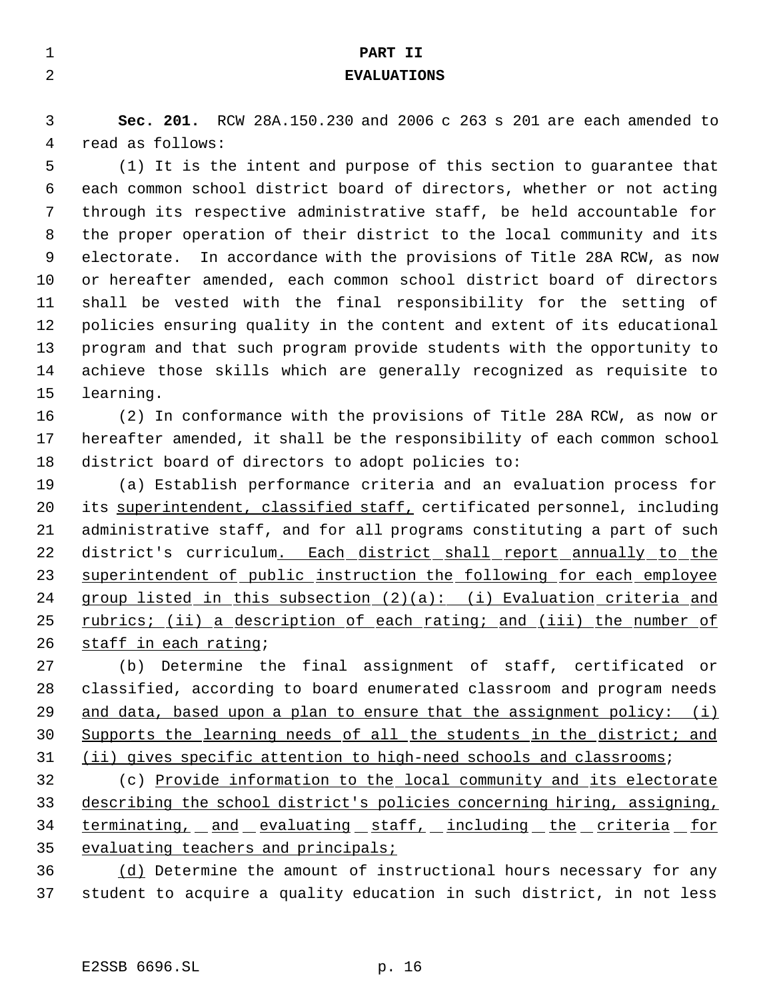| $\mathbf{1}$ | PART II                                                                 |
|--------------|-------------------------------------------------------------------------|
| 2            | <b>EVALUATIONS</b>                                                      |
| 3            | Sec. 201. RCW 28A.150.230 and 2006 c 263 s 201 are each amended to      |
| 4            | read as follows:                                                        |
| 5            | (1) It is the intent and purpose of this section to quarantee that      |
| 6            | each common school district board of directors, whether or not acting   |
| 7            | through its respective administrative staff, be held accountable for    |
| 8            | the proper operation of their district to the local community and its   |
| 9            | electorate. In accordance with the provisions of Title 28A RCW, as now  |
| 10           | or hereafter amended, each common school district board of directors    |
| 11           | shall be vested with the final responsibility for the setting of        |
| 12           | policies ensuring quality in the content and extent of its educational  |
| 13           | program and that such program provide students with the opportunity to  |
| 14           | achieve those skills which are generally recognized as requisite to     |
| 15           | learning.                                                               |
| 16           | (2) In conformance with the provisions of Title 28A RCW, as now or      |
| 17           | hereafter amended, it shall be the responsibility of each common school |
| 18           | district board of directors to adopt policies to:                       |
| 19           | (a) Establish performance criteria and an evaluation process for        |
| 20           | its superintendent, classified staff, certificated personnel, including |
| 21           | administrative staff, and for all programs constituting a part of such  |
| 22           | district's curriculum. Each district shall report annually to the       |
| 23           | superintendent of public instruction the following for each employee    |
| 24           | group listed in this subsection (2)(a): (i) Evaluation criteria and     |
| 25           | rubrics; (ii) a description of each rating; and (iii) the number of     |
| 26           | staff in each rating;                                                   |
| 27           | (b) Determine the final assignment of staff, certificated or            |
| 28           | classified, according to board enumerated classroom and program needs   |
| 29           | and data, based upon a plan to ensure that the assignment policy: (i)   |
| 30           | Supports the learning needs of all the students in the district; and    |
| 31           | (ii) gives specific attention to high-need schools and classrooms;      |
| 32           | (c) Provide information to the local community and its electorate       |
| 33           | describing the school district's policies concerning hiring, assigning, |
| 34           | terminating, and evaluating staff, including the criteria for           |
| 35           | evaluating teachers and principals;                                     |
| 36           | (d) Determine the amount of instructional hours necessary for any       |
| 37           | student to acquire a quality education in such district, in not less    |
|              |                                                                         |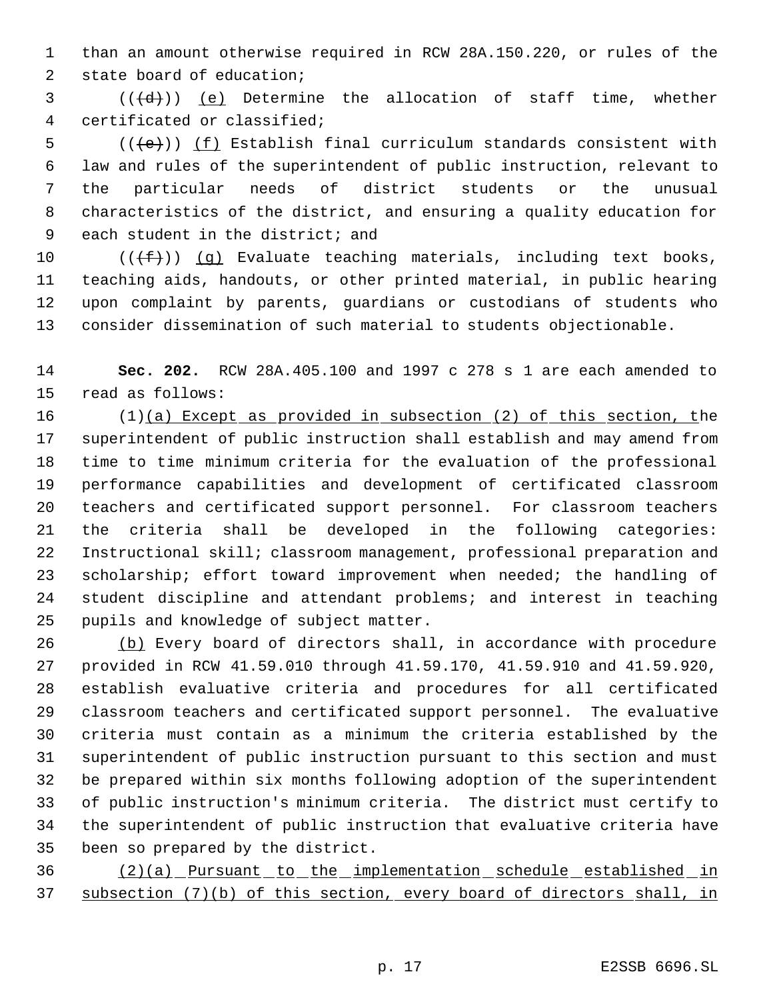than an amount otherwise required in RCW 28A.150.220, or rules of the state board of education;

 (( $\left(\frac{d}{d} \right)$ ) (e) Determine the allocation of staff time, whether certificated or classified;

 $((e))$   $(f)$  Establish final curriculum standards consistent with law and rules of the superintendent of public instruction, relevant to the particular needs of district students or the unusual characteristics of the district, and ensuring a quality education for each student in the district; and

 $((\text{#}))$  (q) Evaluate teaching materials, including text books, teaching aids, handouts, or other printed material, in public hearing upon complaint by parents, guardians or custodians of students who consider dissemination of such material to students objectionable.

 **Sec. 202.** RCW 28A.405.100 and 1997 c 278 s 1 are each amended to read as follows:

 (1)(a) Except as provided in subsection (2) of this section, the superintendent of public instruction shall establish and may amend from time to time minimum criteria for the evaluation of the professional performance capabilities and development of certificated classroom teachers and certificated support personnel. For classroom teachers the criteria shall be developed in the following categories: Instructional skill; classroom management, professional preparation and 23 scholarship; effort toward improvement when needed; the handling of student discipline and attendant problems; and interest in teaching pupils and knowledge of subject matter.

 (b) Every board of directors shall, in accordance with procedure provided in RCW 41.59.010 through 41.59.170, 41.59.910 and 41.59.920, establish evaluative criteria and procedures for all certificated classroom teachers and certificated support personnel. The evaluative criteria must contain as a minimum the criteria established by the superintendent of public instruction pursuant to this section and must be prepared within six months following adoption of the superintendent of public instruction's minimum criteria. The district must certify to the superintendent of public instruction that evaluative criteria have been so prepared by the district.

36 (2)(a) Pursuant to the implementation schedule established in subsection (7)(b) of this section, every board of directors shall, in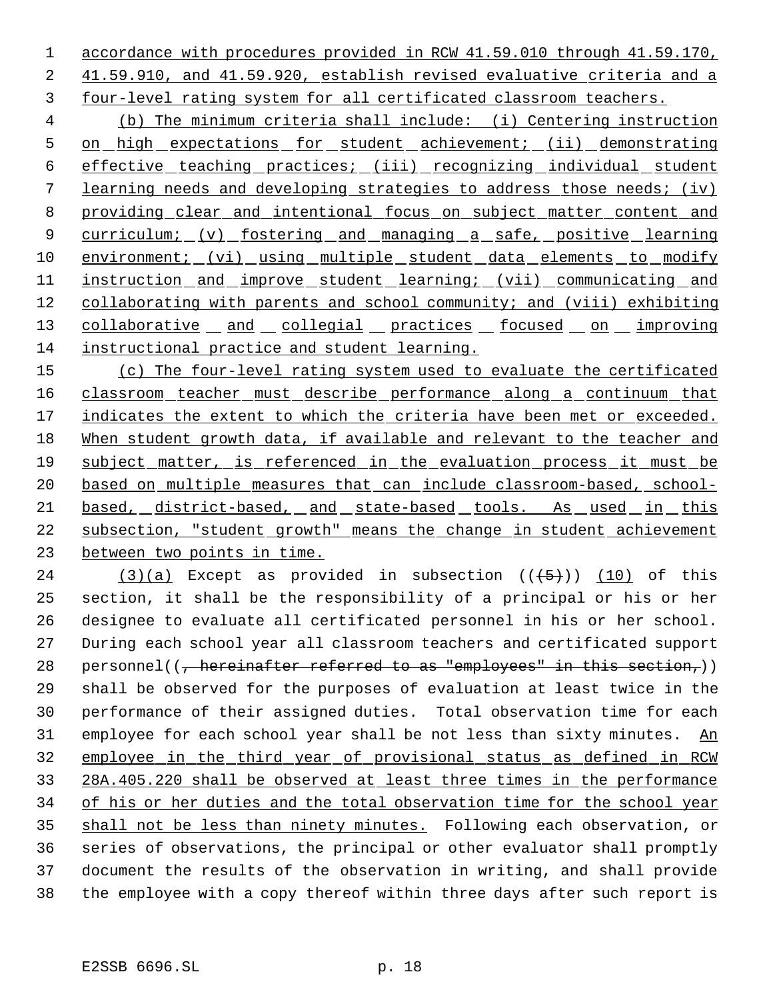accordance with procedures provided in RCW 41.59.010 through 41.59.170, 41.59.910, and 41.59.920, establish revised evaluative criteria and a four-level rating system for all certificated classroom teachers.

 (b) The minimum criteria shall include: (i) Centering instruction 5 on high expectations for student achievement; (ii) demonstrating 6 effective teaching practices; (iii) recognizing individual student learning needs and developing strategies to address those needs; (iv) providing clear and intentional focus on subject matter content and 9 curriculum; (v) fostering and managing a safe, positive learning 10 environment; (vi) using multiple student data elements to modify 11 instruction and improve student learning; (vii) communicating and 12 collaborating with parents and school community; and (viii) exhibiting 13 collaborative and collegial practices focused on improving instructional practice and student learning.

 (c) The four-level rating system used to evaluate the certificated classroom teacher must describe performance along a continuum that 17 indicates the extent to which the criteria have been met or exceeded. When student growth data, if available and relevant to the teacher and subject matter, is referenced in the evaluation process it must be based on multiple measures that can include classroom-based, school- based, district-based, and state-based tools. As used in this subsection, "student growth" means the change in student achievement between two points in time.

24 (3)(a) Except as provided in subsection  $((+5))$  (10) of this section, it shall be the responsibility of a principal or his or her designee to evaluate all certificated personnel in his or her school. During each school year all classroom teachers and certificated support 28 personnel(( $\frac{1}{f}$  hereinafter referred to as "employees" in this section,)) shall be observed for the purposes of evaluation at least twice in the performance of their assigned duties. Total observation time for each 31 employee for each school year shall be not less than sixty minutes. An employee in the third year of provisional status as defined in RCW 28A.405.220 shall be observed at least three times in the performance 34 of his or her duties and the total observation time for the school year 35 shall not be less than ninety minutes. Following each observation, or series of observations, the principal or other evaluator shall promptly document the results of the observation in writing, and shall provide the employee with a copy thereof within three days after such report is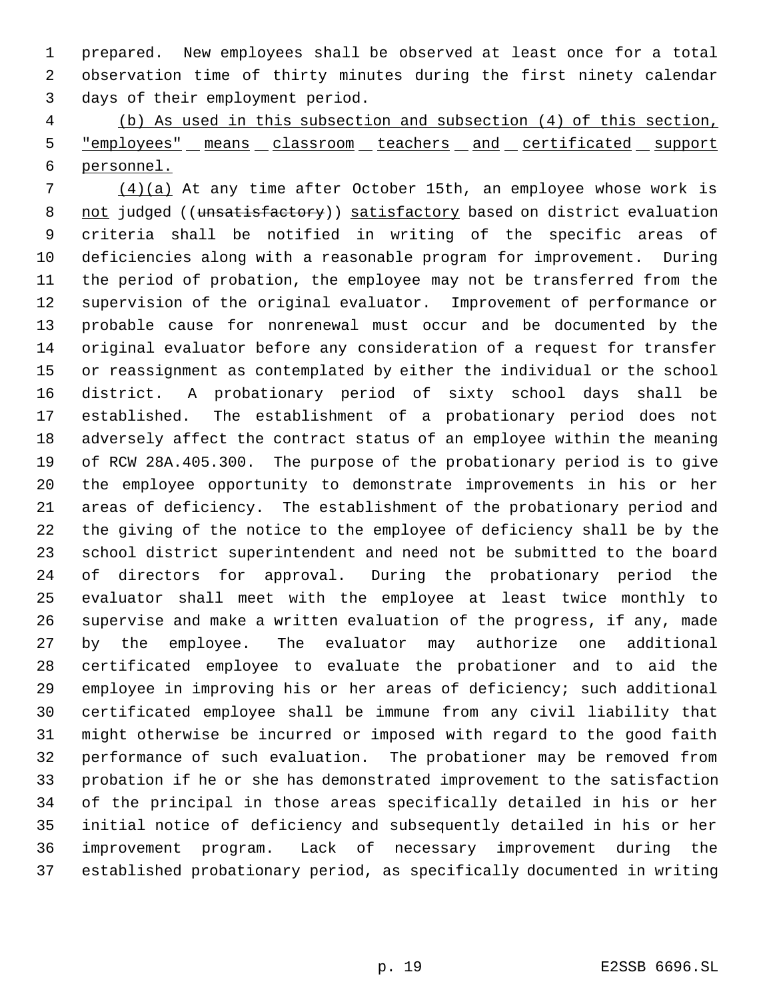prepared. New employees shall be observed at least once for a total observation time of thirty minutes during the first ninety calendar days of their employment period.

 (b) As used in this subsection and subsection (4) of this section, 5 "employees" means classroom teachers and certificated support personnel.

 (4)(a) At any time after October 15th, an employee whose work is 8 not judged ((unsatisfactory)) satisfactory based on district evaluation criteria shall be notified in writing of the specific areas of deficiencies along with a reasonable program for improvement. During the period of probation, the employee may not be transferred from the supervision of the original evaluator. Improvement of performance or probable cause for nonrenewal must occur and be documented by the original evaluator before any consideration of a request for transfer or reassignment as contemplated by either the individual or the school district. A probationary period of sixty school days shall be established. The establishment of a probationary period does not adversely affect the contract status of an employee within the meaning of RCW 28A.405.300. The purpose of the probationary period is to give the employee opportunity to demonstrate improvements in his or her areas of deficiency. The establishment of the probationary period and the giving of the notice to the employee of deficiency shall be by the school district superintendent and need not be submitted to the board of directors for approval. During the probationary period the evaluator shall meet with the employee at least twice monthly to supervise and make a written evaluation of the progress, if any, made by the employee. The evaluator may authorize one additional certificated employee to evaluate the probationer and to aid the employee in improving his or her areas of deficiency; such additional certificated employee shall be immune from any civil liability that might otherwise be incurred or imposed with regard to the good faith performance of such evaluation. The probationer may be removed from probation if he or she has demonstrated improvement to the satisfaction of the principal in those areas specifically detailed in his or her initial notice of deficiency and subsequently detailed in his or her improvement program. Lack of necessary improvement during the established probationary period, as specifically documented in writing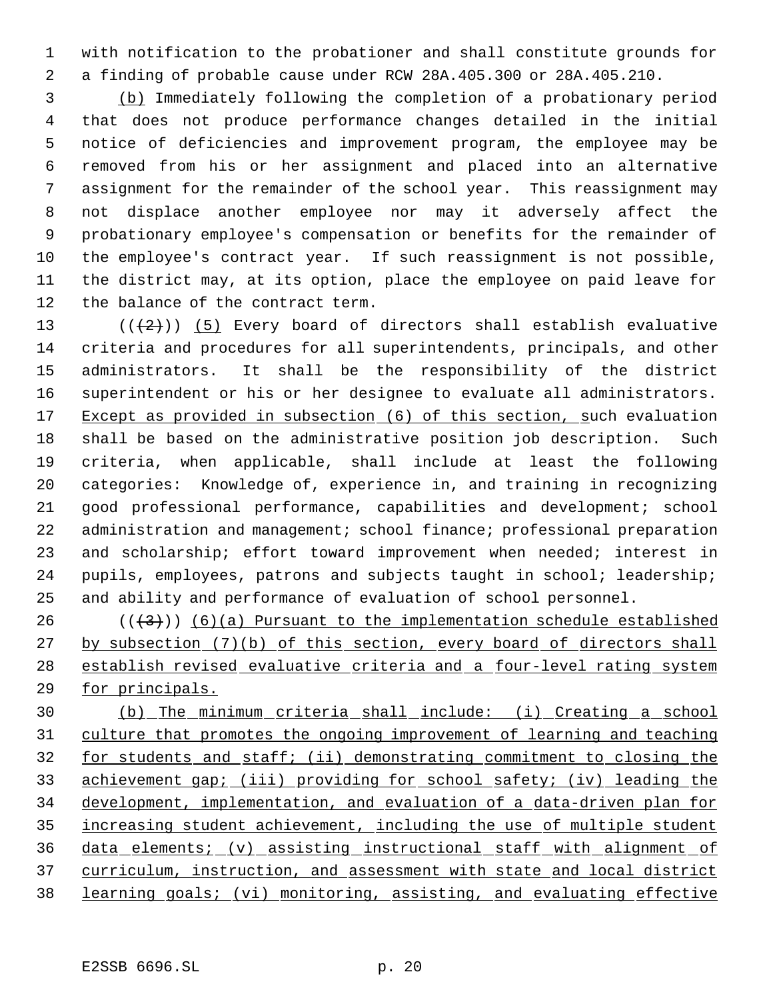with notification to the probationer and shall constitute grounds for a finding of probable cause under RCW 28A.405.300 or 28A.405.210.

 (b) Immediately following the completion of a probationary period that does not produce performance changes detailed in the initial notice of deficiencies and improvement program, the employee may be removed from his or her assignment and placed into an alternative assignment for the remainder of the school year. This reassignment may not displace another employee nor may it adversely affect the probationary employee's compensation or benefits for the remainder of the employee's contract year. If such reassignment is not possible, the district may, at its option, place the employee on paid leave for the balance of the contract term.

 $((+2))$   $(5)$  Every board of directors shall establish evaluative criteria and procedures for all superintendents, principals, and other administrators. It shall be the responsibility of the district superintendent or his or her designee to evaluate all administrators. 17 Except as provided in subsection (6) of this section, such evaluation shall be based on the administrative position job description. Such criteria, when applicable, shall include at least the following categories: Knowledge of, experience in, and training in recognizing good professional performance, capabilities and development; school 22 administration and management; school finance; professional preparation 23 and scholarship; effort toward improvement when needed; interest in pupils, employees, patrons and subjects taught in school; leadership; and ability and performance of evaluation of school personnel.

 $((+3))$  (6)(a) Pursuant to the implementation schedule established 27 by subsection (7)(b) of this section, every board of directors shall establish revised evaluative criteria and a four-level rating system for principals.

 (b) The minimum criteria shall include: (i) Creating a school culture that promotes the ongoing improvement of learning and teaching for students and staff; (ii) demonstrating commitment to closing the achievement gap; (iii) providing for school safety; (iv) leading the development, implementation, and evaluation of a data-driven plan for increasing student achievement, including the use of multiple student data elements; (v) assisting instructional staff with alignment of curriculum, instruction, and assessment with state and local district learning goals; (vi) monitoring, assisting, and evaluating effective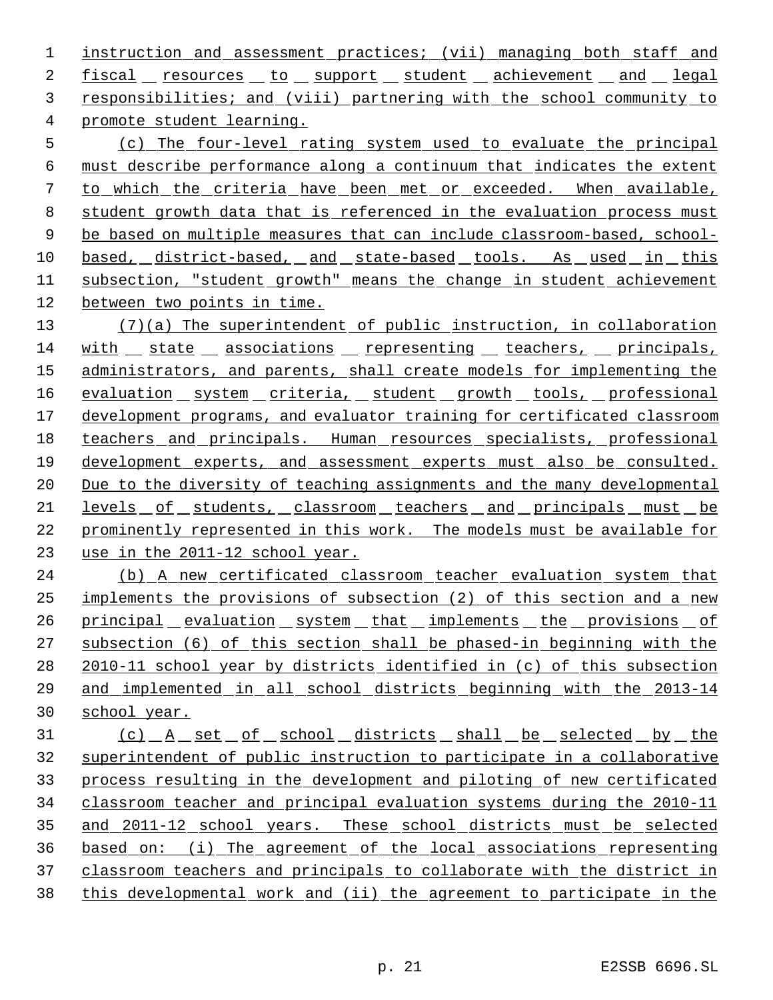1 instruction and assessment practices; (vii) managing both staff and 2 fiscal resources to support student achievement and legal responsibilities; and (viii) partnering with the school community to promote student learning.

 (c) The four-level rating system used to evaluate the principal must describe performance along a continuum that indicates the extent to which the criteria have been met or exceeded. When available, student growth data that is referenced in the evaluation process must 9 be based on multiple measures that can include classroom-based, school-10 based, district-based, and state-based tools. As used in this 11 subsection, "student growth" means the change in student achievement between two points in time.

 (7)(a) The superintendent of public instruction, in collaboration 14 with state associations representing teachers, principals, 15 administrators, and parents, shall create models for implementing the 16 evaluation system criteria, student growth tools, professional 17 development programs, and evaluator training for certificated classroom 18 teachers and principals. Human resources specialists, professional development experts, and assessment experts must also be consulted. Due to the diversity of teaching assignments and the many developmental 21 <u>levels of students, classroom teachers and principals must be</u> prominently represented in this work. The models must be available for use in the 2011-12 school year.

 (b) A new certificated classroom teacher evaluation system that implements the provisions of subsection (2) of this section and a new 26 principal evaluation system that implements the provisions of subsection (6) of this section shall be phased-in beginning with the 2010-11 school year by districts identified in (c) of this subsection and implemented in all school districts beginning with the 2013-14 school year.

31 (c) A set of school districts shall be selected by the superintendent of public instruction to participate in a collaborative process resulting in the development and piloting of new certificated classroom teacher and principal evaluation systems during the 2010-11 35 and 2011-12 school years. These school districts must be selected based on: (i) The agreement of the local associations representing classroom teachers and principals to collaborate with the district in this developmental work and (ii) the agreement to participate in the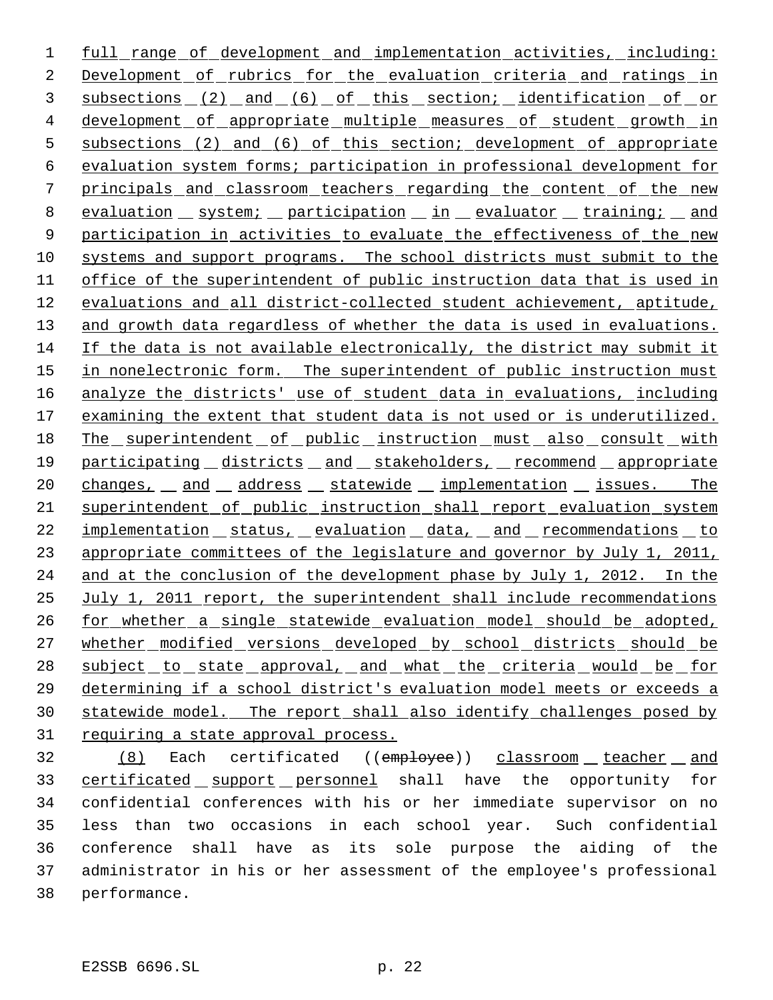1 full range of development and implementation activities, including: 2 Development of rubrics for the evaluation criteria and ratings in 3 subsections (2) and (6) of this section; identification of or 4 development of appropriate multiple measures of student growth in 5 subsections (2) and (6) of this section; development of appropriate 6 evaluation system forms; participation in professional development for 7 principals and classroom teachers regarding the content of the new 8 evaluation system; participation in evaluator training; and 9 participation in activities to evaluate the effectiveness of the new 10 systems and support programs. The school districts must submit to the 11 office of the superintendent of public instruction data that is used in 12 evaluations and all district-collected student achievement, aptitude, 13 and growth data regardless of whether the data is used in evaluations. 14 If the data is not available electronically, the district may submit it 15 in nonelectronic form. The superintendent of public instruction must 16 analyze the districts' use of student data in evaluations, including 17 examining the extent that student data is not used or is underutilized. 18 The superintendent of public instruction must also consult with 19 participating districts and stakeholders, recommend appropriate 20 changes, and address statewide implementation issues. The 21 superintendent of public instruction shall report evaluation system 22 implementation status, evaluation data, and recommendations to 23 appropriate committees of the legislature and governor by July 1, 2011, 24 and at the conclusion of the development phase by July 1, 2012. In the 25 July 1, 2011 report, the superintendent shall include recommendations 26 for whether a single statewide evaluation model should be adopted, 27 whether modified versions developed by school districts should be 28 subject to state approval, and what the criteria would be for 29 determining if a school district's evaluation model meets or exceeds a 30 statewide model. The report shall also identify challenges posed by 31 requiring a state approval process.

32 (8) Each certificated ((employee)) classroom teacher and 33 certificated support personnel shall have the opportunity for confidential conferences with his or her immediate supervisor on no less than two occasions in each school year. Such confidential conference shall have as its sole purpose the aiding of the administrator in his or her assessment of the employee's professional performance.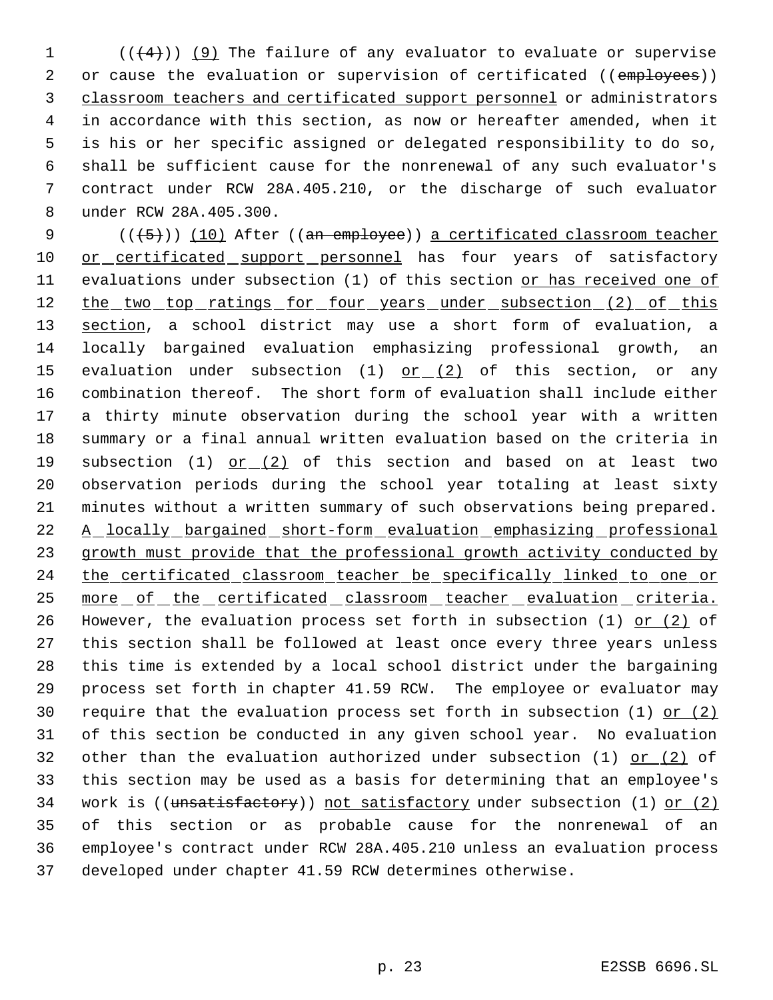$((+4))$  (9) The failure of any evaluator to evaluate or supervise 2 or cause the evaluation or supervision of certificated ((employees)) classroom teachers and certificated support personnel or administrators in accordance with this section, as now or hereafter amended, when it is his or her specific assigned or delegated responsibility to do so, shall be sufficient cause for the nonrenewal of any such evaluator's contract under RCW 28A.405.210, or the discharge of such evaluator under RCW 28A.405.300.

9 (((+5))) (10) After ((an employee)) a certificated classroom teacher 10 or certificated support personnel has four years of satisfactory 11 evaluations under subsection (1) of this section or has received one of 12 the two top ratings for four years under subsection (2) of this 13 section, a school district may use a short form of evaluation, a 14 locally bargained evaluation emphasizing professional growth, an 15 evaluation under subsection (1)  $or (2)$  of this section, or any 16 combination thereof. The short form of evaluation shall include either 17 a thirty minute observation during the school year with a written 18 summary or a final annual written evaluation based on the criteria in 19 subsection (1) or (2) of this section and based on at least two 20 observation periods during the school year totaling at least sixty 21 minutes without a written summary of such observations being prepared. 22 A locally bargained short-form evaluation emphasizing professional 23 growth must provide that the professional growth activity conducted by 24 the certificated classroom teacher be specifically linked to one or 25 more of the certificated classroom teacher evaluation criteria. 26 However, the evaluation process set forth in subsection  $(1)$  or  $(2)$  of 27 this section shall be followed at least once every three years unless 28 this time is extended by a local school district under the bargaining 29 process set forth in chapter 41.59 RCW. The employee or evaluator may 30 require that the evaluation process set forth in subsection (1) or  $(2)$ 31 of this section be conducted in any given school year. No evaluation 32 other than the evaluation authorized under subsection (1) or (2) of 33 this section may be used as a basis for determining that an employee's 34 work is ((unsatisfactory)) not satisfactory under subsection (1) or (2) 35 of this section or as probable cause for the nonrenewal of an 36 employee's contract under RCW 28A.405.210 unless an evaluation process 37 developed under chapter 41.59 RCW determines otherwise.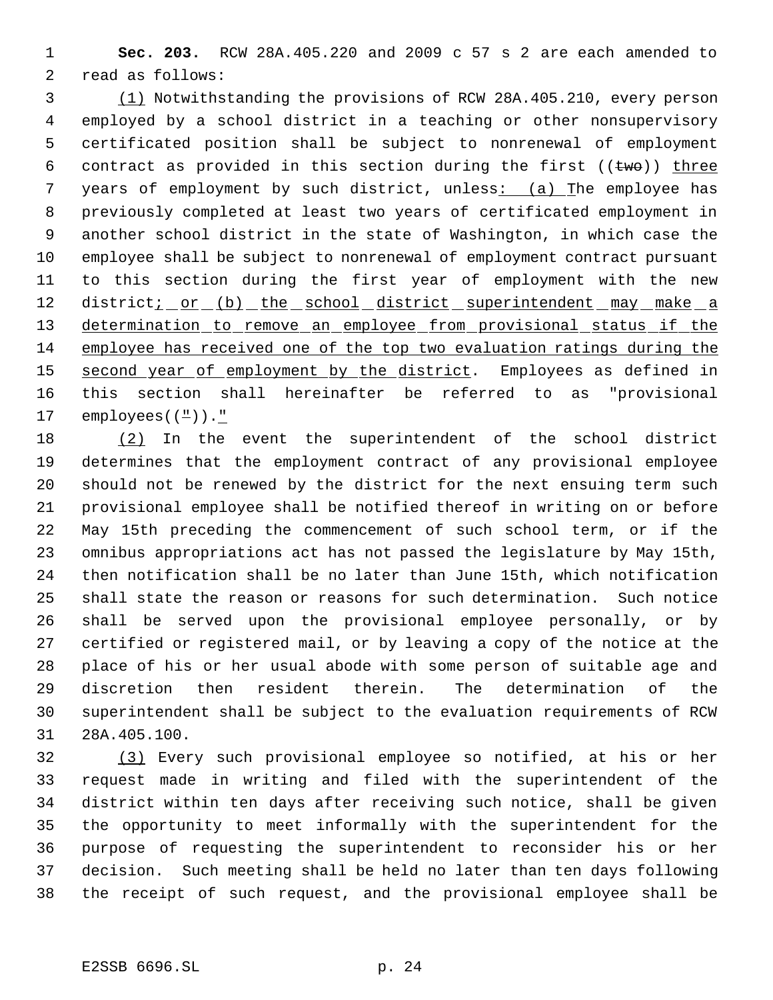**Sec. 203.** RCW 28A.405.220 and 2009 c 57 s 2 are each amended to read as follows:

 (1) Notwithstanding the provisions of RCW 28A.405.210, every person employed by a school district in a teaching or other nonsupervisory certificated position shall be subject to nonrenewal of employment 6 contract as provided in this section during the first  $((two))$  three 7 years of employment by such district, unless: (a) The employee has previously completed at least two years of certificated employment in another school district in the state of Washington, in which case the employee shall be subject to nonrenewal of employment contract pursuant to this section during the first year of employment with the new 12 district<u>; or (b) the school district superintendent may make a</u> 13 determination to remove an employee from provisional status if the employee has received one of the top two evaluation ratings during the 15 second year of employment by the district. Employees as defined in this section shall hereinafter be referred to as "provisional 17 employees( $(\frac{\pi}{\cdot})$ ).

 (2) In the event the superintendent of the school district determines that the employment contract of any provisional employee should not be renewed by the district for the next ensuing term such provisional employee shall be notified thereof in writing on or before May 15th preceding the commencement of such school term, or if the omnibus appropriations act has not passed the legislature by May 15th, then notification shall be no later than June 15th, which notification shall state the reason or reasons for such determination. Such notice shall be served upon the provisional employee personally, or by certified or registered mail, or by leaving a copy of the notice at the place of his or her usual abode with some person of suitable age and discretion then resident therein. The determination of the superintendent shall be subject to the evaluation requirements of RCW 28A.405.100.

 (3) Every such provisional employee so notified, at his or her request made in writing and filed with the superintendent of the district within ten days after receiving such notice, shall be given the opportunity to meet informally with the superintendent for the purpose of requesting the superintendent to reconsider his or her decision. Such meeting shall be held no later than ten days following the receipt of such request, and the provisional employee shall be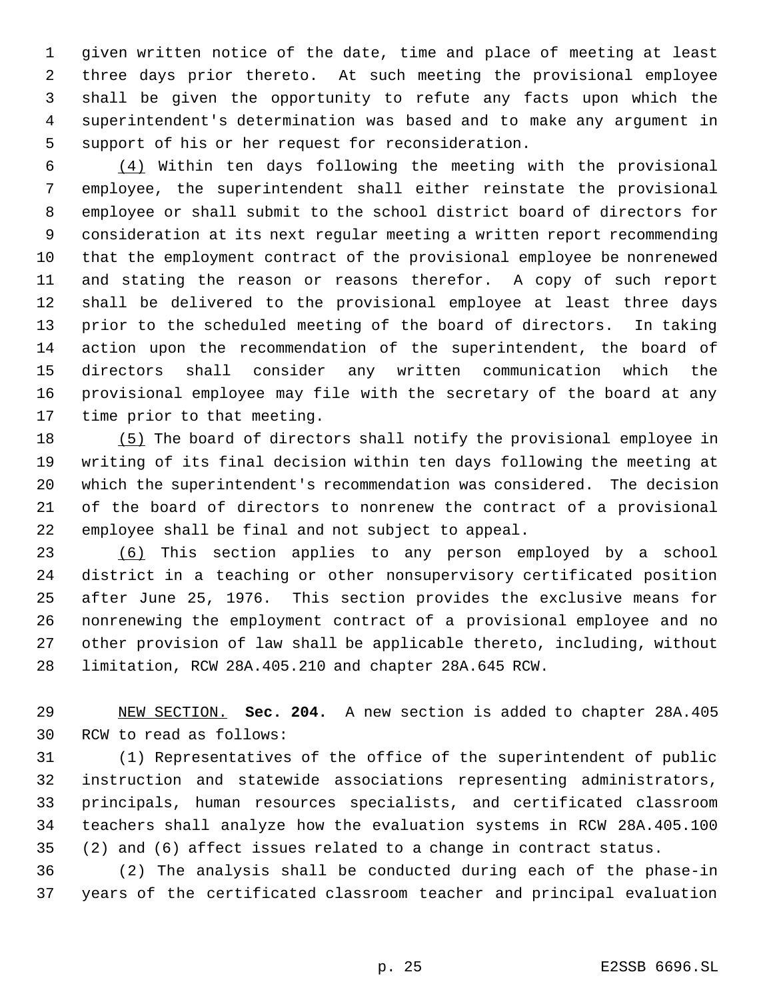given written notice of the date, time and place of meeting at least three days prior thereto. At such meeting the provisional employee shall be given the opportunity to refute any facts upon which the superintendent's determination was based and to make any argument in support of his or her request for reconsideration.

 $\frac{(4)}{4}$  Within ten days following the meeting with the provisional employee, the superintendent shall either reinstate the provisional employee or shall submit to the school district board of directors for consideration at its next regular meeting a written report recommending that the employment contract of the provisional employee be nonrenewed and stating the reason or reasons therefor. A copy of such report shall be delivered to the provisional employee at least three days prior to the scheduled meeting of the board of directors. In taking action upon the recommendation of the superintendent, the board of directors shall consider any written communication which the provisional employee may file with the secretary of the board at any time prior to that meeting.

 (5) The board of directors shall notify the provisional employee in writing of its final decision within ten days following the meeting at which the superintendent's recommendation was considered. The decision of the board of directors to nonrenew the contract of a provisional employee shall be final and not subject to appeal.

 (6) This section applies to any person employed by a school district in a teaching or other nonsupervisory certificated position after June 25, 1976. This section provides the exclusive means for nonrenewing the employment contract of a provisional employee and no other provision of law shall be applicable thereto, including, without limitation, RCW 28A.405.210 and chapter 28A.645 RCW.

 NEW SECTION. **Sec. 204.** A new section is added to chapter 28A.405 RCW to read as follows:

 (1) Representatives of the office of the superintendent of public instruction and statewide associations representing administrators, principals, human resources specialists, and certificated classroom teachers shall analyze how the evaluation systems in RCW 28A.405.100 (2) and (6) affect issues related to a change in contract status.

 (2) The analysis shall be conducted during each of the phase-in years of the certificated classroom teacher and principal evaluation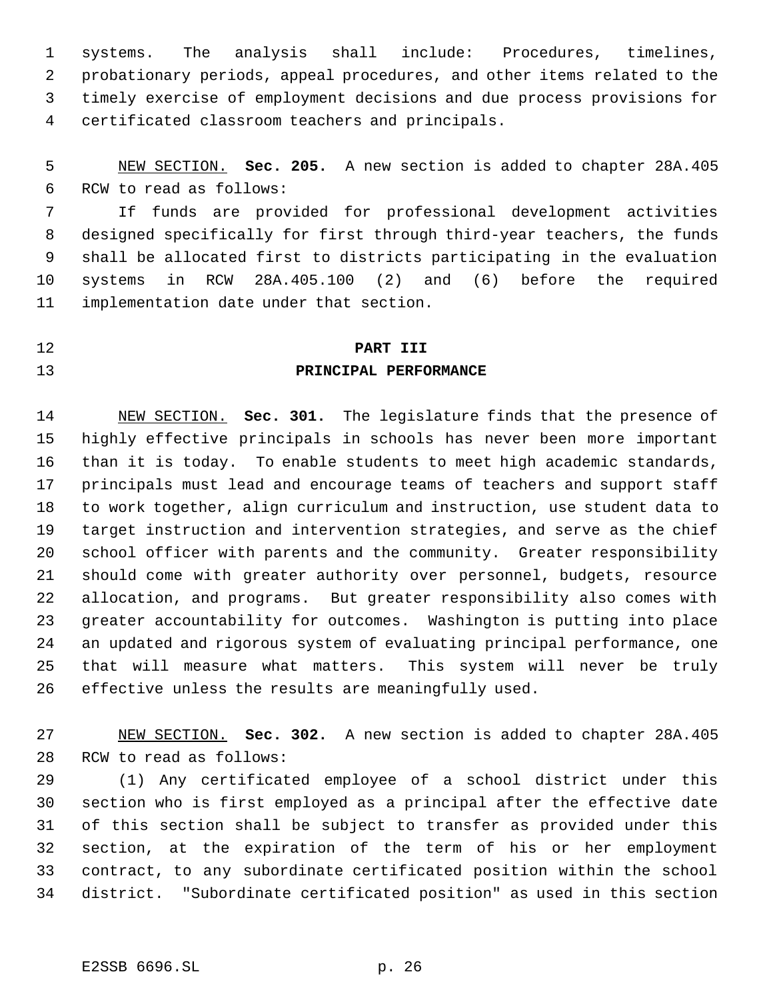systems. The analysis shall include: Procedures, timelines, probationary periods, appeal procedures, and other items related to the timely exercise of employment decisions and due process provisions for certificated classroom teachers and principals.

 NEW SECTION. **Sec. 205.** A new section is added to chapter 28A.405 RCW to read as follows:

 If funds are provided for professional development activities designed specifically for first through third-year teachers, the funds shall be allocated first to districts participating in the evaluation systems in RCW 28A.405.100 (2) and (6) before the required implementation date under that section.

#### **PART III**

## **PRINCIPAL PERFORMANCE**

 NEW SECTION. **Sec. 301.** The legislature finds that the presence of highly effective principals in schools has never been more important than it is today. To enable students to meet high academic standards, principals must lead and encourage teams of teachers and support staff to work together, align curriculum and instruction, use student data to target instruction and intervention strategies, and serve as the chief school officer with parents and the community. Greater responsibility should come with greater authority over personnel, budgets, resource allocation, and programs. But greater responsibility also comes with greater accountability for outcomes. Washington is putting into place an updated and rigorous system of evaluating principal performance, one that will measure what matters. This system will never be truly effective unless the results are meaningfully used.

 NEW SECTION. **Sec. 302.** A new section is added to chapter 28A.405 RCW to read as follows:

 (1) Any certificated employee of a school district under this section who is first employed as a principal after the effective date of this section shall be subject to transfer as provided under this section, at the expiration of the term of his or her employment contract, to any subordinate certificated position within the school district. "Subordinate certificated position" as used in this section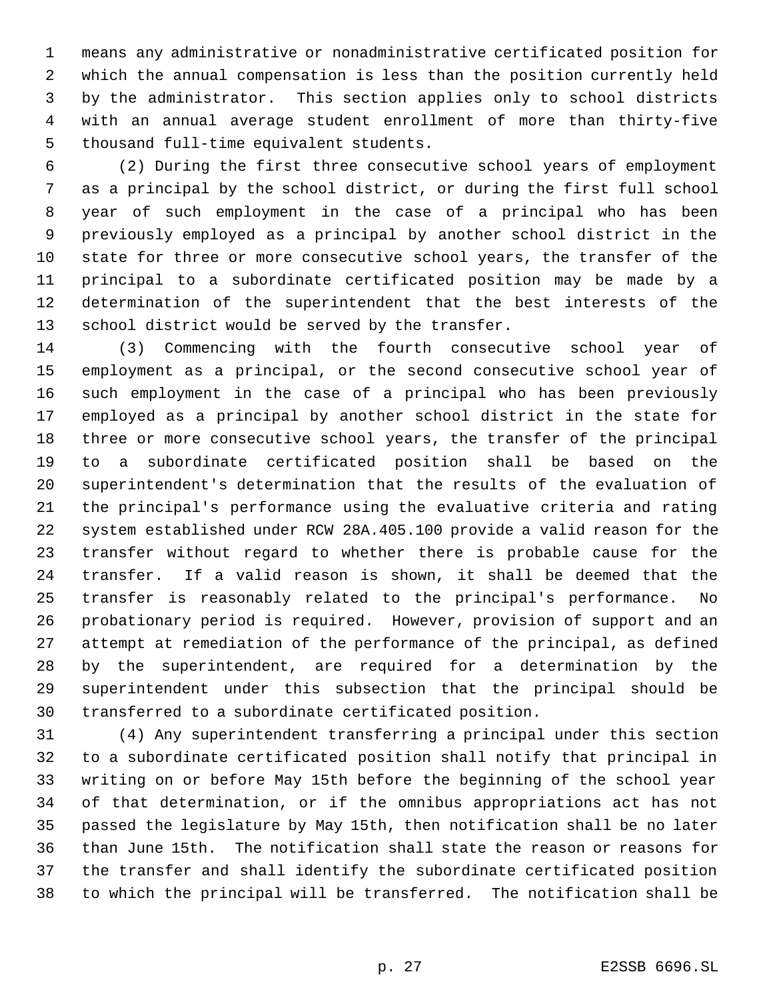means any administrative or nonadministrative certificated position for which the annual compensation is less than the position currently held by the administrator. This section applies only to school districts with an annual average student enrollment of more than thirty-five thousand full-time equivalent students.

 (2) During the first three consecutive school years of employment as a principal by the school district, or during the first full school year of such employment in the case of a principal who has been previously employed as a principal by another school district in the state for three or more consecutive school years, the transfer of the principal to a subordinate certificated position may be made by a determination of the superintendent that the best interests of the school district would be served by the transfer.

 (3) Commencing with the fourth consecutive school year of employment as a principal, or the second consecutive school year of such employment in the case of a principal who has been previously employed as a principal by another school district in the state for three or more consecutive school years, the transfer of the principal to a subordinate certificated position shall be based on the superintendent's determination that the results of the evaluation of the principal's performance using the evaluative criteria and rating system established under RCW 28A.405.100 provide a valid reason for the transfer without regard to whether there is probable cause for the transfer. If a valid reason is shown, it shall be deemed that the transfer is reasonably related to the principal's performance. No probationary period is required. However, provision of support and an attempt at remediation of the performance of the principal, as defined by the superintendent, are required for a determination by the superintendent under this subsection that the principal should be transferred to a subordinate certificated position.

 (4) Any superintendent transferring a principal under this section to a subordinate certificated position shall notify that principal in writing on or before May 15th before the beginning of the school year of that determination, or if the omnibus appropriations act has not passed the legislature by May 15th, then notification shall be no later than June 15th. The notification shall state the reason or reasons for the transfer and shall identify the subordinate certificated position to which the principal will be transferred. The notification shall be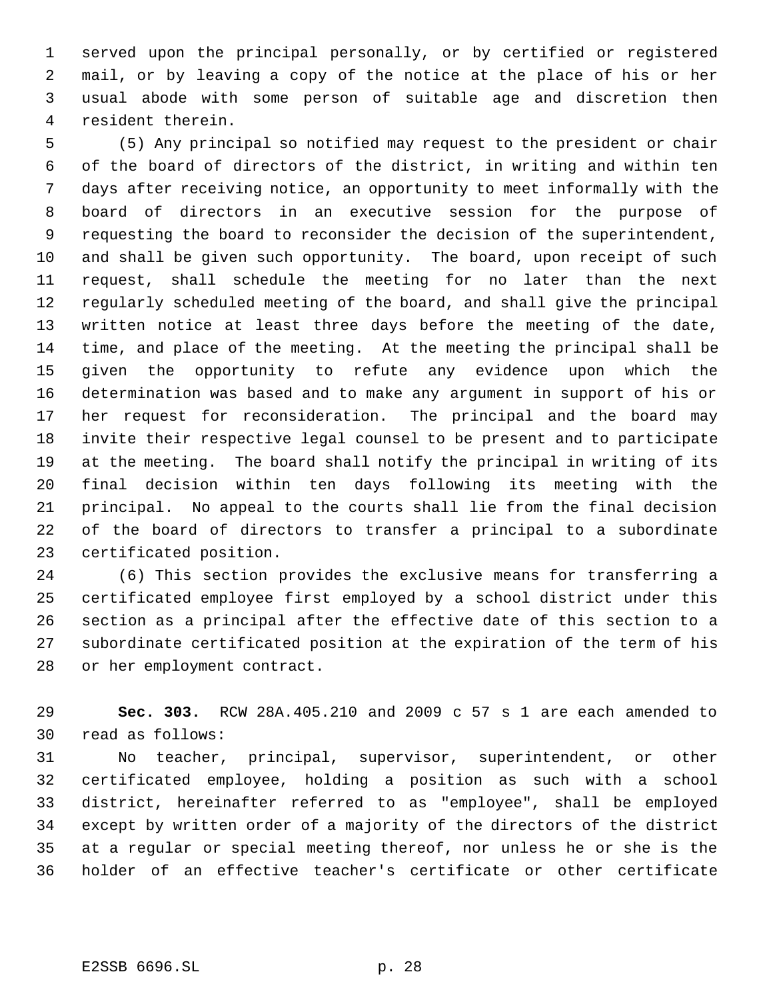served upon the principal personally, or by certified or registered mail, or by leaving a copy of the notice at the place of his or her usual abode with some person of suitable age and discretion then resident therein.

 (5) Any principal so notified may request to the president or chair of the board of directors of the district, in writing and within ten days after receiving notice, an opportunity to meet informally with the board of directors in an executive session for the purpose of requesting the board to reconsider the decision of the superintendent, and shall be given such opportunity. The board, upon receipt of such request, shall schedule the meeting for no later than the next regularly scheduled meeting of the board, and shall give the principal written notice at least three days before the meeting of the date, time, and place of the meeting. At the meeting the principal shall be given the opportunity to refute any evidence upon which the determination was based and to make any argument in support of his or her request for reconsideration. The principal and the board may invite their respective legal counsel to be present and to participate at the meeting. The board shall notify the principal in writing of its final decision within ten days following its meeting with the principal. No appeal to the courts shall lie from the final decision of the board of directors to transfer a principal to a subordinate certificated position.

 (6) This section provides the exclusive means for transferring a certificated employee first employed by a school district under this section as a principal after the effective date of this section to a subordinate certificated position at the expiration of the term of his or her employment contract.

 **Sec. 303.** RCW 28A.405.210 and 2009 c 57 s 1 are each amended to read as follows:

 No teacher, principal, supervisor, superintendent, or other certificated employee, holding a position as such with a school district, hereinafter referred to as "employee", shall be employed except by written order of a majority of the directors of the district at a regular or special meeting thereof, nor unless he or she is the holder of an effective teacher's certificate or other certificate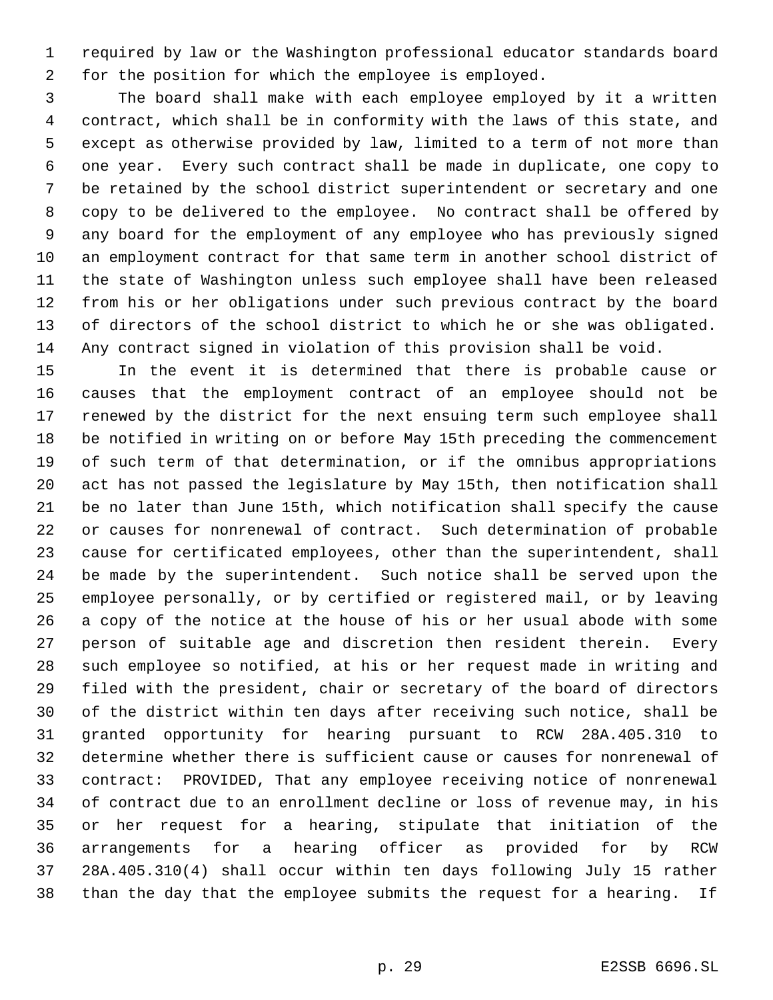required by law or the Washington professional educator standards board for the position for which the employee is employed.

 The board shall make with each employee employed by it a written contract, which shall be in conformity with the laws of this state, and except as otherwise provided by law, limited to a term of not more than one year. Every such contract shall be made in duplicate, one copy to be retained by the school district superintendent or secretary and one copy to be delivered to the employee. No contract shall be offered by any board for the employment of any employee who has previously signed an employment contract for that same term in another school district of the state of Washington unless such employee shall have been released from his or her obligations under such previous contract by the board of directors of the school district to which he or she was obligated. Any contract signed in violation of this provision shall be void.

 In the event it is determined that there is probable cause or causes that the employment contract of an employee should not be renewed by the district for the next ensuing term such employee shall be notified in writing on or before May 15th preceding the commencement of such term of that determination, or if the omnibus appropriations act has not passed the legislature by May 15th, then notification shall be no later than June 15th, which notification shall specify the cause or causes for nonrenewal of contract. Such determination of probable cause for certificated employees, other than the superintendent, shall be made by the superintendent. Such notice shall be served upon the employee personally, or by certified or registered mail, or by leaving a copy of the notice at the house of his or her usual abode with some person of suitable age and discretion then resident therein. Every such employee so notified, at his or her request made in writing and filed with the president, chair or secretary of the board of directors of the district within ten days after receiving such notice, shall be granted opportunity for hearing pursuant to RCW 28A.405.310 to determine whether there is sufficient cause or causes for nonrenewal of contract: PROVIDED, That any employee receiving notice of nonrenewal of contract due to an enrollment decline or loss of revenue may, in his or her request for a hearing, stipulate that initiation of the arrangements for a hearing officer as provided for by RCW 28A.405.310(4) shall occur within ten days following July 15 rather than the day that the employee submits the request for a hearing. If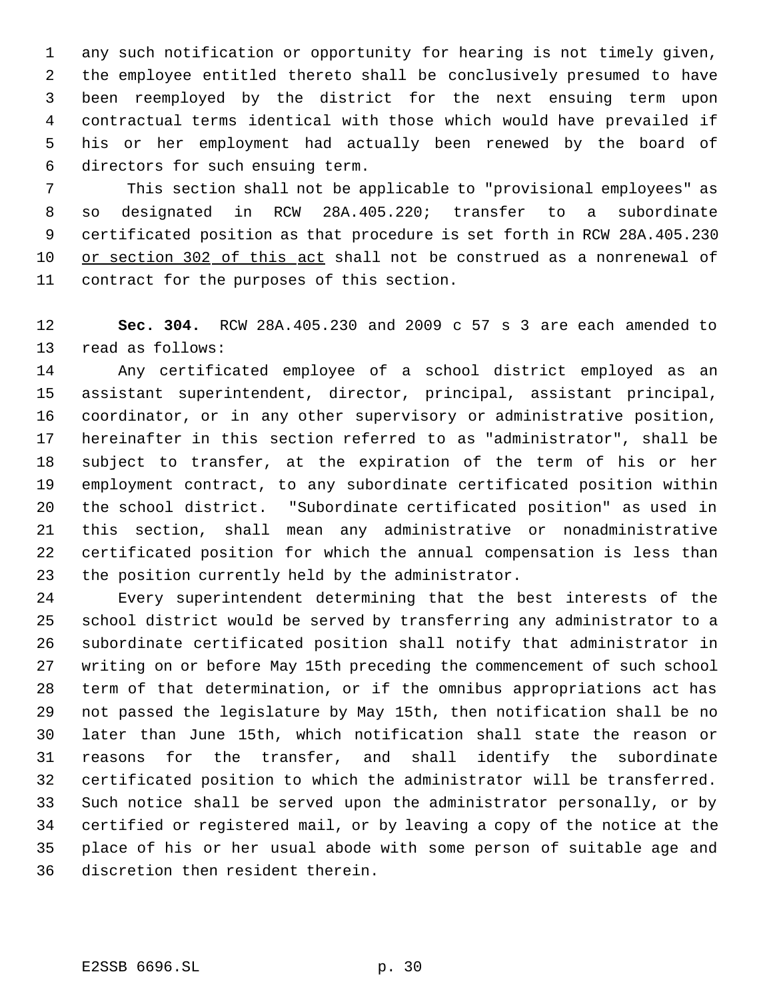any such notification or opportunity for hearing is not timely given, the employee entitled thereto shall be conclusively presumed to have been reemployed by the district for the next ensuing term upon contractual terms identical with those which would have prevailed if his or her employment had actually been renewed by the board of directors for such ensuing term.

 7 This section shall not be applicable to "provisional employees" as so designated in RCW 28A.405.220; transfer to a subordinate certificated position as that procedure is set forth in RCW 28A.405.230 or section 302 of this act shall not be construed as a nonrenewal of contract for the purposes of this section.

 **Sec. 304.** RCW 28A.405.230 and 2009 c 57 s 3 are each amended to read as follows:

 Any certificated employee of a school district employed as an assistant superintendent, director, principal, assistant principal, coordinator, or in any other supervisory or administrative position, hereinafter in this section referred to as "administrator", shall be subject to transfer, at the expiration of the term of his or her employment contract, to any subordinate certificated position within the school district. "Subordinate certificated position" as used in this section, shall mean any administrative or nonadministrative certificated position for which the annual compensation is less than the position currently held by the administrator.

 Every superintendent determining that the best interests of the school district would be served by transferring any administrator to a subordinate certificated position shall notify that administrator in writing on or before May 15th preceding the commencement of such school term of that determination, or if the omnibus appropriations act has not passed the legislature by May 15th, then notification shall be no later than June 15th, which notification shall state the reason or reasons for the transfer, and shall identify the subordinate certificated position to which the administrator will be transferred. Such notice shall be served upon the administrator personally, or by certified or registered mail, or by leaving a copy of the notice at the place of his or her usual abode with some person of suitable age and discretion then resident therein.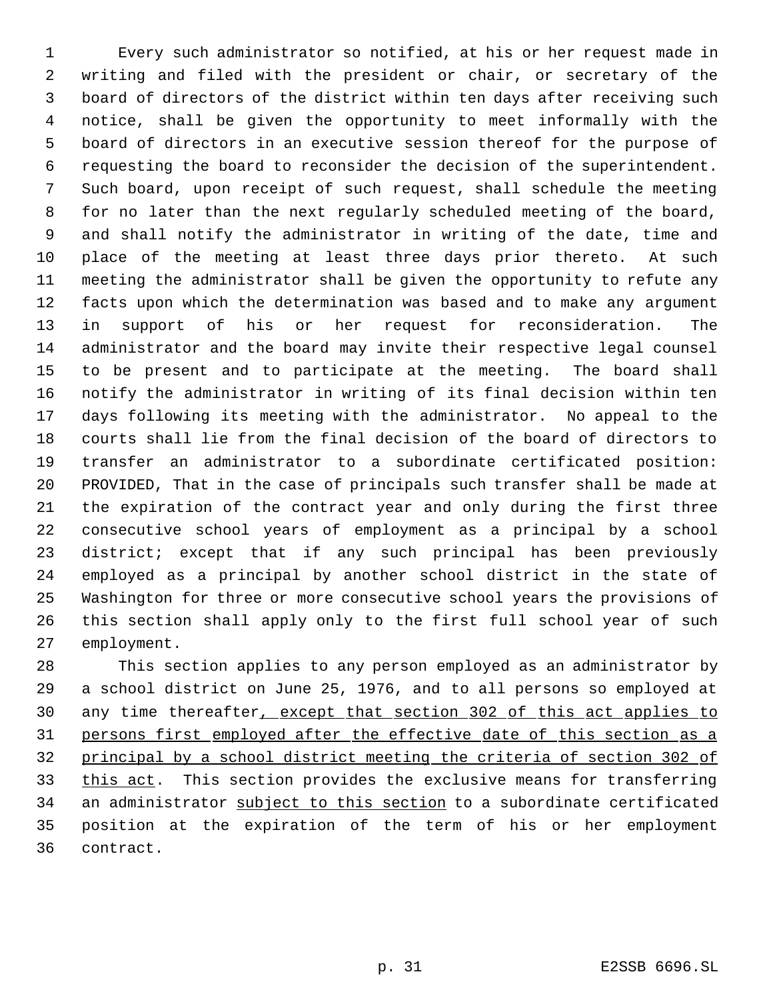Every such administrator so notified, at his or her request made in writing and filed with the president or chair, or secretary of the board of directors of the district within ten days after receiving such notice, shall be given the opportunity to meet informally with the board of directors in an executive session thereof for the purpose of requesting the board to reconsider the decision of the superintendent. Such board, upon receipt of such request, shall schedule the meeting for no later than the next regularly scheduled meeting of the board, and shall notify the administrator in writing of the date, time and place of the meeting at least three days prior thereto. At such meeting the administrator shall be given the opportunity to refute any facts upon which the determination was based and to make any argument in support of his or her request for reconsideration. The administrator and the board may invite their respective legal counsel to be present and to participate at the meeting. The board shall notify the administrator in writing of its final decision within ten days following its meeting with the administrator. No appeal to the courts shall lie from the final decision of the board of directors to transfer an administrator to a subordinate certificated position: PROVIDED, That in the case of principals such transfer shall be made at the expiration of the contract year and only during the first three consecutive school years of employment as a principal by a school district; except that if any such principal has been previously employed as a principal by another school district in the state of Washington for three or more consecutive school years the provisions of this section shall apply only to the first full school year of such employment.

 This section applies to any person employed as an administrator by a school district on June 25, 1976, and to all persons so employed at 30 any time thereafter, except that section 302 of this act applies to persons first employed after the effective date of this section as a principal by a school district meeting the criteria of section 302 of 33 this act. This section provides the exclusive means for transferring 34 an administrator subject to this section to a subordinate certificated position at the expiration of the term of his or her employment contract.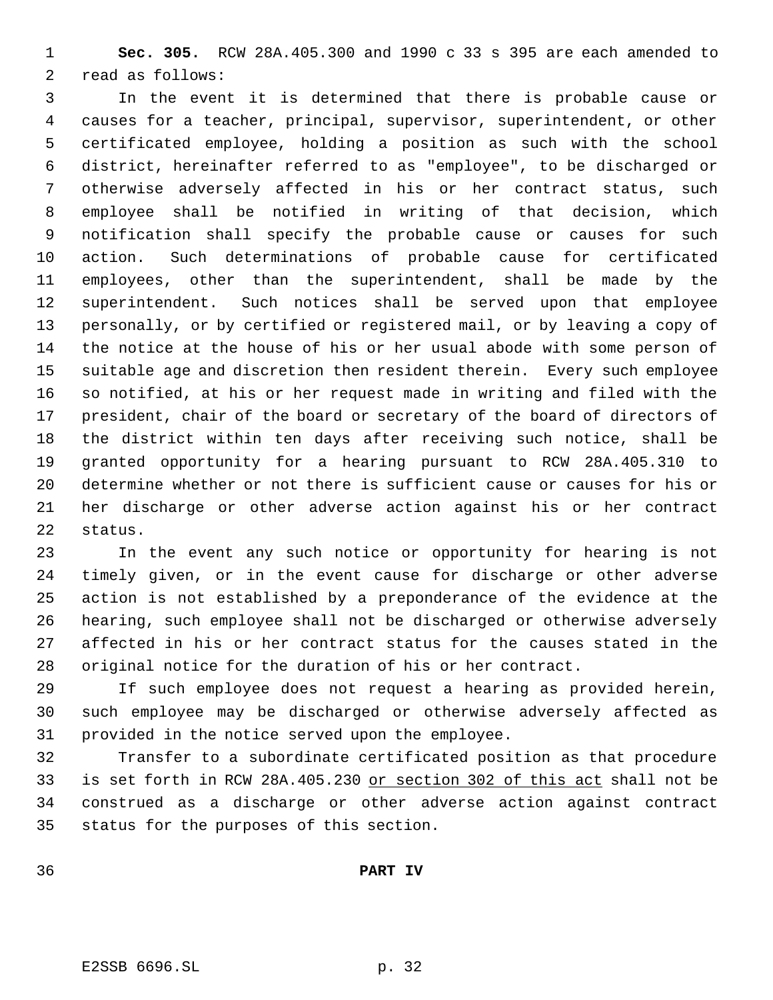**Sec. 305.** RCW 28A.405.300 and 1990 c 33 s 395 are each amended to read as follows:

 In the event it is determined that there is probable cause or causes for a teacher, principal, supervisor, superintendent, or other certificated employee, holding a position as such with the school district, hereinafter referred to as "employee", to be discharged or otherwise adversely affected in his or her contract status, such employee shall be notified in writing of that decision, which notification shall specify the probable cause or causes for such action. Such determinations of probable cause for certificated employees, other than the superintendent, shall be made by the superintendent. Such notices shall be served upon that employee personally, or by certified or registered mail, or by leaving a copy of the notice at the house of his or her usual abode with some person of suitable age and discretion then resident therein. Every such employee so notified, at his or her request made in writing and filed with the president, chair of the board or secretary of the board of directors of the district within ten days after receiving such notice, shall be granted opportunity for a hearing pursuant to RCW 28A.405.310 to determine whether or not there is sufficient cause or causes for his or her discharge or other adverse action against his or her contract status.

 In the event any such notice or opportunity for hearing is not timely given, or in the event cause for discharge or other adverse action is not established by a preponderance of the evidence at the hearing, such employee shall not be discharged or otherwise adversely affected in his or her contract status for the causes stated in the original notice for the duration of his or her contract.

 If such employee does not request a hearing as provided herein, such employee may be discharged or otherwise adversely affected as provided in the notice served upon the employee.

 Transfer to a subordinate certificated position as that procedure is set forth in RCW 28A.405.230 or section 302 of this act shall not be construed as a discharge or other adverse action against contract status for the purposes of this section.

**PART IV**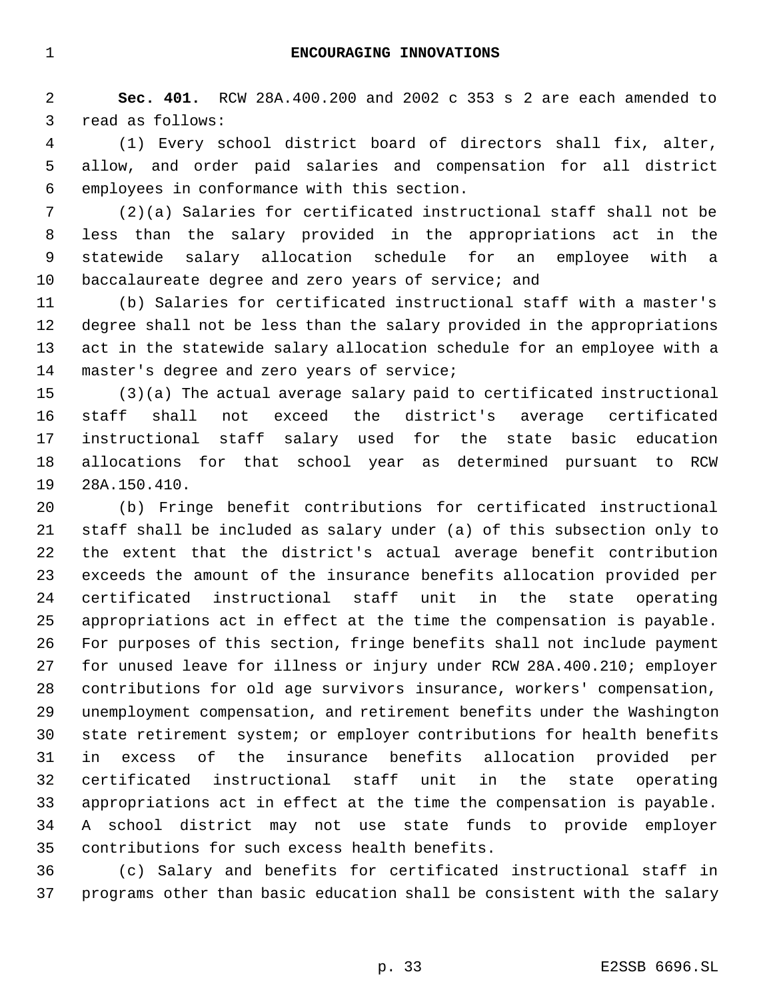**Sec. 401.** RCW 28A.400.200 and 2002 c 353 s 2 are each amended to read as follows:

 (1) Every school district board of directors shall fix, alter, allow, and order paid salaries and compensation for all district employees in conformance with this section.

 (2)(a) Salaries for certificated instructional staff shall not be less than the salary provided in the appropriations act in the statewide salary allocation schedule for an employee with a baccalaureate degree and zero years of service; and

 (b) Salaries for certificated instructional staff with a master's degree shall not be less than the salary provided in the appropriations act in the statewide salary allocation schedule for an employee with a master's degree and zero years of service;

 (3)(a) The actual average salary paid to certificated instructional staff shall not exceed the district's average certificated instructional staff salary used for the state basic education allocations for that school year as determined pursuant to RCW 28A.150.410.

 (b) Fringe benefit contributions for certificated instructional staff shall be included as salary under (a) of this subsection only to the extent that the district's actual average benefit contribution exceeds the amount of the insurance benefits allocation provided per certificated instructional staff unit in the state operating appropriations act in effect at the time the compensation is payable. For purposes of this section, fringe benefits shall not include payment for unused leave for illness or injury under RCW 28A.400.210; employer contributions for old age survivors insurance, workers' compensation, unemployment compensation, and retirement benefits under the Washington state retirement system; or employer contributions for health benefits in excess of the insurance benefits allocation provided per certificated instructional staff unit in the state operating appropriations act in effect at the time the compensation is payable. A school district may not use state funds to provide employer contributions for such excess health benefits.

 (c) Salary and benefits for certificated instructional staff in programs other than basic education shall be consistent with the salary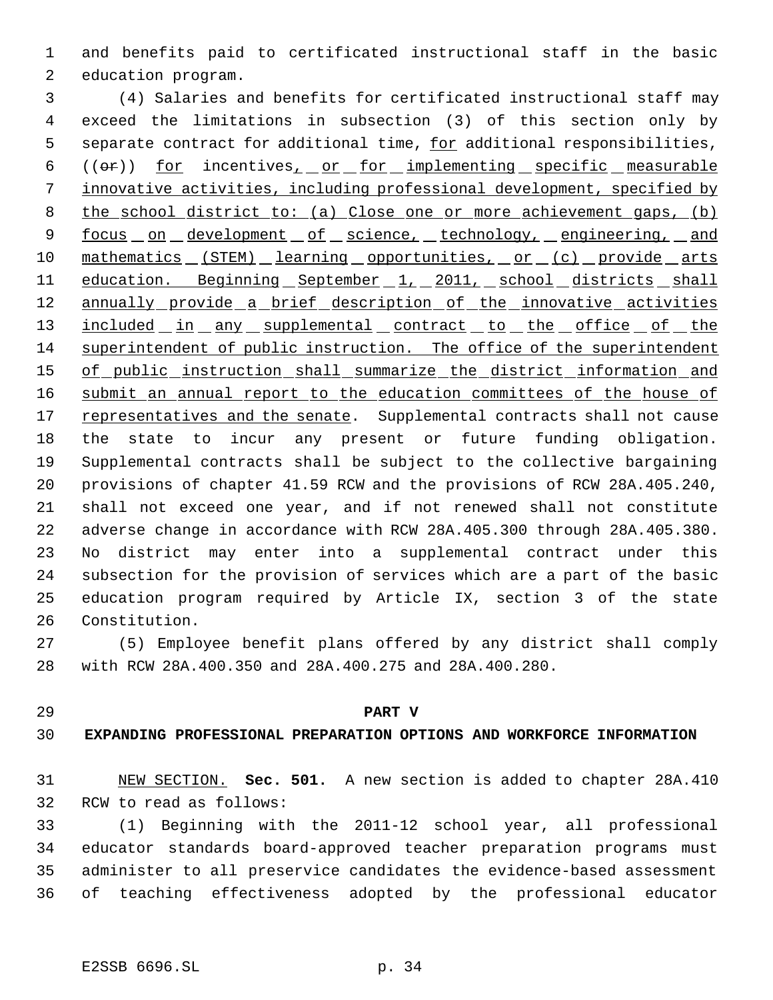and benefits paid to certificated instructional staff in the basic education program.

 (4) Salaries and benefits for certificated instructional staff may exceed the limitations in subsection (3) of this section only by 5 separate contract for additional time, for additional responsibilities, 6 (( $\sigma$ )) for incentives<sub>1</sub> or for implementing specific measurable innovative activities, including professional development, specified by the school district to: (a) Close one or more achievement gaps, (b) 9 focus on development of science, technology, engineering, and 10 mathematics (STEM) learning opportunities, or (c) provide arts 11 education. Beginning September 1, 2011, school districts shall 12 annually provide a brief description of the innovative activities 13 included in any supplemental contract to the office of the superintendent of public instruction. The office of the superintendent 15 of public instruction shall summarize the district information and 16 submit an annual report to the education committees of the house of 17 representatives and the senate. Supplemental contracts shall not cause the state to incur any present or future funding obligation. Supplemental contracts shall be subject to the collective bargaining provisions of chapter 41.59 RCW and the provisions of RCW 28A.405.240, shall not exceed one year, and if not renewed shall not constitute adverse change in accordance with RCW 28A.405.300 through 28A.405.380. No district may enter into a supplemental contract under this subsection for the provision of services which are a part of the basic education program required by Article IX, section 3 of the state Constitution.

 (5) Employee benefit plans offered by any district shall comply with RCW 28A.400.350 and 28A.400.275 and 28A.400.280.

#### **PART V**

### **EXPANDING PROFESSIONAL PREPARATION OPTIONS AND WORKFORCE INFORMATION**

 NEW SECTION. **Sec. 501.** A new section is added to chapter 28A.410 RCW to read as follows:

 (1) Beginning with the 2011-12 school year, all professional educator standards board-approved teacher preparation programs must administer to all preservice candidates the evidence-based assessment of teaching effectiveness adopted by the professional educator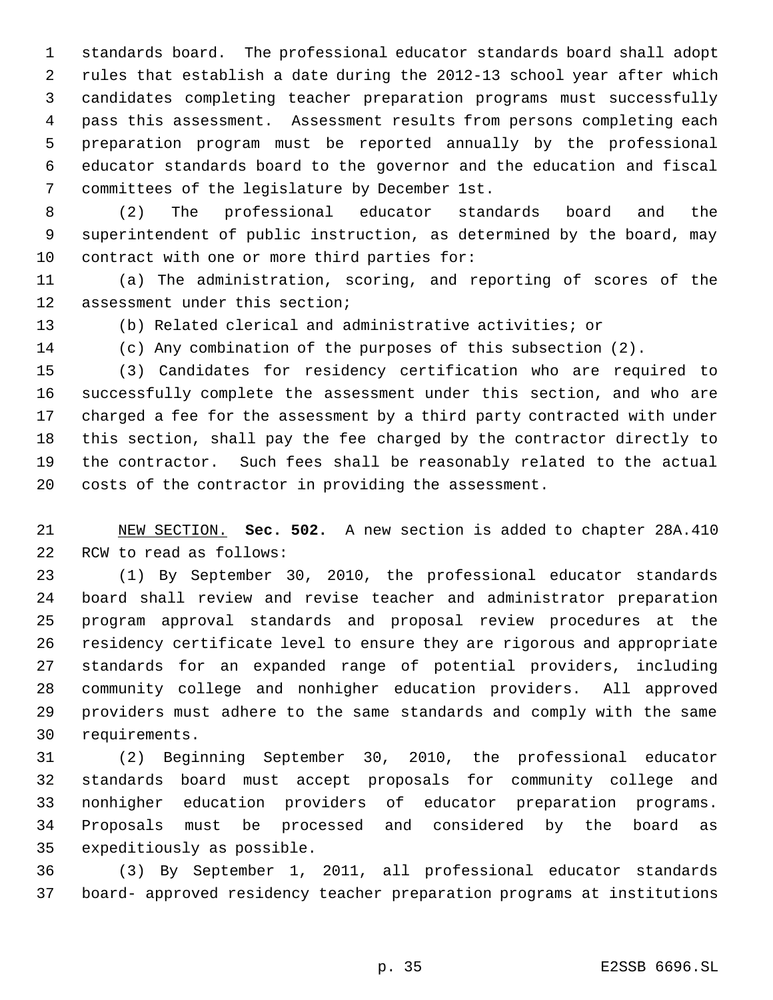standards board. The professional educator standards board shall adopt rules that establish a date during the 2012-13 school year after which candidates completing teacher preparation programs must successfully pass this assessment. Assessment results from persons completing each preparation program must be reported annually by the professional educator standards board to the governor and the education and fiscal committees of the legislature by December 1st.

 (2) The professional educator standards board and the superintendent of public instruction, as determined by the board, may contract with one or more third parties for:

 (a) The administration, scoring, and reporting of scores of the assessment under this section;

(b) Related clerical and administrative activities; or

(c) Any combination of the purposes of this subsection (2).

 (3) Candidates for residency certification who are required to successfully complete the assessment under this section, and who are charged a fee for the assessment by a third party contracted with under this section, shall pay the fee charged by the contractor directly to the contractor. Such fees shall be reasonably related to the actual costs of the contractor in providing the assessment.

 NEW SECTION. **Sec. 502.** A new section is added to chapter 28A.410 RCW to read as follows:

 (1) By September 30, 2010, the professional educator standards board shall review and revise teacher and administrator preparation program approval standards and proposal review procedures at the residency certificate level to ensure they are rigorous and appropriate standards for an expanded range of potential providers, including community college and nonhigher education providers. All approved providers must adhere to the same standards and comply with the same requirements.

 (2) Beginning September 30, 2010, the professional educator standards board must accept proposals for community college and nonhigher education providers of educator preparation programs. Proposals must be processed and considered by the board as expeditiously as possible.

 (3) By September 1, 2011, all professional educator standards board- approved residency teacher preparation programs at institutions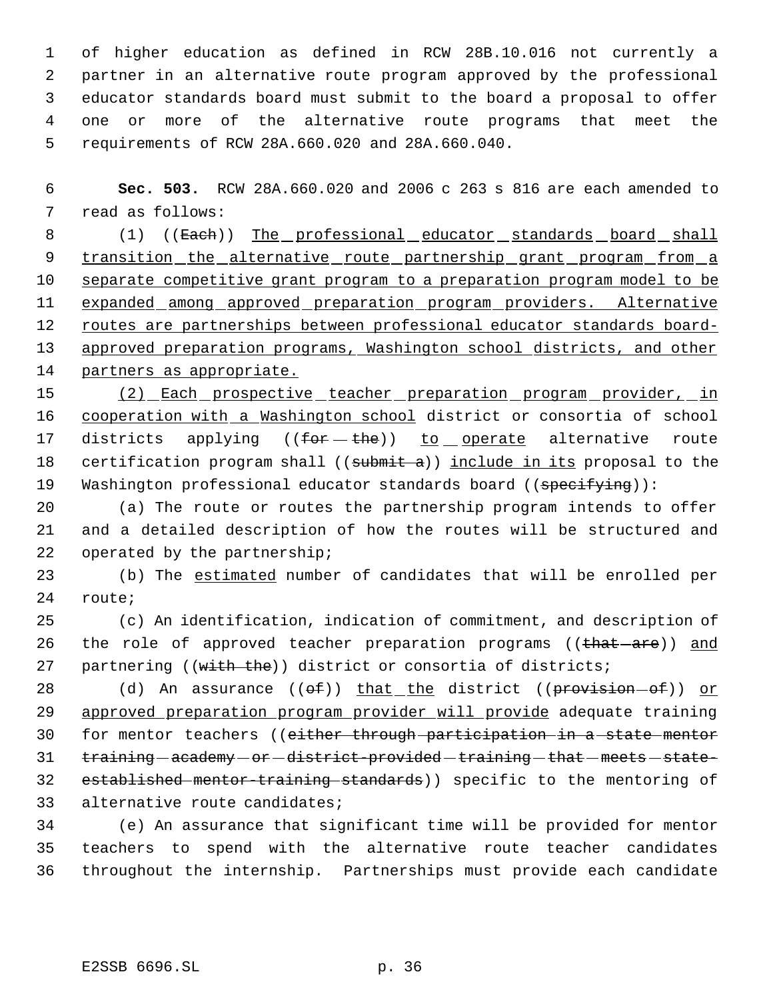of higher education as defined in RCW 28B.10.016 not currently a partner in an alternative route program approved by the professional educator standards board must submit to the board a proposal to offer one or more of the alternative route programs that meet the requirements of RCW 28A.660.020 and 28A.660.040.

 6 **Sec. 503.** RCW 28A.660.020 and 2006 c 263 s 816 are each amended to 7 read as follows:

8 (1) ((Each)) The professional educator standards board shall 9 transition the alternative route partnership grant program from a 10 separate competitive grant program to a preparation program model to be 11 expanded among approved preparation program providers. Alternative 12 routes are partnerships between professional educator standards board-13 approved preparation programs, Washington school districts, and other 14 partners as appropriate.

15 (2) Each prospective teacher preparation program provider, in 16 cooperation with a Washington school district or consortia of school 17 districts applying  $((for - the))$  to operate alternative route 18 certification program shall ((submit a)) include in its proposal to the 19 Washington professional educator standards board ((specifying)):

20 (a) The route or routes the partnership program intends to offer 21 and a detailed description of how the routes will be structured and 22 operated by the partnership;

23 (b) The estimated number of candidates that will be enrolled per 24 route;

25 (c) An identification, indication of commitment, and description of 26 the role of approved teacher preparation programs ((that are)) and 27 partnering ((with the)) district or consortia of districts;

28 (d) An assurance (( $\theta f$ )) that the district ((provision- $\theta f$ )) or 29 approved preparation program provider will provide adequate training 30 for mentor teachers ((either through participation in a state mentor 31 training - academy - or - district-provided - training - that - meets - state-32 established mentor-training standards)) specific to the mentoring of 33 alternative route candidates;

34 (e) An assurance that significant time will be provided for mentor 35 teachers to spend with the alternative route teacher candidates 36 throughout the internship. Partnerships must provide each candidate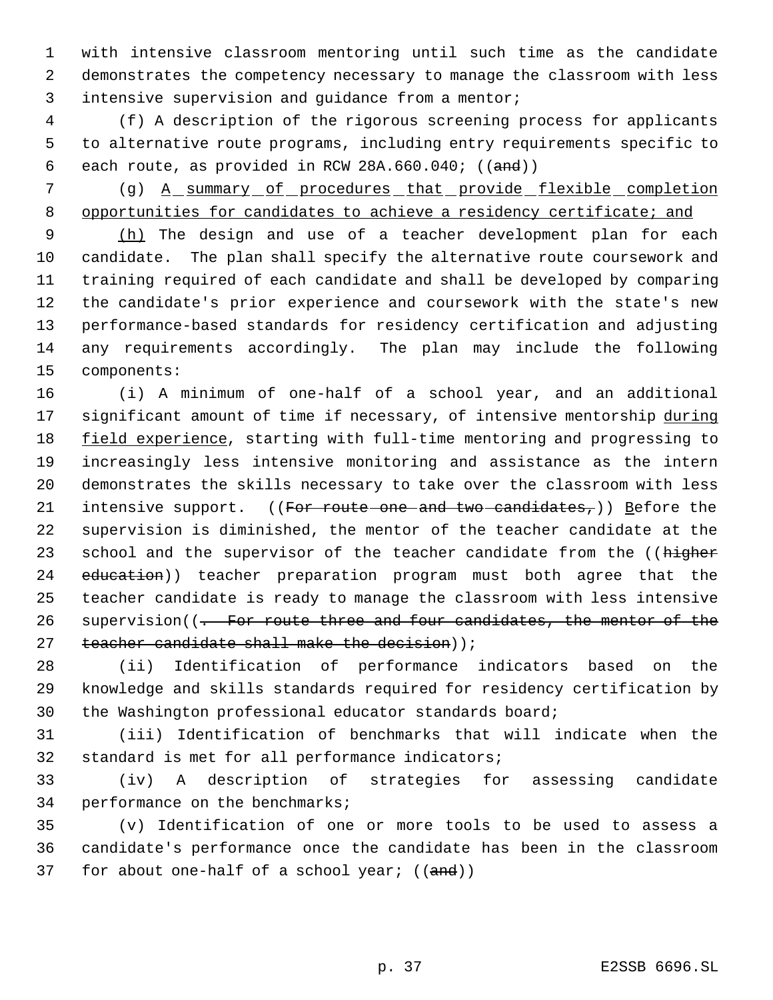with intensive classroom mentoring until such time as the candidate demonstrates the competency necessary to manage the classroom with less intensive supervision and guidance from a mentor;

 (f) A description of the rigorous screening process for applicants to alternative route programs, including entry requirements specific to 6 each route, as provided in RCW  $28A.660.040$ ; ((and))

 (g) A summary of procedures that provide flexible completion opportunities for candidates to achieve a residency certificate; and

9 (h) The design and use of a teacher development plan for each candidate. The plan shall specify the alternative route coursework and training required of each candidate and shall be developed by comparing the candidate's prior experience and coursework with the state's new performance-based standards for residency certification and adjusting any requirements accordingly. The plan may include the following components:

 (i) A minimum of one-half of a school year, and an additional 17 significant amount of time if necessary, of intensive mentorship during 18 field experience, starting with full-time mentoring and progressing to increasingly less intensive monitoring and assistance as the intern demonstrates the skills necessary to take over the classroom with less 21 intensive support. ((For route one and two candidates,)) Before the supervision is diminished, the mentor of the teacher candidate at the 23 school and the supervisor of the teacher candidate from the ((higher 24 education)) teacher preparation program must both agree that the teacher candidate is ready to manage the classroom with less intensive 26 supervision((- For route three and four candidates, the mentor of the 27  $teacher candidate shall make the decision)$ ;

 (ii) Identification of performance indicators based on the knowledge and skills standards required for residency certification by the Washington professional educator standards board;

 (iii) Identification of benchmarks that will indicate when the standard is met for all performance indicators;

 (iv) A description of strategies for assessing candidate performance on the benchmarks;

 (v) Identification of one or more tools to be used to assess a candidate's performance once the candidate has been in the classroom 37 for about one-half of a school year;  $((and))$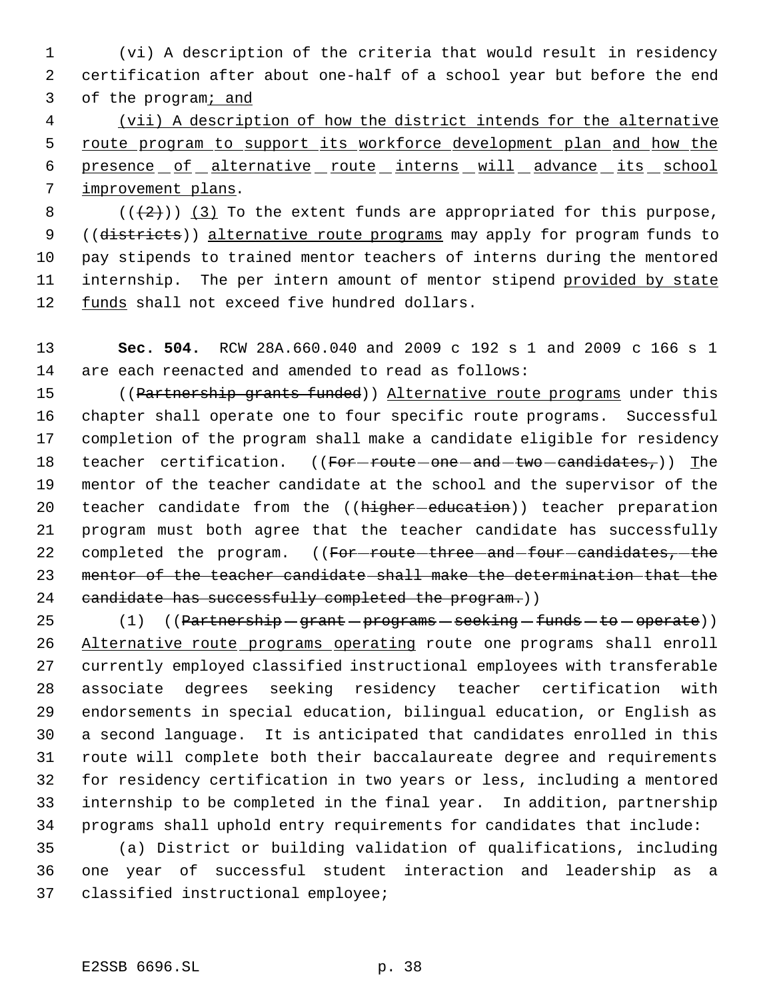(vi) A description of the criteria that would result in residency certification after about one-half of a school year but before the end of the program; and

 (vii) A description of how the district intends for the alternative 5 route program to support its workforce development plan and how the 6 presence of alternative route interns will advance its school improvement plans.

8  $((+2))$   $(3)$  To the extent funds are appropriated for this purpose, 9 ((districts)) alternative route programs may apply for program funds to pay stipends to trained mentor teachers of interns during the mentored 11 internship. The per intern amount of mentor stipend provided by state funds shall not exceed five hundred dollars.

 **Sec. 504.** RCW 28A.660.040 and 2009 c 192 s 1 and 2009 c 166 s 1 are each reenacted and amended to read as follows:

15 ((Partnership grants funded)) Alternative route programs under this chapter shall operate one to four specific route programs. Successful completion of the program shall make a candidate eligible for residency 18 teacher certification. ((For-route-one-and-two-candidates,)) The mentor of the teacher candidate at the school and the supervisor of the 20 teacher candidate from the ((higher-education)) teacher preparation program must both agree that the teacher candidate has successfully 22 completed the program. ((For-route-three-and-four-candidates,-the mentor of the teacher candidate shall make the determination that the 24 candidate has successfully completed the program.))

25 (1)  $((\text{Partnership}-\text{grant}-\text{programs}-\text{seeking}-\text{funds}-\text{to}-\text{operate}))$  Alternative route programs operating route one programs shall enroll currently employed classified instructional employees with transferable associate degrees seeking residency teacher certification with endorsements in special education, bilingual education, or English as a second language. It is anticipated that candidates enrolled in this route will complete both their baccalaureate degree and requirements for residency certification in two years or less, including a mentored internship to be completed in the final year. In addition, partnership programs shall uphold entry requirements for candidates that include:

 (a) District or building validation of qualifications, including one year of successful student interaction and leadership as a classified instructional employee;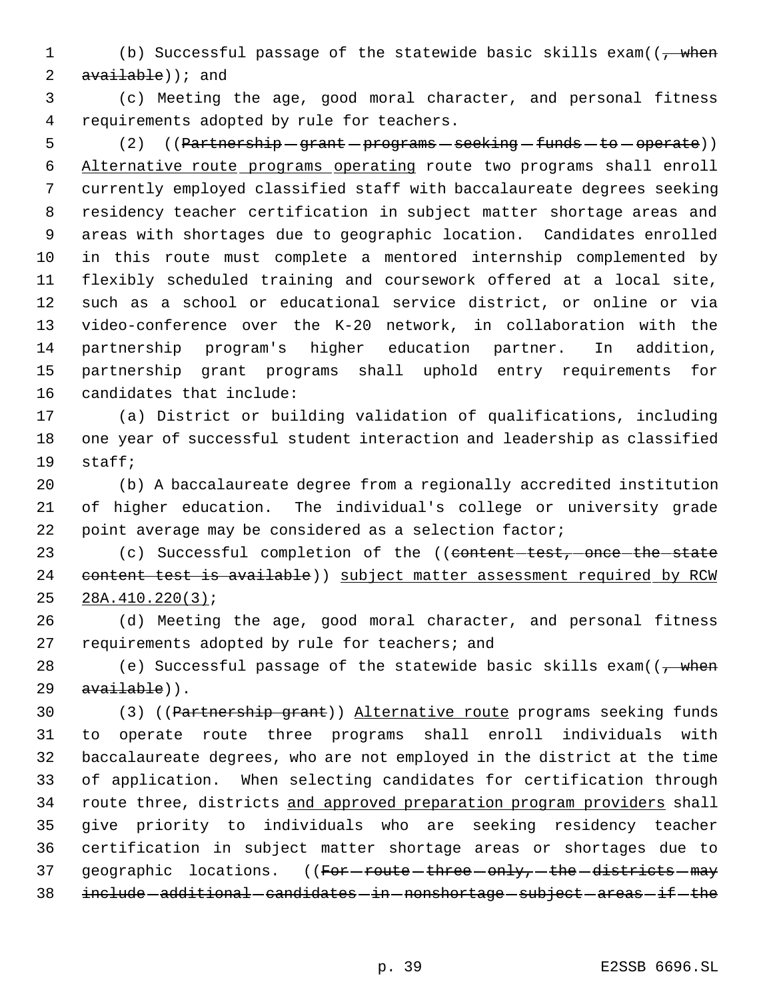1 (b) Successful passage of the statewide basic skills exam(( $\frac{1}{7}$  when  $available)$ ; and

 (c) Meeting the age, good moral character, and personal fitness requirements adopted by rule for teachers.

5 (2) ((Partnership - grant - programs - seeking - funds - to - operate)) Alternative route programs operating route two programs shall enroll currently employed classified staff with baccalaureate degrees seeking residency teacher certification in subject matter shortage areas and areas with shortages due to geographic location. Candidates enrolled in this route must complete a mentored internship complemented by flexibly scheduled training and coursework offered at a local site, such as a school or educational service district, or online or via video-conference over the K-20 network, in collaboration with the partnership program's higher education partner. In addition, partnership grant programs shall uphold entry requirements for candidates that include:

 (a) District or building validation of qualifications, including one year of successful student interaction and leadership as classified staff;

 (b) A baccalaureate degree from a regionally accredited institution of higher education. The individual's college or university grade point average may be considered as a selection factor;

23 (c) Successful completion of the ((content-test, once the state 24 content test is available) ) subject matter assessment required by RCW 28A.410.220(3);

 (d) Meeting the age, good moral character, and personal fitness 27 requirements adopted by rule for teachers; and

28 (e) Successful passage of the statewide basic skills exam( $\left(\frac{1}{f}\right)$  when  $avalable)$ .

 (3) ((Partnership grant)) Alternative route programs seeking funds to operate route three programs shall enroll individuals with baccalaureate degrees, who are not employed in the district at the time of application. When selecting candidates for certification through 34 route three, districts and approved preparation program providers shall give priority to individuals who are seeking residency teacher certification in subject matter shortage areas or shortages due to 37 geographic locations. ((For-route-three-only,-the-districts-may 38 include additional candidates in nonshortage subject areas if the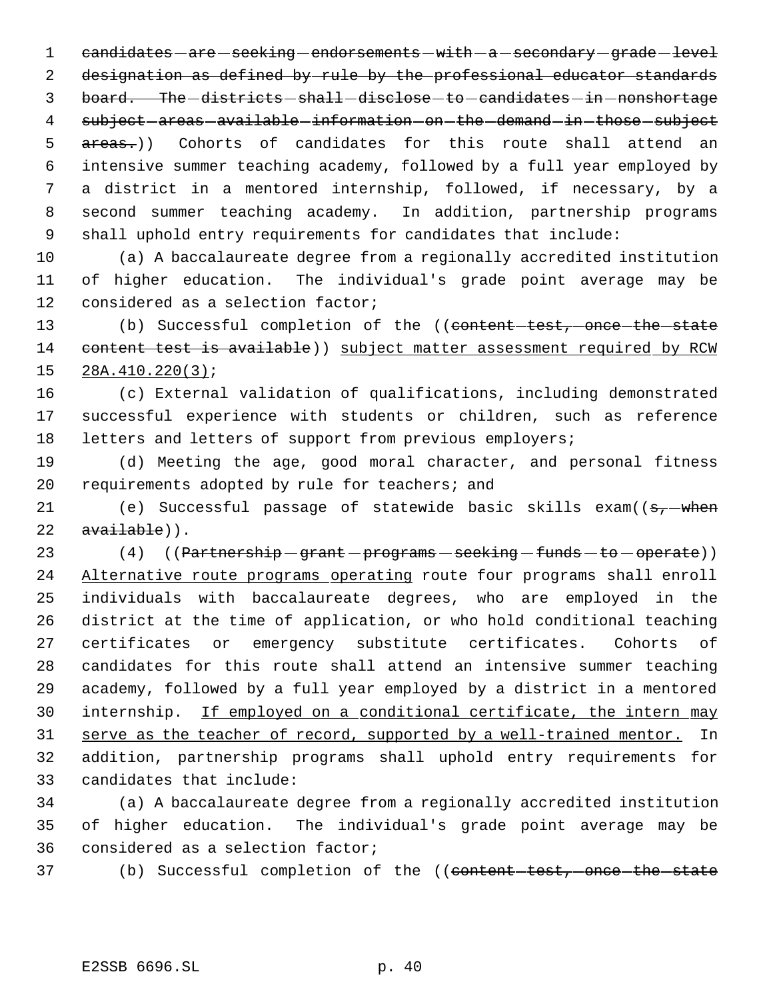1 candidates - are - seeking - endorsements - with - a - secondary - grade - level designation as defined by rule by the professional educator standards 3 board. The -districts - shall -disclose - to - candidates - in - nonshortage 4 subject - areas - available - information - on - the - demand - in - those - subject 5 areas.)) Cohorts of candidates for this route shall attend an intensive summer teaching academy, followed by a full year employed by a district in a mentored internship, followed, if necessary, by a second summer teaching academy. In addition, partnership programs shall uphold entry requirements for candidates that include:

 (a) A baccalaureate degree from a regionally accredited institution of higher education. The individual's grade point average may be considered as a selection factor;

13 (b) Successful completion of the ((content test, once the state 14 content test is available)) subject matter assessment required by RCW 28A.410.220(3);

 (c) External validation of qualifications, including demonstrated successful experience with students or children, such as reference letters and letters of support from previous employers;

 (d) Meeting the age, good moral character, and personal fitness requirements adopted by rule for teachers; and

21 (e) Successful passage of statewide basic skills  $exam((s, -when))$  $availed)$ .

23 (4) ((Partnership grant programs seeking funds to operate)) 24 Alternative route programs operating route four programs shall enroll individuals with baccalaureate degrees, who are employed in the district at the time of application, or who hold conditional teaching certificates or emergency substitute certificates. Cohorts of candidates for this route shall attend an intensive summer teaching academy, followed by a full year employed by a district in a mentored 30 internship. If employed on a conditional certificate, the intern may 31 serve as the teacher of record, supported by a well-trained mentor. In addition, partnership programs shall uphold entry requirements for candidates that include:

 (a) A baccalaureate degree from a regionally accredited institution of higher education. The individual's grade point average may be considered as a selection factor;

37 (b) Successful completion of the ((content-test, once-the-state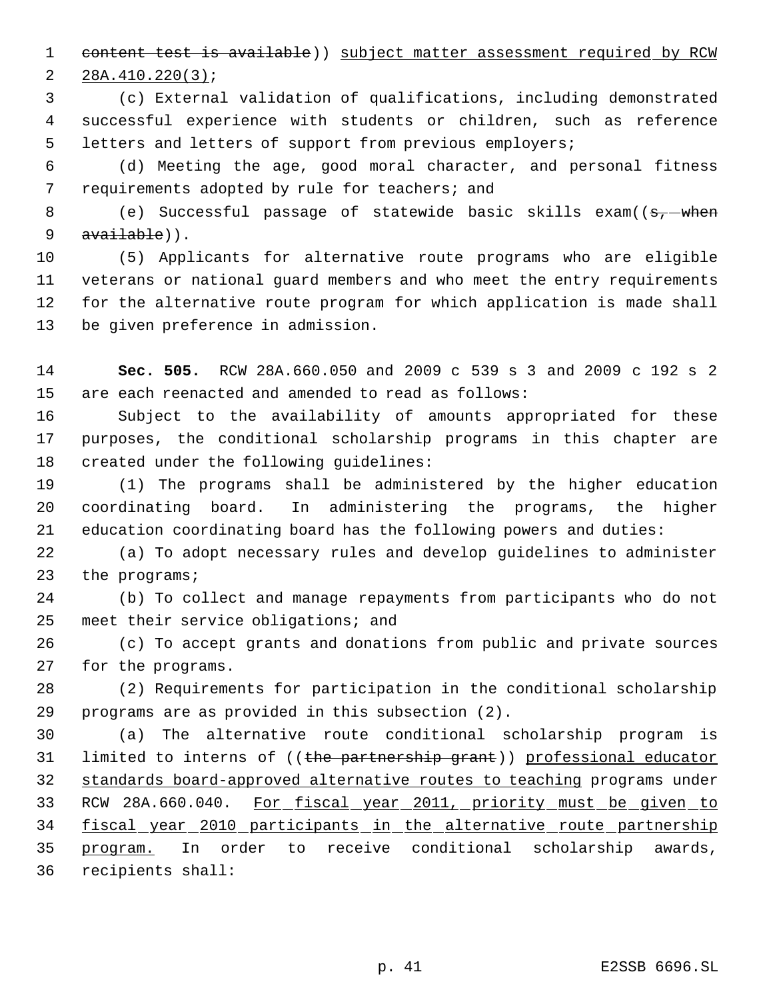content test is available)) subject matter assessment required by RCW 28A.410.220(3);

 (c) External validation of qualifications, including demonstrated successful experience with students or children, such as reference letters and letters of support from previous employers;

 (d) Meeting the age, good moral character, and personal fitness 7 requirements adopted by rule for teachers; and

8 (e) Successful passage of statewide basic skills exam((<del>s, when</del> 9 available)).

 (5) Applicants for alternative route programs who are eligible veterans or national guard members and who meet the entry requirements for the alternative route program for which application is made shall be given preference in admission.

 **Sec. 505.** RCW 28A.660.050 and 2009 c 539 s 3 and 2009 c 192 s 2 are each reenacted and amended to read as follows:

 Subject to the availability of amounts appropriated for these purposes, the conditional scholarship programs in this chapter are created under the following guidelines:

 (1) The programs shall be administered by the higher education coordinating board. In administering the programs, the higher education coordinating board has the following powers and duties:

 (a) To adopt necessary rules and develop guidelines to administer the programs;

 (b) To collect and manage repayments from participants who do not meet their service obligations; and

 (c) To accept grants and donations from public and private sources for the programs.

 (2) Requirements for participation in the conditional scholarship programs are as provided in this subsection (2).

 (a) The alternative route conditional scholarship program is 31 limited to interns of ((the partnership grant)) professional educator standards board-approved alternative routes to teaching programs under 33 RCW 28A.660.040. For fiscal year 2011, priority must be given to 34 fiscal year 2010 participants in the alternative route partnership program. In order to receive conditional scholarship awards, recipients shall: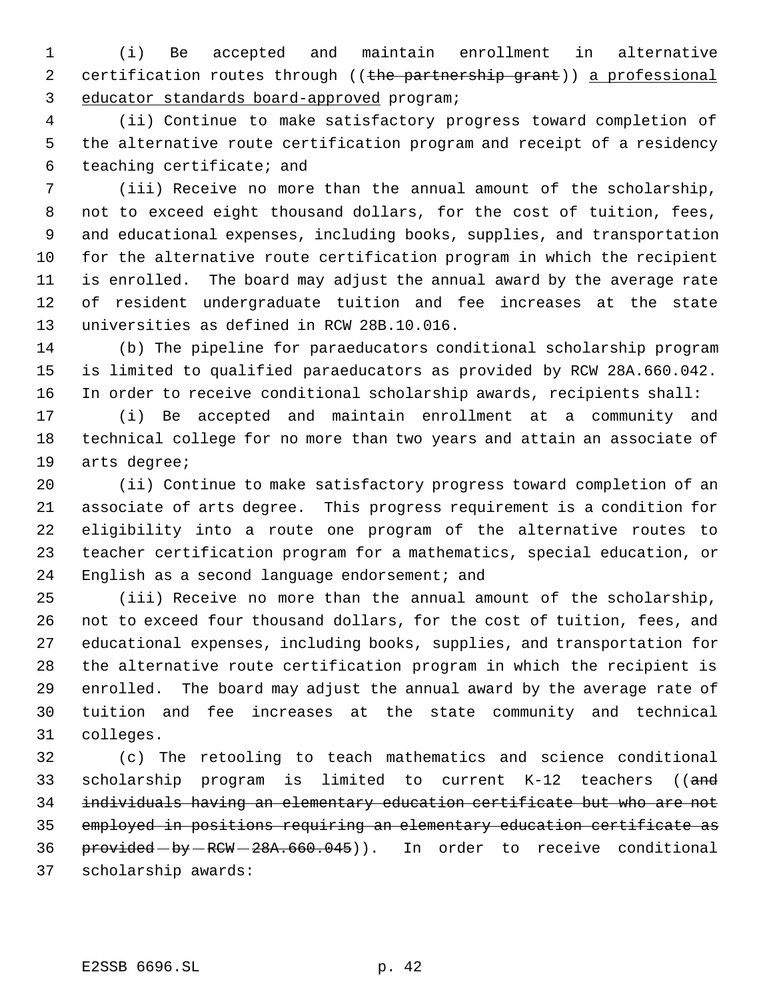(i) Be accepted and maintain enrollment in alternative 2 certification routes through ((the partnership grant)) a professional educator standards board-approved program;

 (ii) Continue to make satisfactory progress toward completion of the alternative route certification program and receipt of a residency teaching certificate; and

 (iii) Receive no more than the annual amount of the scholarship, not to exceed eight thousand dollars, for the cost of tuition, fees, and educational expenses, including books, supplies, and transportation for the alternative route certification program in which the recipient is enrolled. The board may adjust the annual award by the average rate of resident undergraduate tuition and fee increases at the state universities as defined in RCW 28B.10.016.

 (b) The pipeline for paraeducators conditional scholarship program is limited to qualified paraeducators as provided by RCW 28A.660.042. In order to receive conditional scholarship awards, recipients shall:

 (i) Be accepted and maintain enrollment at a community and technical college for no more than two years and attain an associate of arts degree;

 (ii) Continue to make satisfactory progress toward completion of an associate of arts degree. This progress requirement is a condition for eligibility into a route one program of the alternative routes to teacher certification program for a mathematics, special education, or English as a second language endorsement; and

 (iii) Receive no more than the annual amount of the scholarship, not to exceed four thousand dollars, for the cost of tuition, fees, and educational expenses, including books, supplies, and transportation for the alternative route certification program in which the recipient is enrolled. The board may adjust the annual award by the average rate of tuition and fee increases at the state community and technical colleges.

 (c) The retooling to teach mathematics and science conditional scholarship program is limited to current K-12 teachers ((and individuals having an elementary education certificate but who are not employed in positions requiring an elementary education certificate as 36 provided by RCW - 28A.660.045)). In order to receive conditional scholarship awards: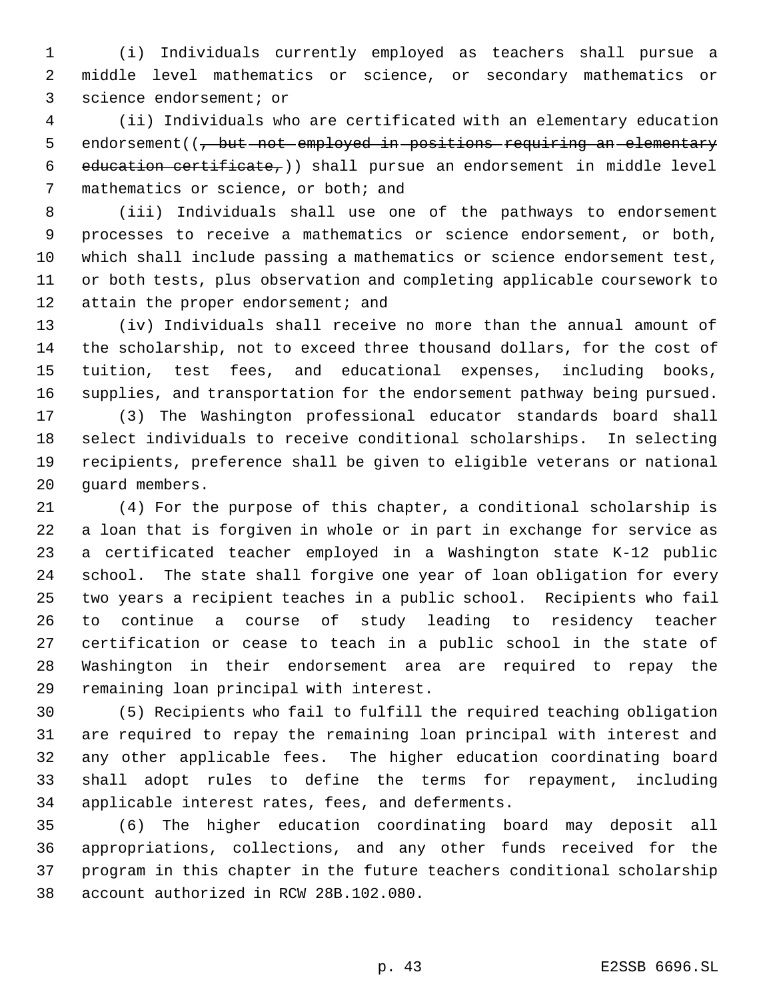(i) Individuals currently employed as teachers shall pursue a middle level mathematics or science, or secondary mathematics or science endorsement; or

 (ii) Individuals who are certificated with an elementary education 5 endorsement((, but not employed in positions requiring an elementary 6 education certificate,  $)$  shall pursue an endorsement in middle level mathematics or science, or both; and

 (iii) Individuals shall use one of the pathways to endorsement processes to receive a mathematics or science endorsement, or both, which shall include passing a mathematics or science endorsement test, or both tests, plus observation and completing applicable coursework to 12 attain the proper endorsement; and

 (iv) Individuals shall receive no more than the annual amount of the scholarship, not to exceed three thousand dollars, for the cost of tuition, test fees, and educational expenses, including books, supplies, and transportation for the endorsement pathway being pursued.

 (3) The Washington professional educator standards board shall select individuals to receive conditional scholarships. In selecting recipients, preference shall be given to eligible veterans or national guard members.

 (4) For the purpose of this chapter, a conditional scholarship is a loan that is forgiven in whole or in part in exchange for service as a certificated teacher employed in a Washington state K-12 public school. The state shall forgive one year of loan obligation for every two years a recipient teaches in a public school. Recipients who fail to continue a course of study leading to residency teacher certification or cease to teach in a public school in the state of Washington in their endorsement area are required to repay the remaining loan principal with interest.

 (5) Recipients who fail to fulfill the required teaching obligation are required to repay the remaining loan principal with interest and any other applicable fees. The higher education coordinating board shall adopt rules to define the terms for repayment, including applicable interest rates, fees, and deferments.

 (6) The higher education coordinating board may deposit all appropriations, collections, and any other funds received for the program in this chapter in the future teachers conditional scholarship account authorized in RCW 28B.102.080.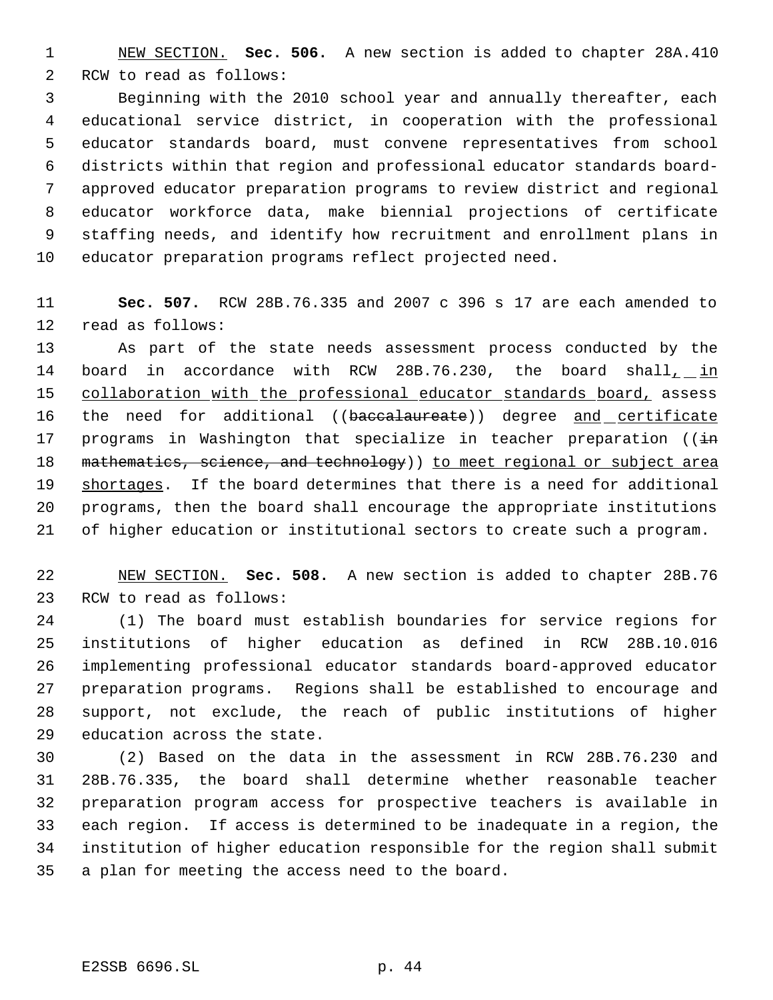NEW SECTION. **Sec. 506.** A new section is added to chapter 28A.410 RCW to read as follows:

 Beginning with the 2010 school year and annually thereafter, each educational service district, in cooperation with the professional educator standards board, must convene representatives from school districts within that region and professional educator standards board- approved educator preparation programs to review district and regional educator workforce data, make biennial projections of certificate staffing needs, and identify how recruitment and enrollment plans in educator preparation programs reflect projected need.

 **Sec. 507.** RCW 28B.76.335 and 2007 c 396 s 17 are each amended to read as follows:

 As part of the state needs assessment process conducted by the 14 board in accordance with RCW 28B.76.230, the board shall, in 15 collaboration with the professional educator standards board, assess 16 the need for additional ((baccalaureate)) degree and certificate 17 programs in Washington that specialize in teacher preparation ( $(i+n)$ 18 mathematics, science, and technology) ) to meet regional or subject area shortages. If the board determines that there is a need for additional programs, then the board shall encourage the appropriate institutions of higher education or institutional sectors to create such a program.

 NEW SECTION. **Sec. 508.** A new section is added to chapter 28B.76 RCW to read as follows:

 (1) The board must establish boundaries for service regions for institutions of higher education as defined in RCW 28B.10.016 implementing professional educator standards board-approved educator preparation programs. Regions shall be established to encourage and support, not exclude, the reach of public institutions of higher education across the state.

 (2) Based on the data in the assessment in RCW 28B.76.230 and 28B.76.335, the board shall determine whether reasonable teacher preparation program access for prospective teachers is available in each region. If access is determined to be inadequate in a region, the institution of higher education responsible for the region shall submit a plan for meeting the access need to the board.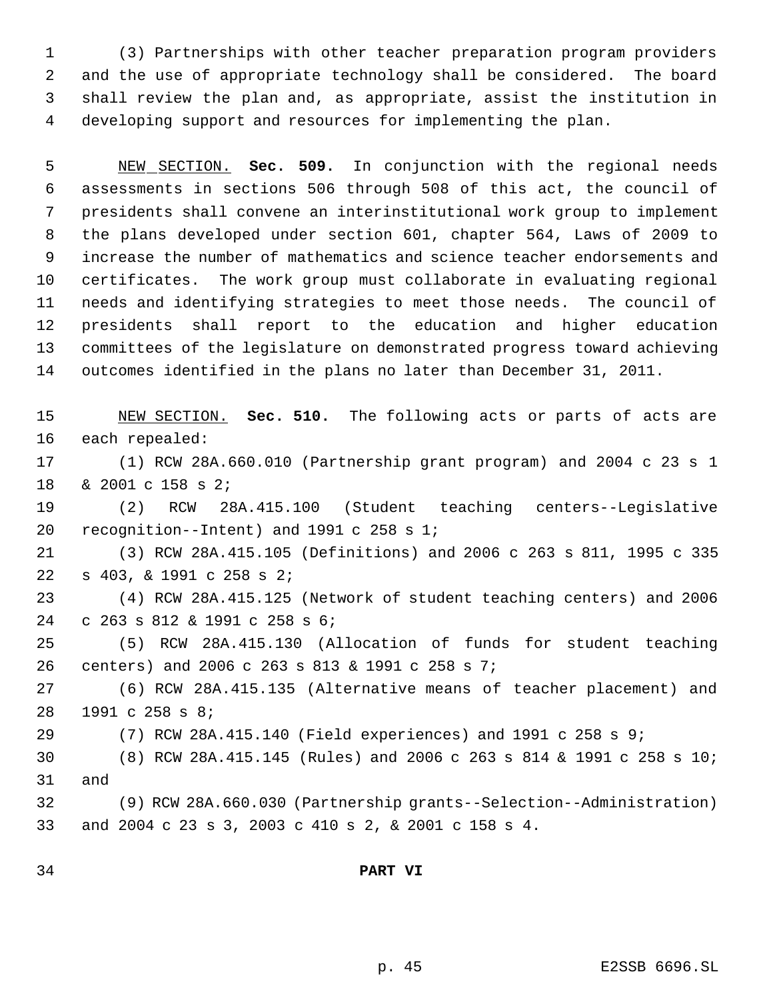(3) Partnerships with other teacher preparation program providers and the use of appropriate technology shall be considered. The board shall review the plan and, as appropriate, assist the institution in developing support and resources for implementing the plan.

 NEW SECTION. **Sec. 509.** In conjunction with the regional needs assessments in sections 506 through 508 of this act, the council of presidents shall convene an interinstitutional work group to implement the plans developed under section 601, chapter 564, Laws of 2009 to increase the number of mathematics and science teacher endorsements and certificates. The work group must collaborate in evaluating regional needs and identifying strategies to meet those needs. The council of presidents shall report to the education and higher education committees of the legislature on demonstrated progress toward achieving outcomes identified in the plans no later than December 31, 2011.

 NEW SECTION. **Sec. 510.** The following acts or parts of acts are each repealed:

 (1) RCW 28A.660.010 (Partnership grant program) and 2004 c 23 s 1 & 2001 c 158 s 2;

 (2) RCW 28A.415.100 (Student teaching centers--Legislative recognition--Intent) and 1991 c 258 s 1;

 (3) RCW 28A.415.105 (Definitions) and 2006 c 263 s 811, 1995 c 335 s 403, & 1991 c 258 s 2;

 (4) RCW 28A.415.125 (Network of student teaching centers) and 2006 c 263 s 812 & 1991 c 258 s 6;

 (5) RCW 28A.415.130 (Allocation of funds for student teaching centers) and 2006 c 263 s 813 & 1991 c 258 s 7;

 (6) RCW 28A.415.135 (Alternative means of teacher placement) and 1991 c 258 s 8;

(7) RCW 28A.415.140 (Field experiences) and 1991 c 258 s 9;

 (8) RCW 28A.415.145 (Rules) and 2006 c 263 s 814 & 1991 c 258 s 10; and

 (9) RCW 28A.660.030 (Partnership grants--Selection--Administration) and 2004 c 23 s 3, 2003 c 410 s 2, & 2001 c 158 s 4.

## **PART VI**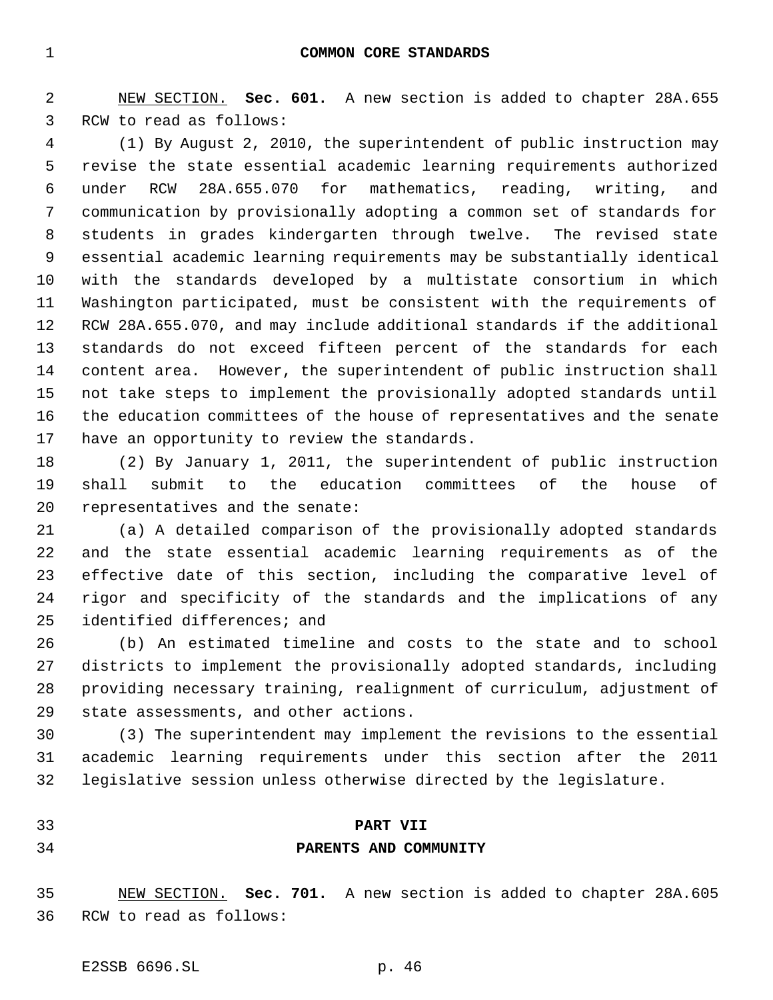NEW SECTION. **Sec. 601.** A new section is added to chapter 28A.655 RCW to read as follows:

 (1) By August 2, 2010, the superintendent of public instruction may revise the state essential academic learning requirements authorized under RCW 28A.655.070 for mathematics, reading, writing, and communication by provisionally adopting a common set of standards for students in grades kindergarten through twelve. The revised state essential academic learning requirements may be substantially identical with the standards developed by a multistate consortium in which Washington participated, must be consistent with the requirements of RCW 28A.655.070, and may include additional standards if the additional standards do not exceed fifteen percent of the standards for each content area. However, the superintendent of public instruction shall not take steps to implement the provisionally adopted standards until the education committees of the house of representatives and the senate have an opportunity to review the standards.

 (2) By January 1, 2011, the superintendent of public instruction shall submit to the education committees of the house of representatives and the senate:

 (a) A detailed comparison of the provisionally adopted standards and the state essential academic learning requirements as of the effective date of this section, including the comparative level of rigor and specificity of the standards and the implications of any identified differences; and

 (b) An estimated timeline and costs to the state and to school districts to implement the provisionally adopted standards, including providing necessary training, realignment of curriculum, adjustment of state assessments, and other actions.

 (3) The superintendent may implement the revisions to the essential academic learning requirements under this section after the 2011 legislative session unless otherwise directed by the legislature.

## **PART VII**

## **PARENTS AND COMMUNITY**

 NEW SECTION. **Sec. 701.** A new section is added to chapter 28A.605 RCW to read as follows: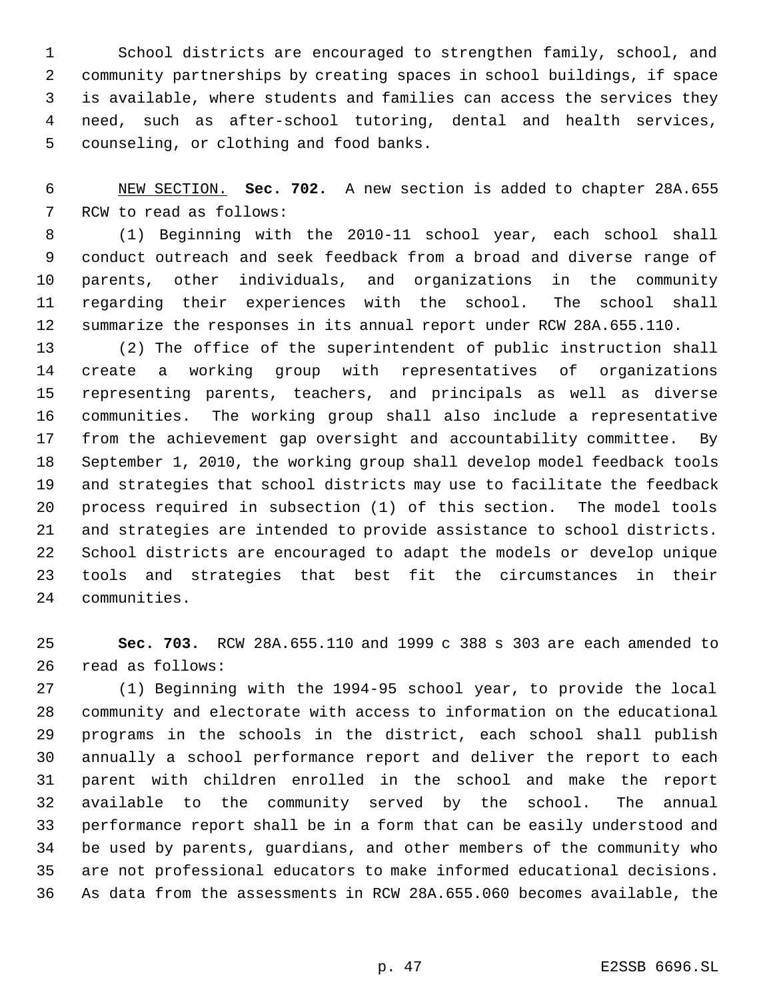School districts are encouraged to strengthen family, school, and community partnerships by creating spaces in school buildings, if space is available, where students and families can access the services they need, such as after-school tutoring, dental and health services, counseling, or clothing and food banks.

 NEW SECTION. **Sec. 702.** A new section is added to chapter 28A.655 RCW to read as follows:

 (1) Beginning with the 2010-11 school year, each school shall conduct outreach and seek feedback from a broad and diverse range of parents, other individuals, and organizations in the community regarding their experiences with the school. The school shall summarize the responses in its annual report under RCW 28A.655.110.

 (2) The office of the superintendent of public instruction shall create a working group with representatives of organizations representing parents, teachers, and principals as well as diverse communities. The working group shall also include a representative from the achievement gap oversight and accountability committee. By September 1, 2010, the working group shall develop model feedback tools and strategies that school districts may use to facilitate the feedback process required in subsection (1) of this section. The model tools and strategies are intended to provide assistance to school districts. School districts are encouraged to adapt the models or develop unique tools and strategies that best fit the circumstances in their communities.

 **Sec. 703.** RCW 28A.655.110 and 1999 c 388 s 303 are each amended to read as follows:

 (1) Beginning with the 1994-95 school year, to provide the local community and electorate with access to information on the educational programs in the schools in the district, each school shall publish annually a school performance report and deliver the report to each parent with children enrolled in the school and make the report available to the community served by the school. The annual performance report shall be in a form that can be easily understood and be used by parents, guardians, and other members of the community who are not professional educators to make informed educational decisions. As data from the assessments in RCW 28A.655.060 becomes available, the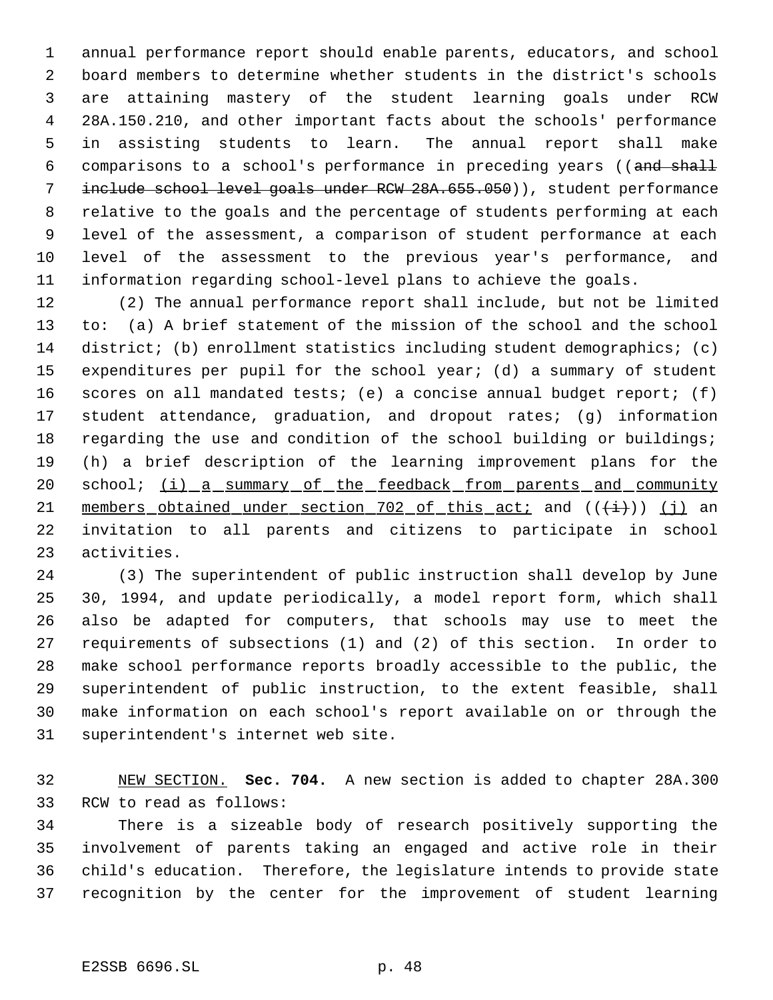annual performance report should enable parents, educators, and school board members to determine whether students in the district's schools are attaining mastery of the student learning goals under RCW 28A.150.210, and other important facts about the schools' performance in assisting students to learn. The annual report shall make 6 comparisons to a school's performance in preceding years ((and shall 7 include school level goals under RCW 28A.655.050)), student performance relative to the goals and the percentage of students performing at each level of the assessment, a comparison of student performance at each level of the assessment to the previous year's performance, and information regarding school-level plans to achieve the goals.

 (2) The annual performance report shall include, but not be limited to: (a) A brief statement of the mission of the school and the school district; (b) enrollment statistics including student demographics; (c) expenditures per pupil for the school year; (d) a summary of student scores on all mandated tests; (e) a concise annual budget report; (f) student attendance, graduation, and dropout rates; (g) information regarding the use and condition of the school building or buildings; (h) a brief description of the learning improvement plans for the 20 school; (i) a summary of the feedback from parents and community 21 members obtained under section of this act; and  $((\ddot{t}))$  (j) an invitation to all parents and citizens to participate in school activities.

 (3) The superintendent of public instruction shall develop by June 30, 1994, and update periodically, a model report form, which shall also be adapted for computers, that schools may use to meet the requirements of subsections (1) and (2) of this section. In order to make school performance reports broadly accessible to the public, the superintendent of public instruction, to the extent feasible, shall make information on each school's report available on or through the superintendent's internet web site.

 NEW SECTION. **Sec. 704.** A new section is added to chapter 28A.300 RCW to read as follows:

 There is a sizeable body of research positively supporting the involvement of parents taking an engaged and active role in their child's education. Therefore, the legislature intends to provide state recognition by the center for the improvement of student learning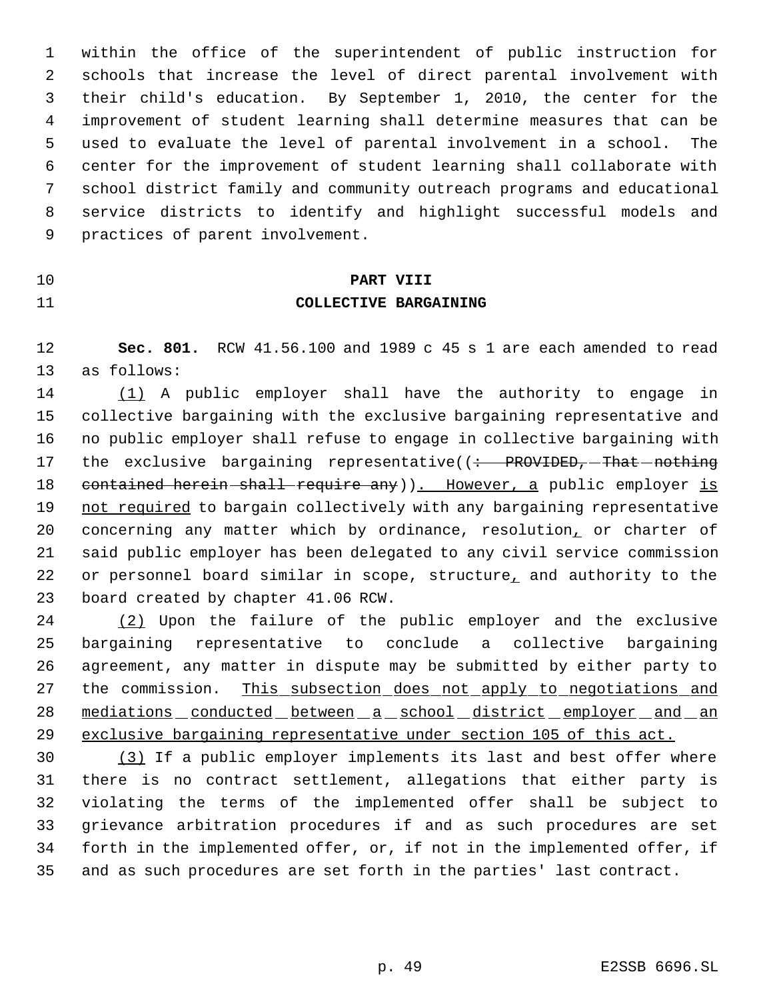within the office of the superintendent of public instruction for schools that increase the level of direct parental involvement with their child's education. By September 1, 2010, the center for the improvement of student learning shall determine measures that can be used to evaluate the level of parental involvement in a school. The center for the improvement of student learning shall collaborate with school district family and community outreach programs and educational service districts to identify and highlight successful models and practices of parent involvement.

# **PART VIII COLLECTIVE BARGAINING**

 **Sec. 801.** RCW 41.56.100 and 1989 c 45 s 1 are each amended to read as follows:

 (1) A public employer shall have the authority to engage in collective bargaining with the exclusive bargaining representative and no public employer shall refuse to engage in collective bargaining with 17 the exclusive bargaining representative((: PROVIDED, That nothing 18 contained herein shall require any)). However, a public employer is not required to bargain collectively with any bargaining representative 20 concerning any matter which by ordinance, resolution, or charter of said public employer has been delegated to any civil service commission 22 or personnel board similar in scope, structure, and authority to the board created by chapter 41.06 RCW.

 (2) Upon the failure of the public employer and the exclusive bargaining representative to conclude a collective bargaining agreement, any matter in dispute may be submitted by either party to 27 the commission. This subsection does not apply to negotiations and 28 mediations conducted between a school district employer and an exclusive bargaining representative under section 105 of this act.

 (3) If a public employer implements its last and best offer where there is no contract settlement, allegations that either party is violating the terms of the implemented offer shall be subject to grievance arbitration procedures if and as such procedures are set forth in the implemented offer, or, if not in the implemented offer, if and as such procedures are set forth in the parties' last contract.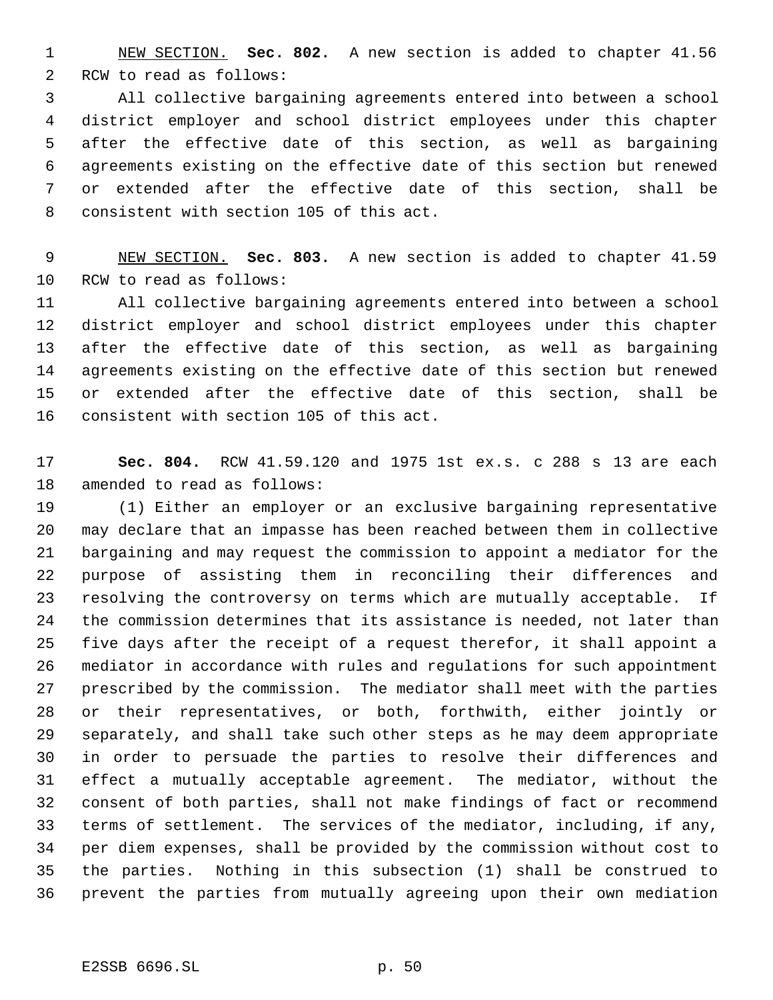NEW SECTION. **Sec. 802.** A new section is added to chapter 41.56 RCW to read as follows:

 All collective bargaining agreements entered into between a school district employer and school district employees under this chapter after the effective date of this section, as well as bargaining agreements existing on the effective date of this section but renewed or extended after the effective date of this section, shall be consistent with section 105 of this act.

 NEW SECTION. **Sec. 803.** A new section is added to chapter 41.59 RCW to read as follows:

 All collective bargaining agreements entered into between a school district employer and school district employees under this chapter after the effective date of this section, as well as bargaining agreements existing on the effective date of this section but renewed or extended after the effective date of this section, shall be consistent with section 105 of this act.

 **Sec. 804.** RCW 41.59.120 and 1975 1st ex.s. c 288 s 13 are each amended to read as follows:

 (1) Either an employer or an exclusive bargaining representative may declare that an impasse has been reached between them in collective bargaining and may request the commission to appoint a mediator for the purpose of assisting them in reconciling their differences and resolving the controversy on terms which are mutually acceptable. If the commission determines that its assistance is needed, not later than five days after the receipt of a request therefor, it shall appoint a mediator in accordance with rules and regulations for such appointment prescribed by the commission. The mediator shall meet with the parties or their representatives, or both, forthwith, either jointly or separately, and shall take such other steps as he may deem appropriate in order to persuade the parties to resolve their differences and effect a mutually acceptable agreement. The mediator, without the consent of both parties, shall not make findings of fact or recommend terms of settlement. The services of the mediator, including, if any, per diem expenses, shall be provided by the commission without cost to the parties. Nothing in this subsection (1) shall be construed to prevent the parties from mutually agreeing upon their own mediation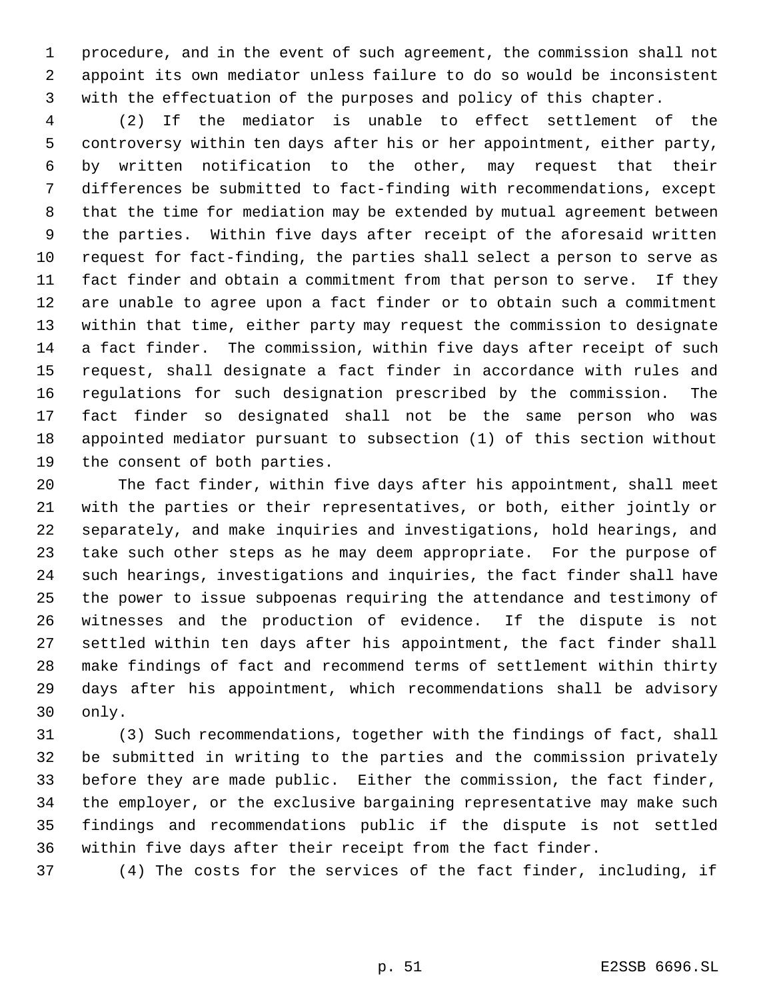procedure, and in the event of such agreement, the commission shall not appoint its own mediator unless failure to do so would be inconsistent with the effectuation of the purposes and policy of this chapter.

 (2) If the mediator is unable to effect settlement of the controversy within ten days after his or her appointment, either party, by written notification to the other, may request that their differences be submitted to fact-finding with recommendations, except that the time for mediation may be extended by mutual agreement between the parties. Within five days after receipt of the aforesaid written request for fact-finding, the parties shall select a person to serve as fact finder and obtain a commitment from that person to serve. If they are unable to agree upon a fact finder or to obtain such a commitment within that time, either party may request the commission to designate a fact finder. The commission, within five days after receipt of such request, shall designate a fact finder in accordance with rules and regulations for such designation prescribed by the commission. The fact finder so designated shall not be the same person who was appointed mediator pursuant to subsection (1) of this section without the consent of both parties.

 The fact finder, within five days after his appointment, shall meet with the parties or their representatives, or both, either jointly or separately, and make inquiries and investigations, hold hearings, and take such other steps as he may deem appropriate. For the purpose of such hearings, investigations and inquiries, the fact finder shall have the power to issue subpoenas requiring the attendance and testimony of witnesses and the production of evidence. If the dispute is not settled within ten days after his appointment, the fact finder shall make findings of fact and recommend terms of settlement within thirty days after his appointment, which recommendations shall be advisory only.

 (3) Such recommendations, together with the findings of fact, shall be submitted in writing to the parties and the commission privately before they are made public. Either the commission, the fact finder, the employer, or the exclusive bargaining representative may make such findings and recommendations public if the dispute is not settled within five days after their receipt from the fact finder.

(4) The costs for the services of the fact finder, including, if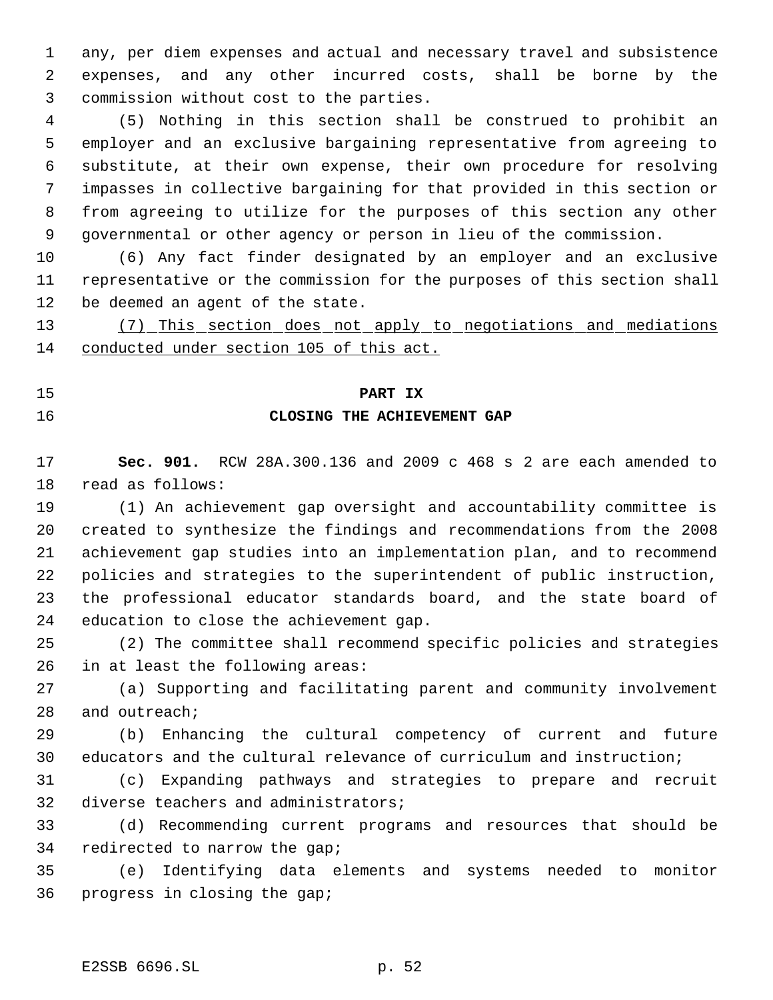any, per diem expenses and actual and necessary travel and subsistence expenses, and any other incurred costs, shall be borne by the commission without cost to the parties.

 (5) Nothing in this section shall be construed to prohibit an employer and an exclusive bargaining representative from agreeing to substitute, at their own expense, their own procedure for resolving impasses in collective bargaining for that provided in this section or from agreeing to utilize for the purposes of this section any other governmental or other agency or person in lieu of the commission.

 (6) Any fact finder designated by an employer and an exclusive representative or the commission for the purposes of this section shall be deemed an agent of the state.

 (7) This section does not apply to negotiations and mediations conducted under section 105 of this act.

## **PART IX**

### **CLOSING THE ACHIEVEMENT GAP**

 **Sec. 901.** RCW 28A.300.136 and 2009 c 468 s 2 are each amended to read as follows:

 (1) An achievement gap oversight and accountability committee is created to synthesize the findings and recommendations from the 2008 achievement gap studies into an implementation plan, and to recommend policies and strategies to the superintendent of public instruction, the professional educator standards board, and the state board of education to close the achievement gap.

 (2) The committee shall recommend specific policies and strategies in at least the following areas:

 (a) Supporting and facilitating parent and community involvement and outreach;

 (b) Enhancing the cultural competency of current and future educators and the cultural relevance of curriculum and instruction;

 (c) Expanding pathways and strategies to prepare and recruit diverse teachers and administrators;

 (d) Recommending current programs and resources that should be redirected to narrow the gap;

 (e) Identifying data elements and systems needed to monitor progress in closing the gap;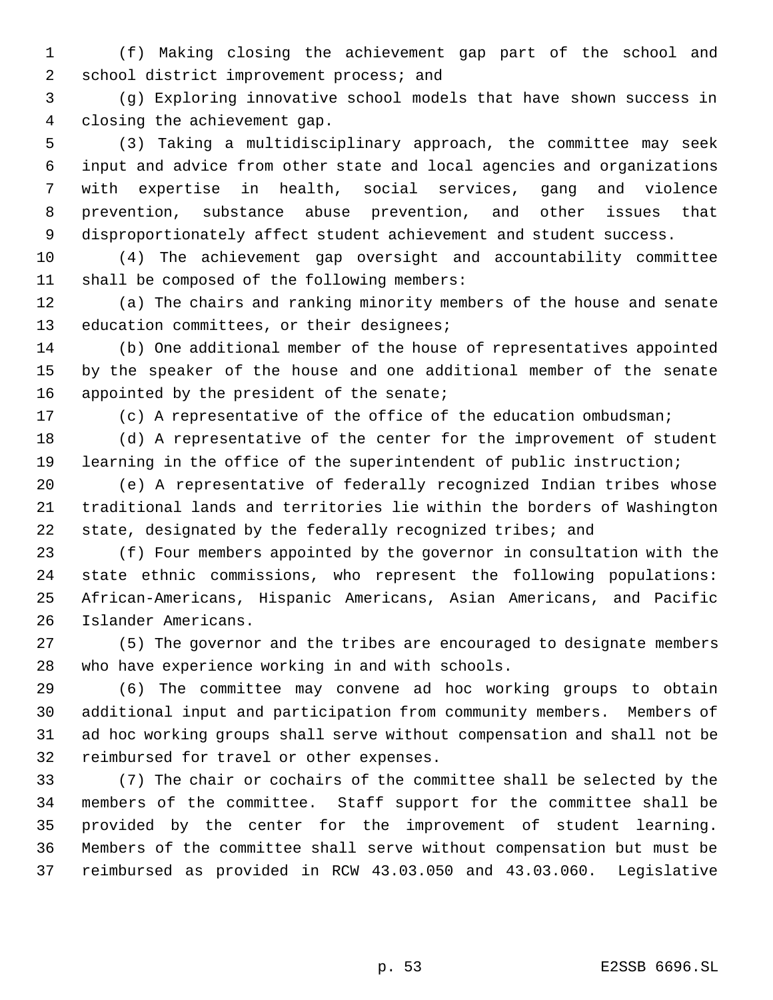(f) Making closing the achievement gap part of the school and 2 school district improvement process; and

 (g) Exploring innovative school models that have shown success in closing the achievement gap.

 (3) Taking a multidisciplinary approach, the committee may seek input and advice from other state and local agencies and organizations with expertise in health, social services, gang and violence prevention, substance abuse prevention, and other issues that disproportionately affect student achievement and student success.

 (4) The achievement gap oversight and accountability committee shall be composed of the following members:

 (a) The chairs and ranking minority members of the house and senate 13 education committees, or their designees;

 (b) One additional member of the house of representatives appointed by the speaker of the house and one additional member of the senate 16 appointed by the president of the senate;

(c) A representative of the office of the education ombudsman;

 (d) A representative of the center for the improvement of student learning in the office of the superintendent of public instruction;

 (e) A representative of federally recognized Indian tribes whose traditional lands and territories lie within the borders of Washington state, designated by the federally recognized tribes; and

 (f) Four members appointed by the governor in consultation with the state ethnic commissions, who represent the following populations: African-Americans, Hispanic Americans, Asian Americans, and Pacific Islander Americans.

 (5) The governor and the tribes are encouraged to designate members who have experience working in and with schools.

 (6) The committee may convene ad hoc working groups to obtain additional input and participation from community members. Members of ad hoc working groups shall serve without compensation and shall not be reimbursed for travel or other expenses.

 (7) The chair or cochairs of the committee shall be selected by the members of the committee. Staff support for the committee shall be provided by the center for the improvement of student learning. Members of the committee shall serve without compensation but must be reimbursed as provided in RCW 43.03.050 and 43.03.060. Legislative